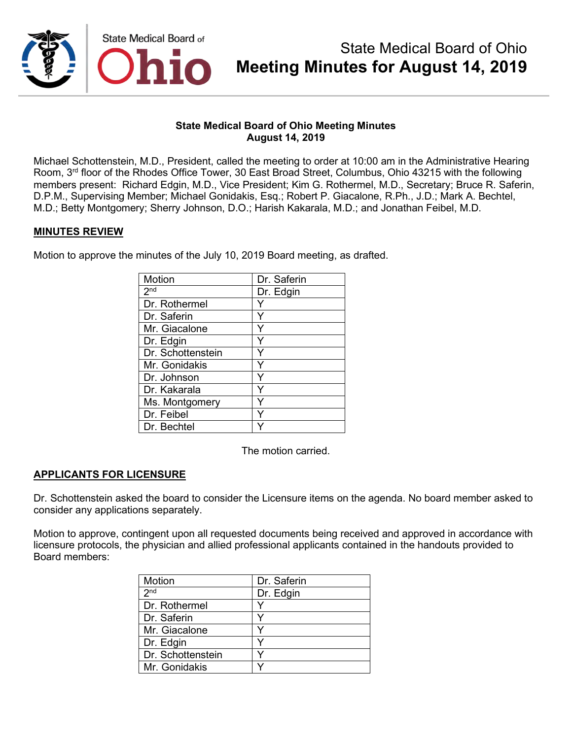

Michael Schottenstein, M.D., President, called the meeting to order at 10:00 am in the Administrative Hearing Room, 3rd floor of the Rhodes Office Tower, 30 East Broad Street, Columbus, Ohio 43215 with the following members present: Richard Edgin, M.D., Vice President; Kim G. Rothermel, M.D., Secretary; Bruce R. Saferin, D.P.M., Supervising Member; Michael Gonidakis, Esq.; Robert P. Giacalone, R.Ph., J.D.; Mark A. Bechtel, M.D.; Betty Montgomery; Sherry Johnson, D.O.; Harish Kakarala, M.D.; and Jonathan Feibel, M.D.

## **MINUTES REVIEW**

Motion to approve the minutes of the July 10, 2019 Board meeting, as drafted.

| Motion            | Dr. Saferin |
|-------------------|-------------|
| 2 <sup>nd</sup>   | Dr. Edgin   |
| Dr. Rothermel     |             |
| Dr. Saferin       |             |
| Mr. Giacalone     |             |
| Dr. Edgin         | Y           |
| Dr. Schottenstein | Y           |
| Mr. Gonidakis     | Y           |
| Dr. Johnson       |             |
| Dr. Kakarala      | Υ           |
| Ms. Montgomery    |             |
| Dr. Feibel        |             |
| Dr. Bechtel       |             |

The motion carried.

## **APPLICANTS FOR LICENSURE**

Dr. Schottenstein asked the board to consider the Licensure items on the agenda. No board member asked to consider any applications separately.

Motion to approve, contingent upon all requested documents being received and approved in accordance with licensure protocols, the physician and allied professional applicants contained in the handouts provided to Board members:

| Motion            | Dr. Saferin |
|-------------------|-------------|
| 2 <sub>nd</sub>   | Dr. Edgin   |
| Dr. Rothermel     |             |
| Dr. Saferin       |             |
| Mr. Giacalone     |             |
| Dr. Edgin         |             |
| Dr. Schottenstein |             |
| Mr. Gonidakis     |             |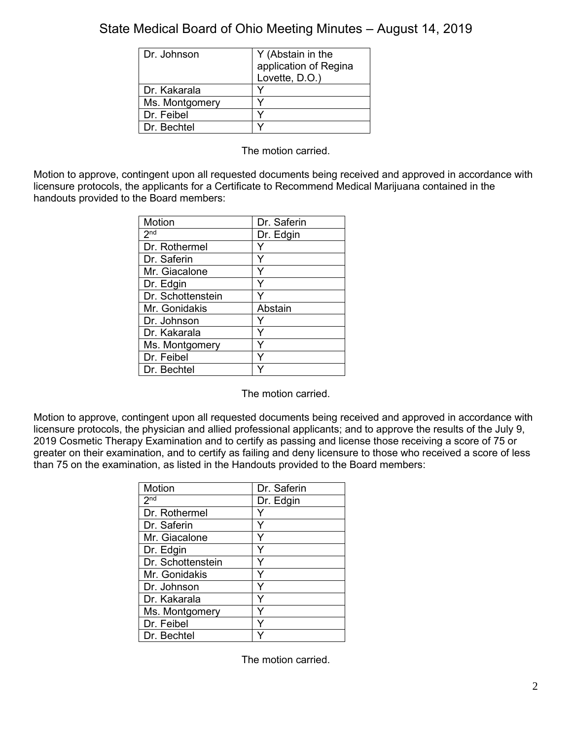| Dr. Johnson    | Y (Abstain in the     |
|----------------|-----------------------|
|                | application of Regina |
|                | Lovette, D.O.)        |
| Dr. Kakarala   |                       |
| Ms. Montgomery |                       |
| Dr. Feibel     |                       |
| Dr. Bechtel    |                       |

The motion carried.

Motion to approve, contingent upon all requested documents being received and approved in accordance with licensure protocols, the applicants for a Certificate to Recommend Medical Marijuana contained in the handouts provided to the Board members:

| <b>Motion</b>     | Dr. Saferin |
|-------------------|-------------|
| $2^{nd}$          | Dr. Edgin   |
| Dr. Rothermel     |             |
| Dr. Saferin       |             |
| Mr. Giacalone     | Y           |
| Dr. Edgin         | Y           |
| Dr. Schottenstein |             |
| Mr. Gonidakis     | Abstain     |
| Dr. Johnson       |             |
| Dr. Kakarala      |             |
| Ms. Montgomery    | Y           |
| Dr. Feibel        | Y           |
| Dr. Bechtel       |             |

The motion carried.

Motion to approve, contingent upon all requested documents being received and approved in accordance with licensure protocols, the physician and allied professional applicants; and to approve the results of the July 9, 2019 Cosmetic Therapy Examination and to certify as passing and license those receiving a score of 75 or greater on their examination, and to certify as failing and deny licensure to those who received a score of less than 75 on the examination, as listed in the Handouts provided to the Board members:

| Motion            | Dr. Saferin |
|-------------------|-------------|
| 2 <sup>nd</sup>   | Dr. Edgin   |
| Dr. Rothermel     | Y           |
| Dr. Saferin       | Y           |
| Mr. Giacalone     |             |
| Dr. Edgin         |             |
| Dr. Schottenstein |             |
| Mr. Gonidakis     |             |
| Dr. Johnson       | Υ           |
| Dr. Kakarala      | ٧           |
| Ms. Montgomery    |             |
| Dr. Feibel        |             |
| Dr. Bechtel       |             |

The motion carried.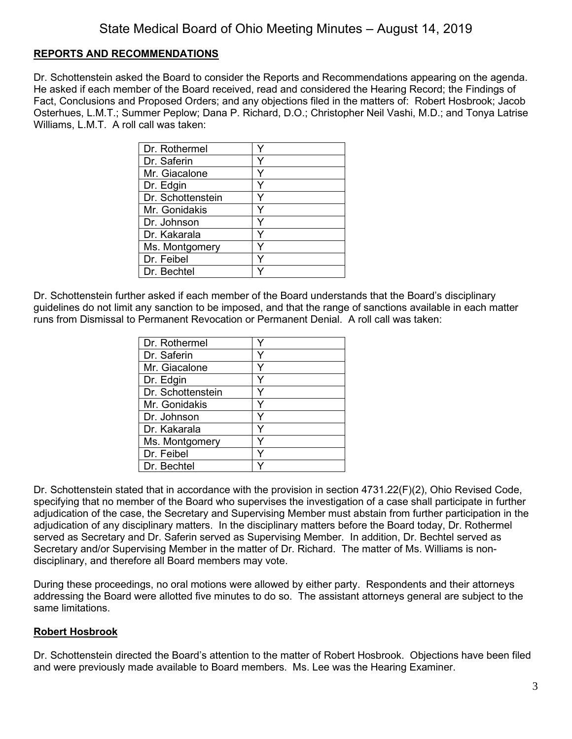## **REPORTS AND RECOMMENDATIONS**

Dr. Schottenstein asked the Board to consider the Reports and Recommendations appearing on the agenda. He asked if each member of the Board received, read and considered the Hearing Record; the Findings of Fact, Conclusions and Proposed Orders; and any objections filed in the matters of: Robert Hosbrook; Jacob Osterhues, L.M.T.; Summer Peplow; Dana P. Richard, D.O.; Christopher Neil Vashi, M.D.; and Tonya Latrise Williams, L.M.T. A roll call was taken:

| Dr. Rothermel     |   |
|-------------------|---|
| Dr. Saferin       |   |
| Mr. Giacalone     | v |
| Dr. Edgin         |   |
| Dr. Schottenstein |   |
| Mr. Gonidakis     |   |
| Dr. Johnson       | ٧ |
| Dr. Kakarala      |   |
| Ms. Montgomery    |   |
| Dr. Feibel        |   |
| Dr. Bechtel       |   |

Dr. Schottenstein further asked if each member of the Board understands that the Board's disciplinary guidelines do not limit any sanction to be imposed, and that the range of sanctions available in each matter runs from Dismissal to Permanent Revocation or Permanent Denial. A roll call was taken:

| Dr. Rothermel     |   |
|-------------------|---|
| Dr. Saferin       |   |
| Mr. Giacalone     | Y |
| Dr. Edgin         |   |
| Dr. Schottenstein |   |
| Mr. Gonidakis     | v |
| Dr. Johnson       |   |
| Dr. Kakarala      | ٧ |
| Ms. Montgomery    | v |
| Dr. Feibel        |   |
| Dr. Bechtel       |   |

Dr. Schottenstein stated that in accordance with the provision in section 4731.22(F)(2), Ohio Revised Code, specifying that no member of the Board who supervises the investigation of a case shall participate in further adjudication of the case, the Secretary and Supervising Member must abstain from further participation in the adjudication of any disciplinary matters. In the disciplinary matters before the Board today, Dr. Rothermel served as Secretary and Dr. Saferin served as Supervising Member. In addition, Dr. Bechtel served as Secretary and/or Supervising Member in the matter of Dr. Richard. The matter of Ms. Williams is nondisciplinary, and therefore all Board members may vote.

During these proceedings, no oral motions were allowed by either party. Respondents and their attorneys addressing the Board were allotted five minutes to do so. The assistant attorneys general are subject to the same limitations.

## **Robert Hosbrook**

Dr. Schottenstein directed the Board's attention to the matter of Robert Hosbrook. Objections have been filed and were previously made available to Board members. Ms. Lee was the Hearing Examiner.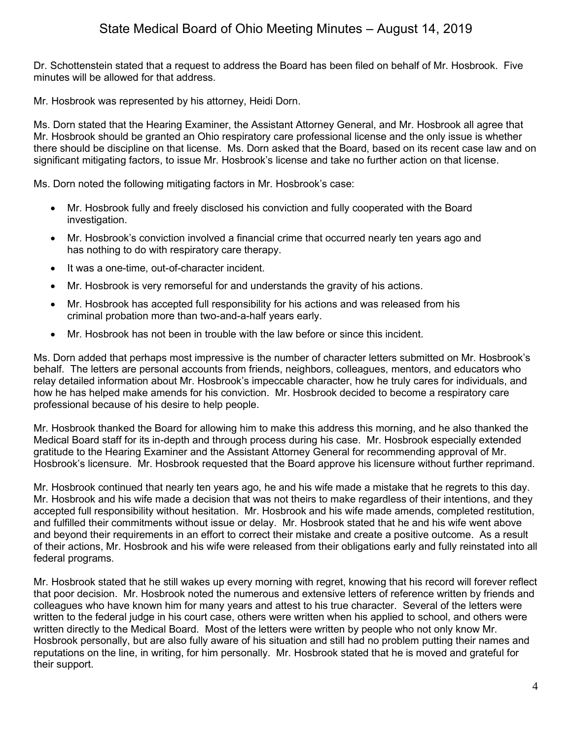Dr. Schottenstein stated that a request to address the Board has been filed on behalf of Mr. Hosbrook. Five minutes will be allowed for that address.

Mr. Hosbrook was represented by his attorney, Heidi Dorn.

Ms. Dorn stated that the Hearing Examiner, the Assistant Attorney General, and Mr. Hosbrook all agree that Mr. Hosbrook should be granted an Ohio respiratory care professional license and the only issue is whether there should be discipline on that license. Ms. Dorn asked that the Board, based on its recent case law and on significant mitigating factors, to issue Mr. Hosbrook's license and take no further action on that license.

Ms. Dorn noted the following mitigating factors in Mr. Hosbrook's case:

- Mr. Hosbrook fully and freely disclosed his conviction and fully cooperated with the Board investigation.
- Mr. Hosbrook's conviction involved a financial crime that occurred nearly ten years ago and has nothing to do with respiratory care therapy.
- It was a one-time, out-of-character incident.
- Mr. Hosbrook is very remorseful for and understands the gravity of his actions.
- Mr. Hosbrook has accepted full responsibility for his actions and was released from his criminal probation more than two-and-a-half years early.
- Mr. Hosbrook has not been in trouble with the law before or since this incident.

Ms. Dorn added that perhaps most impressive is the number of character letters submitted on Mr. Hosbrook's behalf. The letters are personal accounts from friends, neighbors, colleagues, mentors, and educators who relay detailed information about Mr. Hosbrook's impeccable character, how he truly cares for individuals, and how he has helped make amends for his conviction. Mr. Hosbrook decided to become a respiratory care professional because of his desire to help people.

Mr. Hosbrook thanked the Board for allowing him to make this address this morning, and he also thanked the Medical Board staff for its in-depth and through process during his case. Mr. Hosbrook especially extended gratitude to the Hearing Examiner and the Assistant Attorney General for recommending approval of Mr. Hosbrook's licensure. Mr. Hosbrook requested that the Board approve his licensure without further reprimand.

Mr. Hosbrook continued that nearly ten years ago, he and his wife made a mistake that he regrets to this day. Mr. Hosbrook and his wife made a decision that was not theirs to make regardless of their intentions, and they accepted full responsibility without hesitation. Mr. Hosbrook and his wife made amends, completed restitution, and fulfilled their commitments without issue or delay. Mr. Hosbrook stated that he and his wife went above and beyond their requirements in an effort to correct their mistake and create a positive outcome. As a result of their actions, Mr. Hosbrook and his wife were released from their obligations early and fully reinstated into all federal programs.

Mr. Hosbrook stated that he still wakes up every morning with regret, knowing that his record will forever reflect that poor decision. Mr. Hosbrook noted the numerous and extensive letters of reference written by friends and colleagues who have known him for many years and attest to his true character. Several of the letters were written to the federal judge in his court case, others were written when his applied to school, and others were written directly to the Medical Board. Most of the letters were written by people who not only know Mr. Hosbrook personally, but are also fully aware of his situation and still had no problem putting their names and reputations on the line, in writing, for him personally. Mr. Hosbrook stated that he is moved and grateful for their support.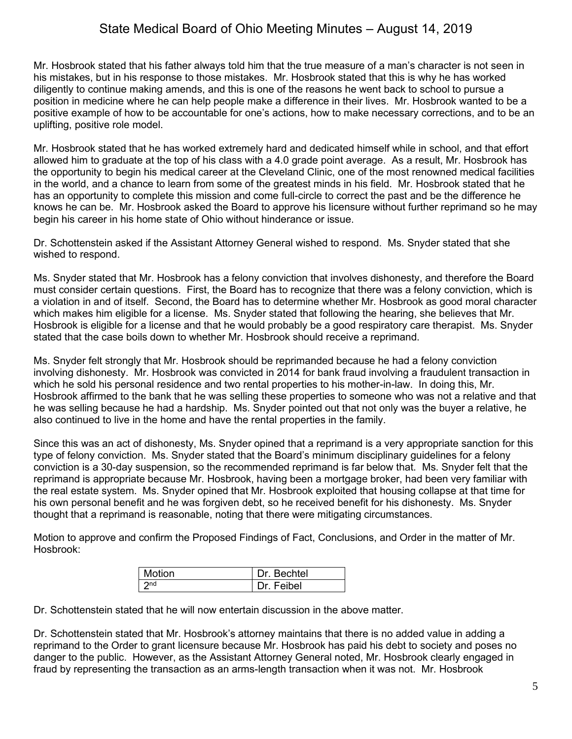Mr. Hosbrook stated that his father always told him that the true measure of a man's character is not seen in his mistakes, but in his response to those mistakes. Mr. Hosbrook stated that this is why he has worked diligently to continue making amends, and this is one of the reasons he went back to school to pursue a position in medicine where he can help people make a difference in their lives. Mr. Hosbrook wanted to be a positive example of how to be accountable for one's actions, how to make necessary corrections, and to be an uplifting, positive role model.

Mr. Hosbrook stated that he has worked extremely hard and dedicated himself while in school, and that effort allowed him to graduate at the top of his class with a 4.0 grade point average. As a result, Mr. Hosbrook has the opportunity to begin his medical career at the Cleveland Clinic, one of the most renowned medical facilities in the world, and a chance to learn from some of the greatest minds in his field. Mr. Hosbrook stated that he has an opportunity to complete this mission and come full-circle to correct the past and be the difference he knows he can be. Mr. Hosbrook asked the Board to approve his licensure without further reprimand so he may begin his career in his home state of Ohio without hinderance or issue.

Dr. Schottenstein asked if the Assistant Attorney General wished to respond. Ms. Snyder stated that she wished to respond.

Ms. Snyder stated that Mr. Hosbrook has a felony conviction that involves dishonesty, and therefore the Board must consider certain questions. First, the Board has to recognize that there was a felony conviction, which is a violation in and of itself. Second, the Board has to determine whether Mr. Hosbrook as good moral character which makes him eligible for a license. Ms. Snyder stated that following the hearing, she believes that Mr. Hosbrook is eligible for a license and that he would probably be a good respiratory care therapist. Ms. Snyder stated that the case boils down to whether Mr. Hosbrook should receive a reprimand.

Ms. Snyder felt strongly that Mr. Hosbrook should be reprimanded because he had a felony conviction involving dishonesty. Mr. Hosbrook was convicted in 2014 for bank fraud involving a fraudulent transaction in which he sold his personal residence and two rental properties to his mother-in-law. In doing this, Mr. Hosbrook affirmed to the bank that he was selling these properties to someone who was not a relative and that he was selling because he had a hardship. Ms. Snyder pointed out that not only was the buyer a relative, he also continued to live in the home and have the rental properties in the family.

Since this was an act of dishonesty, Ms. Snyder opined that a reprimand is a very appropriate sanction for this type of felony conviction. Ms. Snyder stated that the Board's minimum disciplinary guidelines for a felony conviction is a 30-day suspension, so the recommended reprimand is far below that. Ms. Snyder felt that the reprimand is appropriate because Mr. Hosbrook, having been a mortgage broker, had been very familiar with the real estate system. Ms. Snyder opined that Mr. Hosbrook exploited that housing collapse at that time for his own personal benefit and he was forgiven debt, so he received benefit for his dishonesty. Ms. Snyder thought that a reprimand is reasonable, noting that there were mitigating circumstances.

Motion to approve and confirm the Proposed Findings of Fact, Conclusions, and Order in the matter of Mr. Hosbrook:

| Motion          | Dr. Bechtel |
|-----------------|-------------|
| 2 <sub>nd</sub> | Dr. Feibel  |

Dr. Schottenstein stated that he will now entertain discussion in the above matter.

Dr. Schottenstein stated that Mr. Hosbrook's attorney maintains that there is no added value in adding a reprimand to the Order to grant licensure because Mr. Hosbrook has paid his debt to society and poses no danger to the public. However, as the Assistant Attorney General noted, Mr. Hosbrook clearly engaged in fraud by representing the transaction as an arms-length transaction when it was not. Mr. Hosbrook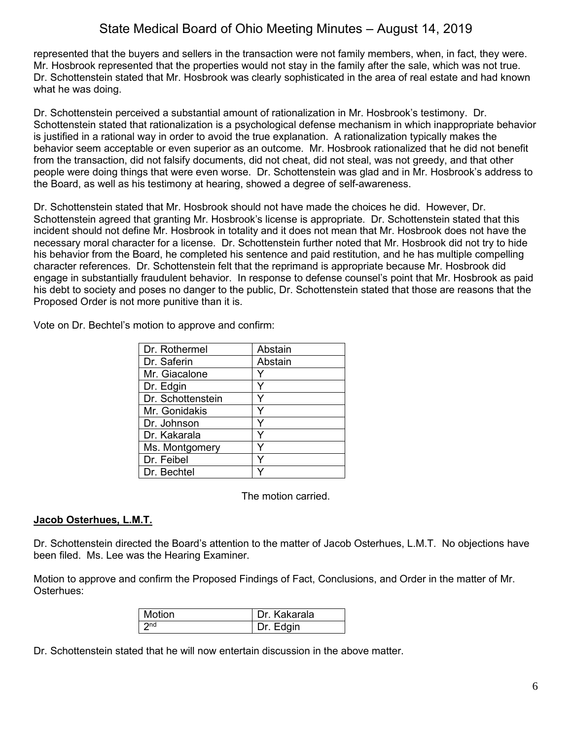represented that the buyers and sellers in the transaction were not family members, when, in fact, they were. Mr. Hosbrook represented that the properties would not stay in the family after the sale, which was not true. Dr. Schottenstein stated that Mr. Hosbrook was clearly sophisticated in the area of real estate and had known what he was doing.

Dr. Schottenstein perceived a substantial amount of rationalization in Mr. Hosbrook's testimony. Dr. Schottenstein stated that rationalization is a psychological defense mechanism in which inappropriate behavior is justified in a rational way in order to avoid the true explanation. A rationalization typically makes the behavior seem acceptable or even superior as an outcome. Mr. Hosbrook rationalized that he did not benefit from the transaction, did not falsify documents, did not cheat, did not steal, was not greedy, and that other people were doing things that were even worse. Dr. Schottenstein was glad and in Mr. Hosbrook's address to the Board, as well as his testimony at hearing, showed a degree of self-awareness.

Dr. Schottenstein stated that Mr. Hosbrook should not have made the choices he did. However, Dr. Schottenstein agreed that granting Mr. Hosbrook's license is appropriate. Dr. Schottenstein stated that this incident should not define Mr. Hosbrook in totality and it does not mean that Mr. Hosbrook does not have the necessary moral character for a license. Dr. Schottenstein further noted that Mr. Hosbrook did not try to hide his behavior from the Board, he completed his sentence and paid restitution, and he has multiple compelling character references. Dr. Schottenstein felt that the reprimand is appropriate because Mr. Hosbrook did engage in substantially fraudulent behavior. In response to defense counsel's point that Mr. Hosbrook as paid his debt to society and poses no danger to the public, Dr. Schottenstein stated that those are reasons that the Proposed Order is not more punitive than it is.

Vote on Dr. Bechtel's motion to approve and confirm:

| Dr. Rothermel     | Abstain |
|-------------------|---------|
| Dr. Saferin       | Abstain |
| Mr. Giacalone     |         |
| Dr. Edgin         | ٧       |
| Dr. Schottenstein |         |
| Mr. Gonidakis     | Y       |
| Dr. Johnson       | ٧       |
| Dr. Kakarala      |         |
| Ms. Montgomery    |         |
| Dr. Feibel        |         |
| Dr. Bechtel       |         |

The motion carried.

## **Jacob Osterhues, L.M.T.**

Dr. Schottenstein directed the Board's attention to the matter of Jacob Osterhues, L.M.T. No objections have been filed. Ms. Lee was the Hearing Examiner.

Motion to approve and confirm the Proposed Findings of Fact, Conclusions, and Order in the matter of Mr. Osterhues:

| Motion          | Dr. Kakarala |
|-----------------|--------------|
| 2n <sub>d</sub> | Dr. Edgin    |

Dr. Schottenstein stated that he will now entertain discussion in the above matter.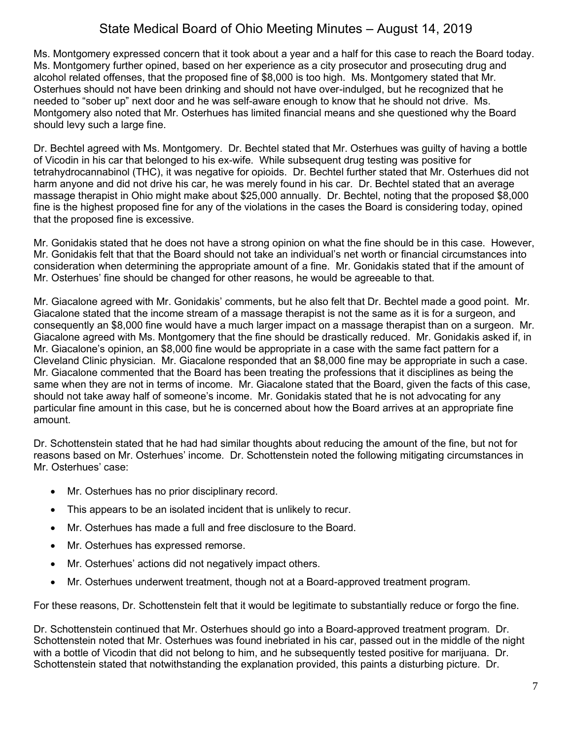Ms. Montgomery expressed concern that it took about a year and a half for this case to reach the Board today. Ms. Montgomery further opined, based on her experience as a city prosecutor and prosecuting drug and alcohol related offenses, that the proposed fine of \$8,000 is too high. Ms. Montgomery stated that Mr. Osterhues should not have been drinking and should not have over-indulged, but he recognized that he needed to "sober up" next door and he was self-aware enough to know that he should not drive. Ms. Montgomery also noted that Mr. Osterhues has limited financial means and she questioned why the Board should levy such a large fine.

Dr. Bechtel agreed with Ms. Montgomery. Dr. Bechtel stated that Mr. Osterhues was guilty of having a bottle of Vicodin in his car that belonged to his ex-wife. While subsequent drug testing was positive for tetrahydrocannabinol (THC), it was negative for opioids. Dr. Bechtel further stated that Mr. Osterhues did not harm anyone and did not drive his car, he was merely found in his car. Dr. Bechtel stated that an average massage therapist in Ohio might make about \$25,000 annually. Dr. Bechtel, noting that the proposed \$8,000 fine is the highest proposed fine for any of the violations in the cases the Board is considering today, opined that the proposed fine is excessive.

Mr. Gonidakis stated that he does not have a strong opinion on what the fine should be in this case. However, Mr. Gonidakis felt that that the Board should not take an individual's net worth or financial circumstances into consideration when determining the appropriate amount of a fine. Mr. Gonidakis stated that if the amount of Mr. Osterhues' fine should be changed for other reasons, he would be agreeable to that.

Mr. Giacalone agreed with Mr. Gonidakis' comments, but he also felt that Dr. Bechtel made a good point. Mr. Giacalone stated that the income stream of a massage therapist is not the same as it is for a surgeon, and consequently an \$8,000 fine would have a much larger impact on a massage therapist than on a surgeon. Mr. Giacalone agreed with Ms. Montgomery that the fine should be drastically reduced. Mr. Gonidakis asked if, in Mr. Giacalone's opinion, an \$8,000 fine would be appropriate in a case with the same fact pattern for a Cleveland Clinic physician. Mr. Giacalone responded that an \$8,000 fine may be appropriate in such a case. Mr. Giacalone commented that the Board has been treating the professions that it disciplines as being the same when they are not in terms of income. Mr. Giacalone stated that the Board, given the facts of this case, should not take away half of someone's income. Mr. Gonidakis stated that he is not advocating for any particular fine amount in this case, but he is concerned about how the Board arrives at an appropriate fine amount.

Dr. Schottenstein stated that he had had similar thoughts about reducing the amount of the fine, but not for reasons based on Mr. Osterhues' income. Dr. Schottenstein noted the following mitigating circumstances in Mr. Osterhues' case:

- Mr. Osterhues has no prior disciplinary record.
- This appears to be an isolated incident that is unlikely to recur.
- Mr. Osterhues has made a full and free disclosure to the Board.
- Mr. Osterhues has expressed remorse.
- Mr. Osterhues' actions did not negatively impact others.
- Mr. Osterhues underwent treatment, though not at a Board-approved treatment program.

For these reasons, Dr. Schottenstein felt that it would be legitimate to substantially reduce or forgo the fine.

Dr. Schottenstein continued that Mr. Osterhues should go into a Board-approved treatment program. Dr. Schottenstein noted that Mr. Osterhues was found inebriated in his car, passed out in the middle of the night with a bottle of Vicodin that did not belong to him, and he subsequently tested positive for marijuana. Dr. Schottenstein stated that notwithstanding the explanation provided, this paints a disturbing picture. Dr.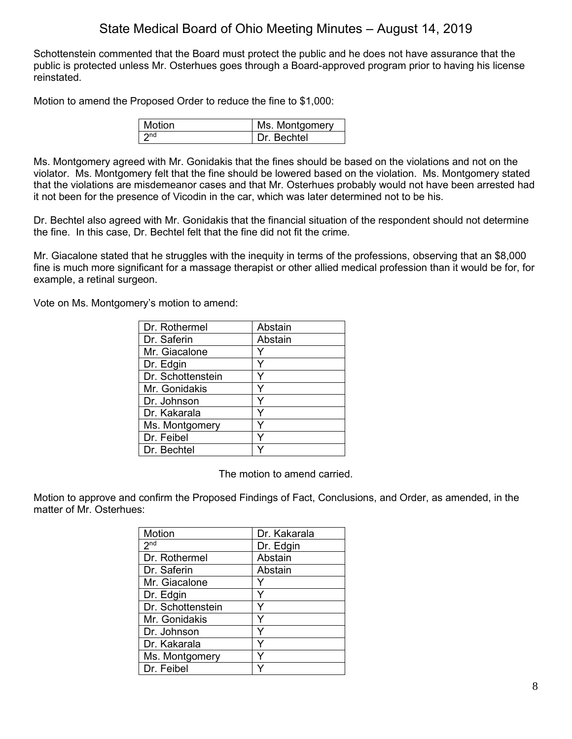Schottenstein commented that the Board must protect the public and he does not have assurance that the public is protected unless Mr. Osterhues goes through a Board-approved program prior to having his license reinstated.

Motion to amend the Proposed Order to reduce the fine to \$1,000:

| <b>Motion</b> | Ms. Montgomery |
|---------------|----------------|
|               | Dr Bechtel     |

Ms. Montgomery agreed with Mr. Gonidakis that the fines should be based on the violations and not on the violator. Ms. Montgomery felt that the fine should be lowered based on the violation. Ms. Montgomery stated that the violations are misdemeanor cases and that Mr. Osterhues probably would not have been arrested had it not been for the presence of Vicodin in the car, which was later determined not to be his.

Dr. Bechtel also agreed with Mr. Gonidakis that the financial situation of the respondent should not determine the fine. In this case, Dr. Bechtel felt that the fine did not fit the crime.

Mr. Giacalone stated that he struggles with the inequity in terms of the professions, observing that an \$8,000 fine is much more significant for a massage therapist or other allied medical profession than it would be for, for example, a retinal surgeon.

Vote on Ms. Montgomery's motion to amend:

| Dr. Rothermel     | Abstain |
|-------------------|---------|
| Dr. Saferin       | Abstain |
| Mr. Giacalone     |         |
| Dr. Edgin         |         |
| Dr. Schottenstein | Y       |
| Mr. Gonidakis     | v       |
| Dr. Johnson       |         |
| Dr. Kakarala      | Y       |
| Ms. Montgomery    | Y       |
| Dr. Feibel        |         |
| Dr. Bechtel       |         |

The motion to amend carried.

Motion to approve and confirm the Proposed Findings of Fact, Conclusions, and Order, as amended, in the matter of Mr. Osterhues:

| Motion            | Dr. Kakarala |
|-------------------|--------------|
| 2 <sub>nd</sub>   | Dr. Edgin    |
| Dr. Rothermel     | Abstain      |
| Dr. Saferin       | Abstain      |
| Mr. Giacalone     |              |
| Dr. Edgin         | Y            |
| Dr. Schottenstein |              |
| Mr. Gonidakis     |              |
| Dr. Johnson       | Y            |
| Dr. Kakarala      | Y            |
| Ms. Montgomery    | ٧            |
| Dr. Feibel        |              |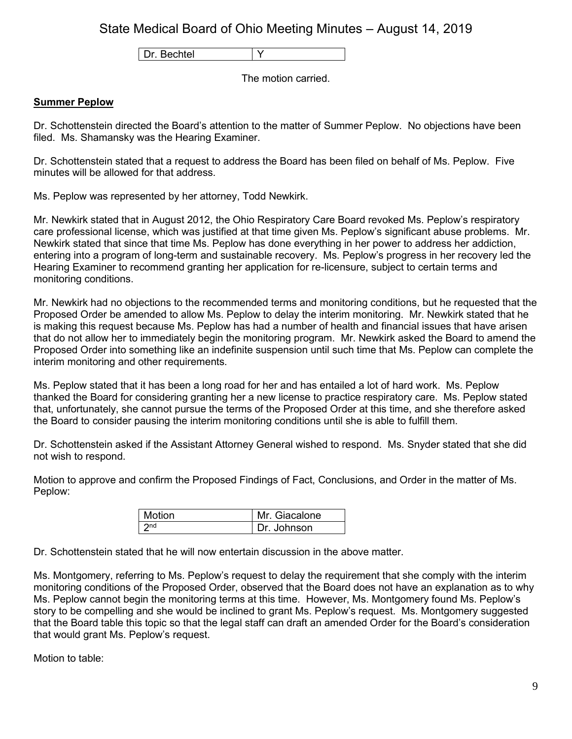Dr. Bechtel | Y

The motion carried.

## **Summer Peplow**

Dr. Schottenstein directed the Board's attention to the matter of Summer Peplow. No objections have been filed. Ms. Shamansky was the Hearing Examiner.

Dr. Schottenstein stated that a request to address the Board has been filed on behalf of Ms. Peplow. Five minutes will be allowed for that address.

Ms. Peplow was represented by her attorney, Todd Newkirk.

Mr. Newkirk stated that in August 2012, the Ohio Respiratory Care Board revoked Ms. Peplow's respiratory care professional license, which was justified at that time given Ms. Peplow's significant abuse problems. Mr. Newkirk stated that since that time Ms. Peplow has done everything in her power to address her addiction, entering into a program of long-term and sustainable recovery. Ms. Peplow's progress in her recovery led the Hearing Examiner to recommend granting her application for re-licensure, subject to certain terms and monitoring conditions.

Mr. Newkirk had no objections to the recommended terms and monitoring conditions, but he requested that the Proposed Order be amended to allow Ms. Peplow to delay the interim monitoring. Mr. Newkirk stated that he is making this request because Ms. Peplow has had a number of health and financial issues that have arisen that do not allow her to immediately begin the monitoring program. Mr. Newkirk asked the Board to amend the Proposed Order into something like an indefinite suspension until such time that Ms. Peplow can complete the interim monitoring and other requirements.

Ms. Peplow stated that it has been a long road for her and has entailed a lot of hard work. Ms. Peplow thanked the Board for considering granting her a new license to practice respiratory care. Ms. Peplow stated that, unfortunately, she cannot pursue the terms of the Proposed Order at this time, and she therefore asked the Board to consider pausing the interim monitoring conditions until she is able to fulfill them.

Dr. Schottenstein asked if the Assistant Attorney General wished to respond. Ms. Snyder stated that she did not wish to respond.

Motion to approve and confirm the Proposed Findings of Fact, Conclusions, and Order in the matter of Ms. Peplow:

| <b>Motion</b> | Mr. Giacalone |
|---------------|---------------|
| つnd           | Dr. Johnson   |

Dr. Schottenstein stated that he will now entertain discussion in the above matter.

Ms. Montgomery, referring to Ms. Peplow's request to delay the requirement that she comply with the interim monitoring conditions of the Proposed Order, observed that the Board does not have an explanation as to why Ms. Peplow cannot begin the monitoring terms at this time. However, Ms. Montgomery found Ms. Peplow's story to be compelling and she would be inclined to grant Ms. Peplow's request. Ms. Montgomery suggested that the Board table this topic so that the legal staff can draft an amended Order for the Board's consideration that would grant Ms. Peplow's request.

Motion to table: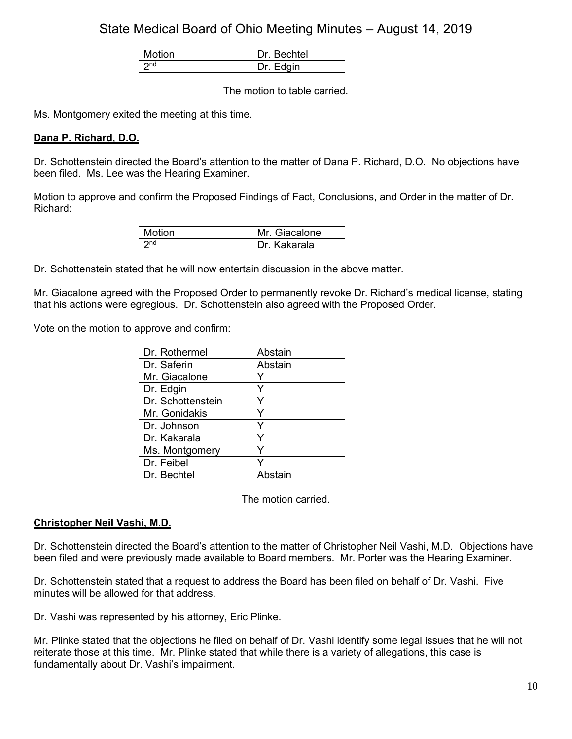| Motion | <b>Bechtel</b> |
|--------|----------------|
| つnd    | Edgin          |

The motion to table carried.

Ms. Montgomery exited the meeting at this time.

## **Dana P. Richard, D.O.**

Dr. Schottenstein directed the Board's attention to the matter of Dana P. Richard, D.O. No objections have been filed. Ms. Lee was the Hearing Examiner.

Motion to approve and confirm the Proposed Findings of Fact, Conclusions, and Order in the matter of Dr. Richard:

| Motion | Mr. Giacalone  |
|--------|----------------|
| ond    | ı Dr. Kakarala |

Dr. Schottenstein stated that he will now entertain discussion in the above matter.

Mr. Giacalone agreed with the Proposed Order to permanently revoke Dr. Richard's medical license, stating that his actions were egregious. Dr. Schottenstein also agreed with the Proposed Order.

Vote on the motion to approve and confirm:

| Dr. Rothermel     | Abstain |
|-------------------|---------|
| Dr. Saferin       | Abstain |
| Mr. Giacalone     | Y       |
| Dr. Edgin         | Υ       |
| Dr. Schottenstein |         |
| Mr. Gonidakis     | Y       |
| Dr. Johnson       | Y       |
| Dr. Kakarala      |         |
| Ms. Montgomery    | Y       |
| Dr. Feibel        |         |
| Dr. Bechtel       | Abstain |

The motion carried.

## **Christopher Neil Vashi, M.D.**

Dr. Schottenstein directed the Board's attention to the matter of Christopher Neil Vashi, M.D. Objections have been filed and were previously made available to Board members. Mr. Porter was the Hearing Examiner.

Dr. Schottenstein stated that a request to address the Board has been filed on behalf of Dr. Vashi. Five minutes will be allowed for that address.

Dr. Vashi was represented by his attorney, Eric Plinke.

Mr. Plinke stated that the objections he filed on behalf of Dr. Vashi identify some legal issues that he will not reiterate those at this time. Mr. Plinke stated that while there is a variety of allegations, this case is fundamentally about Dr. Vashi's impairment.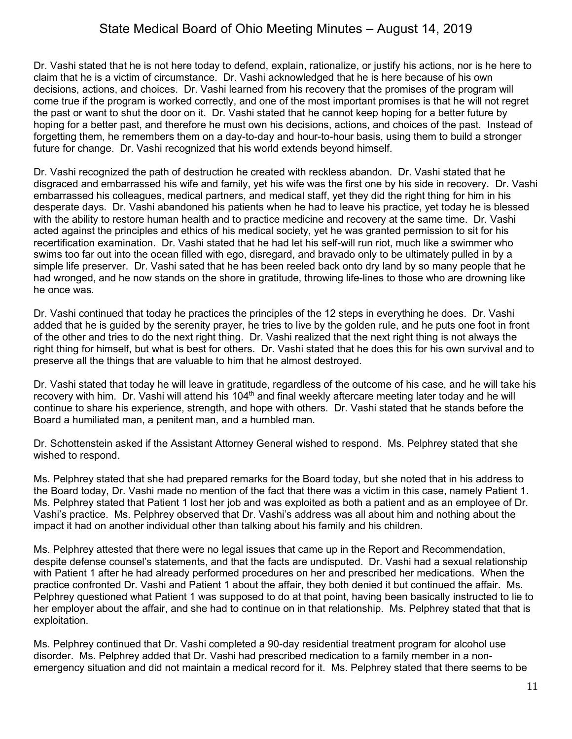Dr. Vashi stated that he is not here today to defend, explain, rationalize, or justify his actions, nor is he here to claim that he is a victim of circumstance. Dr. Vashi acknowledged that he is here because of his own decisions, actions, and choices. Dr. Vashi learned from his recovery that the promises of the program will come true if the program is worked correctly, and one of the most important promises is that he will not regret the past or want to shut the door on it. Dr. Vashi stated that he cannot keep hoping for a better future by hoping for a better past, and therefore he must own his decisions, actions, and choices of the past. Instead of forgetting them, he remembers them on a day-to-day and hour-to-hour basis, using them to build a stronger future for change. Dr. Vashi recognized that his world extends beyond himself.

Dr. Vashi recognized the path of destruction he created with reckless abandon. Dr. Vashi stated that he disgraced and embarrassed his wife and family, yet his wife was the first one by his side in recovery. Dr. Vashi embarrassed his colleagues, medical partners, and medical staff, yet they did the right thing for him in his desperate days. Dr. Vashi abandoned his patients when he had to leave his practice, yet today he is blessed with the ability to restore human health and to practice medicine and recovery at the same time. Dr. Vashi acted against the principles and ethics of his medical society, yet he was granted permission to sit for his recertification examination. Dr. Vashi stated that he had let his self-will run riot, much like a swimmer who swims too far out into the ocean filled with ego, disregard, and bravado only to be ultimately pulled in by a simple life preserver. Dr. Vashi sated that he has been reeled back onto dry land by so many people that he had wronged, and he now stands on the shore in gratitude, throwing life-lines to those who are drowning like he once was.

Dr. Vashi continued that today he practices the principles of the 12 steps in everything he does. Dr. Vashi added that he is guided by the serenity prayer, he tries to live by the golden rule, and he puts one foot in front of the other and tries to do the next right thing. Dr. Vashi realized that the next right thing is not always the right thing for himself, but what is best for others. Dr. Vashi stated that he does this for his own survival and to preserve all the things that are valuable to him that he almost destroyed.

Dr. Vashi stated that today he will leave in gratitude, regardless of the outcome of his case, and he will take his recovery with him. Dr. Vashi will attend his 104<sup>th</sup> and final weekly aftercare meeting later today and he will continue to share his experience, strength, and hope with others. Dr. Vashi stated that he stands before the Board a humiliated man, a penitent man, and a humbled man.

Dr. Schottenstein asked if the Assistant Attorney General wished to respond. Ms. Pelphrey stated that she wished to respond.

Ms. Pelphrey stated that she had prepared remarks for the Board today, but she noted that in his address to the Board today, Dr. Vashi made no mention of the fact that there was a victim in this case, namely Patient 1. Ms. Pelphrey stated that Patient 1 lost her job and was exploited as both a patient and as an employee of Dr. Vashi's practice. Ms. Pelphrey observed that Dr. Vashi's address was all about him and nothing about the impact it had on another individual other than talking about his family and his children.

Ms. Pelphrey attested that there were no legal issues that came up in the Report and Recommendation, despite defense counsel's statements, and that the facts are undisputed. Dr. Vashi had a sexual relationship with Patient 1 after he had already performed procedures on her and prescribed her medications. When the practice confronted Dr. Vashi and Patient 1 about the affair, they both denied it but continued the affair. Ms. Pelphrey questioned what Patient 1 was supposed to do at that point, having been basically instructed to lie to her employer about the affair, and she had to continue on in that relationship. Ms. Pelphrey stated that that is exploitation.

Ms. Pelphrey continued that Dr. Vashi completed a 90-day residential treatment program for alcohol use disorder. Ms. Pelphrey added that Dr. Vashi had prescribed medication to a family member in a nonemergency situation and did not maintain a medical record for it. Ms. Pelphrey stated that there seems to be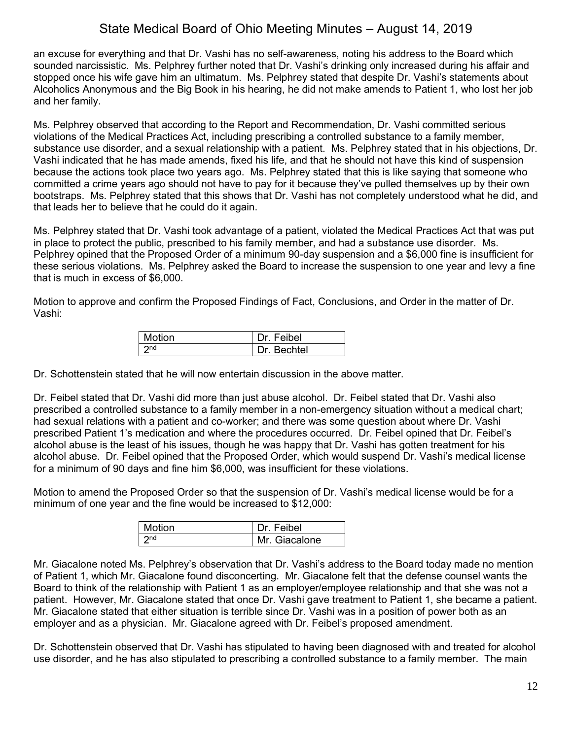an excuse for everything and that Dr. Vashi has no self-awareness, noting his address to the Board which sounded narcissistic. Ms. Pelphrey further noted that Dr. Vashi's drinking only increased during his affair and stopped once his wife gave him an ultimatum. Ms. Pelphrey stated that despite Dr. Vashi's statements about Alcoholics Anonymous and the Big Book in his hearing, he did not make amends to Patient 1, who lost her job and her family.

Ms. Pelphrey observed that according to the Report and Recommendation, Dr. Vashi committed serious violations of the Medical Practices Act, including prescribing a controlled substance to a family member, substance use disorder, and a sexual relationship with a patient. Ms. Pelphrey stated that in his objections, Dr. Vashi indicated that he has made amends, fixed his life, and that he should not have this kind of suspension because the actions took place two years ago. Ms. Pelphrey stated that this is like saying that someone who committed a crime years ago should not have to pay for it because they've pulled themselves up by their own bootstraps. Ms. Pelphrey stated that this shows that Dr. Vashi has not completely understood what he did, and that leads her to believe that he could do it again.

Ms. Pelphrey stated that Dr. Vashi took advantage of a patient, violated the Medical Practices Act that was put in place to protect the public, prescribed to his family member, and had a substance use disorder. Ms. Pelphrey opined that the Proposed Order of a minimum 90-day suspension and a \$6,000 fine is insufficient for these serious violations. Ms. Pelphrey asked the Board to increase the suspension to one year and levy a fine that is much in excess of \$6,000.

Motion to approve and confirm the Proposed Findings of Fact, Conclusions, and Order in the matter of Dr. Vashi:

| <b>Motion</b> | Dr. Feibel  |
|---------------|-------------|
| l ond         | Dr. Bechtel |

Dr. Schottenstein stated that he will now entertain discussion in the above matter.

Dr. Feibel stated that Dr. Vashi did more than just abuse alcohol. Dr. Feibel stated that Dr. Vashi also prescribed a controlled substance to a family member in a non-emergency situation without a medical chart; had sexual relations with a patient and co-worker; and there was some question about where Dr. Vashi prescribed Patient 1's medication and where the procedures occurred. Dr. Feibel opined that Dr. Feibel's alcohol abuse is the least of his issues, though he was happy that Dr. Vashi has gotten treatment for his alcohol abuse. Dr. Feibel opined that the Proposed Order, which would suspend Dr. Vashi's medical license for a minimum of 90 days and fine him \$6,000, was insufficient for these violations.

Motion to amend the Proposed Order so that the suspension of Dr. Vashi's medical license would be for a minimum of one year and the fine would be increased to \$12,000:

| Motion          | Dr. Feibel    |
|-----------------|---------------|
| 2 <sub>nd</sub> | Mr. Giacalone |

Mr. Giacalone noted Ms. Pelphrey's observation that Dr. Vashi's address to the Board today made no mention of Patient 1, which Mr. Giacalone found disconcerting. Mr. Giacalone felt that the defense counsel wants the Board to think of the relationship with Patient 1 as an employer/employee relationship and that she was not a patient. However, Mr. Giacalone stated that once Dr. Vashi gave treatment to Patient 1, she became a patient. Mr. Giacalone stated that either situation is terrible since Dr. Vashi was in a position of power both as an employer and as a physician. Mr. Giacalone agreed with Dr. Feibel's proposed amendment.

Dr. Schottenstein observed that Dr. Vashi has stipulated to having been diagnosed with and treated for alcohol use disorder, and he has also stipulated to prescribing a controlled substance to a family member. The main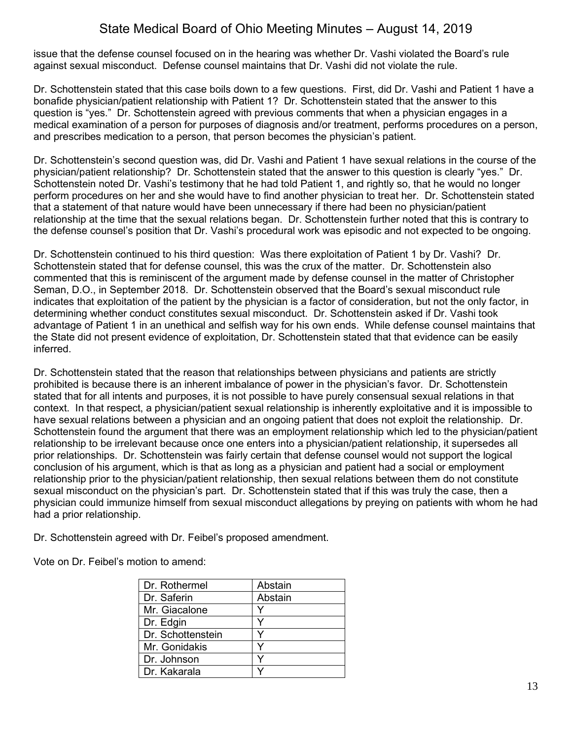issue that the defense counsel focused on in the hearing was whether Dr. Vashi violated the Board's rule against sexual misconduct. Defense counsel maintains that Dr. Vashi did not violate the rule.

Dr. Schottenstein stated that this case boils down to a few questions. First, did Dr. Vashi and Patient 1 have a bonafide physician/patient relationship with Patient 1? Dr. Schottenstein stated that the answer to this question is "yes." Dr. Schottenstein agreed with previous comments that when a physician engages in a medical examination of a person for purposes of diagnosis and/or treatment, performs procedures on a person, and prescribes medication to a person, that person becomes the physician's patient.

Dr. Schottenstein's second question was, did Dr. Vashi and Patient 1 have sexual relations in the course of the physician/patient relationship? Dr. Schottenstein stated that the answer to this question is clearly "yes." Dr. Schottenstein noted Dr. Vashi's testimony that he had told Patient 1, and rightly so, that he would no longer perform procedures on her and she would have to find another physician to treat her. Dr. Schottenstein stated that a statement of that nature would have been unnecessary if there had been no physician/patient relationship at the time that the sexual relations began. Dr. Schottenstein further noted that this is contrary to the defense counsel's position that Dr. Vashi's procedural work was episodic and not expected to be ongoing.

Dr. Schottenstein continued to his third question: Was there exploitation of Patient 1 by Dr. Vashi? Dr. Schottenstein stated that for defense counsel, this was the crux of the matter. Dr. Schottenstein also commented that this is reminiscent of the argument made by defense counsel in the matter of Christopher Seman, D.O., in September 2018. Dr. Schottenstein observed that the Board's sexual misconduct rule indicates that exploitation of the patient by the physician is a factor of consideration, but not the only factor, in determining whether conduct constitutes sexual misconduct. Dr. Schottenstein asked if Dr. Vashi took advantage of Patient 1 in an unethical and selfish way for his own ends. While defense counsel maintains that the State did not present evidence of exploitation, Dr. Schottenstein stated that that evidence can be easily inferred.

Dr. Schottenstein stated that the reason that relationships between physicians and patients are strictly prohibited is because there is an inherent imbalance of power in the physician's favor. Dr. Schottenstein stated that for all intents and purposes, it is not possible to have purely consensual sexual relations in that context. In that respect, a physician/patient sexual relationship is inherently exploitative and it is impossible to have sexual relations between a physician and an ongoing patient that does not exploit the relationship. Dr. Schottenstein found the argument that there was an employment relationship which led to the physician/patient relationship to be irrelevant because once one enters into a physician/patient relationship, it supersedes all prior relationships. Dr. Schottenstein was fairly certain that defense counsel would not support the logical conclusion of his argument, which is that as long as a physician and patient had a social or employment relationship prior to the physician/patient relationship, then sexual relations between them do not constitute sexual misconduct on the physician's part. Dr. Schottenstein stated that if this was truly the case, then a physician could immunize himself from sexual misconduct allegations by preying on patients with whom he had had a prior relationship.

Dr. Schottenstein agreed with Dr. Feibel's proposed amendment.

Vote on Dr. Feibel's motion to amend:

| Dr. Rothermel     | Abstain |
|-------------------|---------|
| Dr. Saferin       | Abstain |
| Mr. Giacalone     |         |
| Dr. Edgin         | v       |
| Dr. Schottenstein |         |
| Mr. Gonidakis     | v       |
| Dr. Johnson       |         |
| Dr. Kakarala      |         |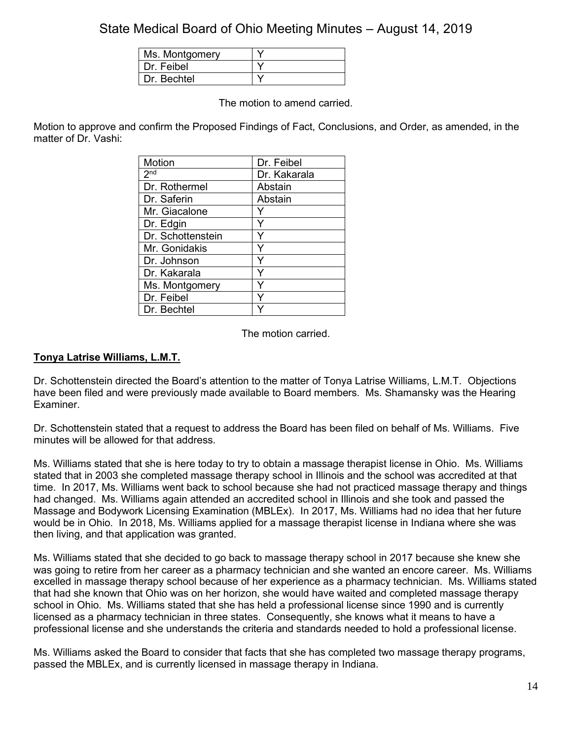| Ms. Montgomery |  |
|----------------|--|
| Dr. Feibel     |  |
| Dr. Bechtel    |  |

The motion to amend carried.

Motion to approve and confirm the Proposed Findings of Fact, Conclusions, and Order, as amended, in the matter of Dr. Vashi:

| <b>Motion</b>     | Dr. Feibel   |
|-------------------|--------------|
| 2 <sup>nd</sup>   | Dr. Kakarala |
| Dr. Rothermel     | Abstain      |
| Dr. Saferin       | Abstain      |
| Mr. Giacalone     |              |
| Dr. Edgin         | Y            |
| Dr. Schottenstein |              |
| Mr. Gonidakis     | Ý            |
| Dr. Johnson       | Y            |
| Dr. Kakarala      | Y            |
| Ms. Montgomery    |              |
| Dr. Feibel        |              |
| Dr. Bechtel       |              |

The motion carried.

## **Tonya Latrise Williams, L.M.T.**

Dr. Schottenstein directed the Board's attention to the matter of Tonya Latrise Williams, L.M.T. Objections have been filed and were previously made available to Board members. Ms. Shamansky was the Hearing Examiner.

Dr. Schottenstein stated that a request to address the Board has been filed on behalf of Ms. Williams. Five minutes will be allowed for that address.

Ms. Williams stated that she is here today to try to obtain a massage therapist license in Ohio. Ms. Williams stated that in 2003 she completed massage therapy school in Illinois and the school was accredited at that time. In 2017, Ms. Williams went back to school because she had not practiced massage therapy and things had changed. Ms. Williams again attended an accredited school in Illinois and she took and passed the Massage and Bodywork Licensing Examination (MBLEx). In 2017, Ms. Williams had no idea that her future would be in Ohio. In 2018, Ms. Williams applied for a massage therapist license in Indiana where she was then living, and that application was granted.

Ms. Williams stated that she decided to go back to massage therapy school in 2017 because she knew she was going to retire from her career as a pharmacy technician and she wanted an encore career. Ms. Williams excelled in massage therapy school because of her experience as a pharmacy technician. Ms. Williams stated that had she known that Ohio was on her horizon, she would have waited and completed massage therapy school in Ohio. Ms. Williams stated that she has held a professional license since 1990 and is currently licensed as a pharmacy technician in three states. Consequently, she knows what it means to have a professional license and she understands the criteria and standards needed to hold a professional license.

Ms. Williams asked the Board to consider that facts that she has completed two massage therapy programs, passed the MBLEx, and is currently licensed in massage therapy in Indiana.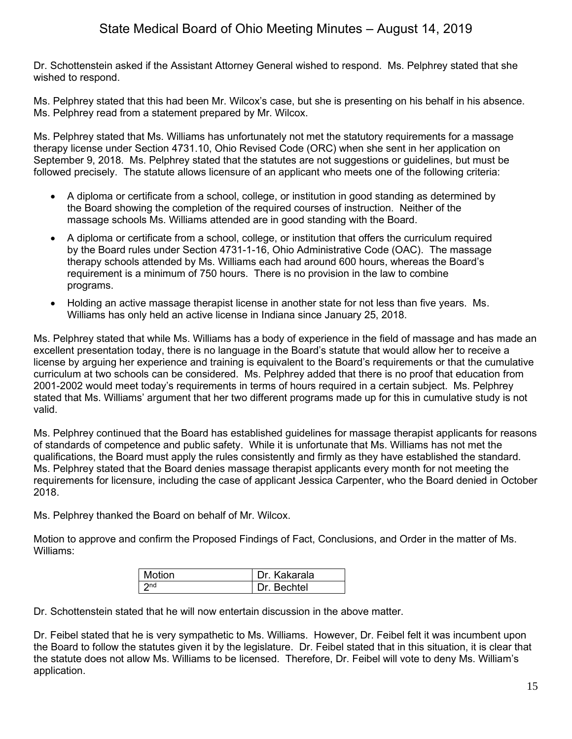Dr. Schottenstein asked if the Assistant Attorney General wished to respond. Ms. Pelphrey stated that she wished to respond.

Ms. Pelphrey stated that this had been Mr. Wilcox's case, but she is presenting on his behalf in his absence. Ms. Pelphrey read from a statement prepared by Mr. Wilcox.

Ms. Pelphrey stated that Ms. Williams has unfortunately not met the statutory requirements for a massage therapy license under Section 4731.10, Ohio Revised Code (ORC) when she sent in her application on September 9, 2018. Ms. Pelphrey stated that the statutes are not suggestions or guidelines, but must be followed precisely. The statute allows licensure of an applicant who meets one of the following criteria:

- A diploma or certificate from a school, college, or institution in good standing as determined by the Board showing the completion of the required courses of instruction. Neither of the massage schools Ms. Williams attended are in good standing with the Board.
- A diploma or certificate from a school, college, or institution that offers the curriculum required by the Board rules under Section 4731-1-16, Ohio Administrative Code (OAC). The massage therapy schools attended by Ms. Williams each had around 600 hours, whereas the Board's requirement is a minimum of 750 hours. There is no provision in the law to combine programs.
- Holding an active massage therapist license in another state for not less than five years. Ms. Williams has only held an active license in Indiana since January 25, 2018.

Ms. Pelphrey stated that while Ms. Williams has a body of experience in the field of massage and has made an excellent presentation today, there is no language in the Board's statute that would allow her to receive a license by arguing her experience and training is equivalent to the Board's requirements or that the cumulative curriculum at two schools can be considered. Ms. Pelphrey added that there is no proof that education from 2001-2002 would meet today's requirements in terms of hours required in a certain subject. Ms. Pelphrey stated that Ms. Williams' argument that her two different programs made up for this in cumulative study is not valid.

Ms. Pelphrey continued that the Board has established guidelines for massage therapist applicants for reasons of standards of competence and public safety. While it is unfortunate that Ms. Williams has not met the qualifications, the Board must apply the rules consistently and firmly as they have established the standard. Ms. Pelphrey stated that the Board denies massage therapist applicants every month for not meeting the requirements for licensure, including the case of applicant Jessica Carpenter, who the Board denied in October 2018.

Ms. Pelphrey thanked the Board on behalf of Mr. Wilcox.

Motion to approve and confirm the Proposed Findings of Fact, Conclusions, and Order in the matter of Ms. Williams:

| Motion | Dr. Kakarala |
|--------|--------------|
| ond    | Dr Bechtel   |

Dr. Schottenstein stated that he will now entertain discussion in the above matter.

Dr. Feibel stated that he is very sympathetic to Ms. Williams. However, Dr. Feibel felt it was incumbent upon the Board to follow the statutes given it by the legislature. Dr. Feibel stated that in this situation, it is clear that the statute does not allow Ms. Williams to be licensed. Therefore, Dr. Feibel will vote to deny Ms. William's application.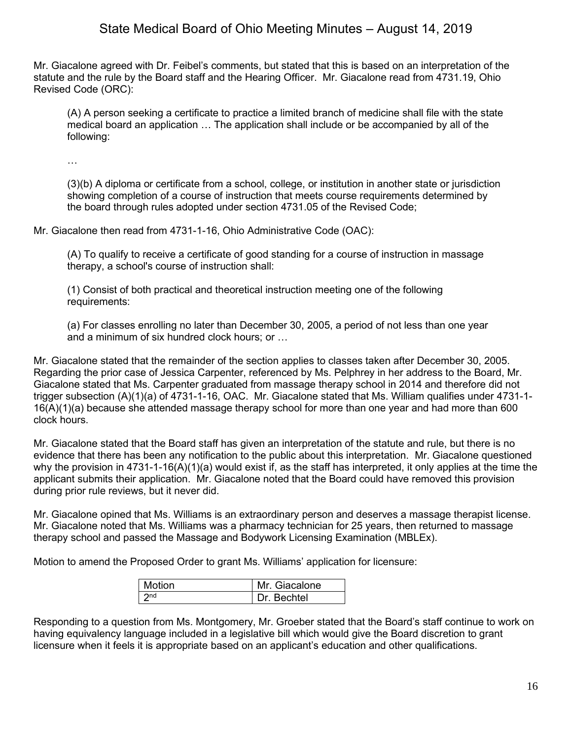Mr. Giacalone agreed with Dr. Feibel's comments, but stated that this is based on an interpretation of the statute and the rule by the Board staff and the Hearing Officer. Mr. Giacalone read from 4731.19, Ohio Revised Code (ORC):

(A) A person seeking a certificate to practice a limited branch of medicine shall file with the state medical board an application … The application shall include or be accompanied by all of the following:

…

(3)(b) A diploma or certificate from a school, college, or institution in another state or jurisdiction showing completion of a course of instruction that meets course requirements determined by the board through rules adopted under section 4731.05 of the Revised Code;

Mr. Giacalone then read from 4731-1-16, Ohio Administrative Code (OAC):

(A) To qualify to receive a certificate of good standing for a course of instruction in massage therapy, a school's course of instruction shall:

(1) Consist of both practical and theoretical instruction meeting one of the following requirements:

(a) For classes enrolling no later than December 30, 2005, a period of not less than one year and a minimum of six hundred clock hours; or …

Mr. Giacalone stated that the remainder of the section applies to classes taken after December 30, 2005. Regarding the prior case of Jessica Carpenter, referenced by Ms. Pelphrey in her address to the Board, Mr. Giacalone stated that Ms. Carpenter graduated from massage therapy school in 2014 and therefore did not trigger subsection (A)(1)(a) of 4731-1-16, OAC. Mr. Giacalone stated that Ms. William qualifies under 4731-1- 16(A)(1)(a) because she attended massage therapy school for more than one year and had more than 600 clock hours.

Mr. Giacalone stated that the Board staff has given an interpretation of the statute and rule, but there is no evidence that there has been any notification to the public about this interpretation. Mr. Giacalone questioned why the provision in 4731-1-16(A)(1)(a) would exist if, as the staff has interpreted, it only applies at the time the applicant submits their application. Mr. Giacalone noted that the Board could have removed this provision during prior rule reviews, but it never did.

Mr. Giacalone opined that Ms. Williams is an extraordinary person and deserves a massage therapist license. Mr. Giacalone noted that Ms. Williams was a pharmacy technician for 25 years, then returned to massage therapy school and passed the Massage and Bodywork Licensing Examination (MBLEx).

Motion to amend the Proposed Order to grant Ms. Williams' application for licensure:

| <b>Motion</b> | Mr. Giacalone |
|---------------|---------------|
| ond           | Dr Bechtel    |

Responding to a question from Ms. Montgomery, Mr. Groeber stated that the Board's staff continue to work on having equivalency language included in a legislative bill which would give the Board discretion to grant licensure when it feels it is appropriate based on an applicant's education and other qualifications.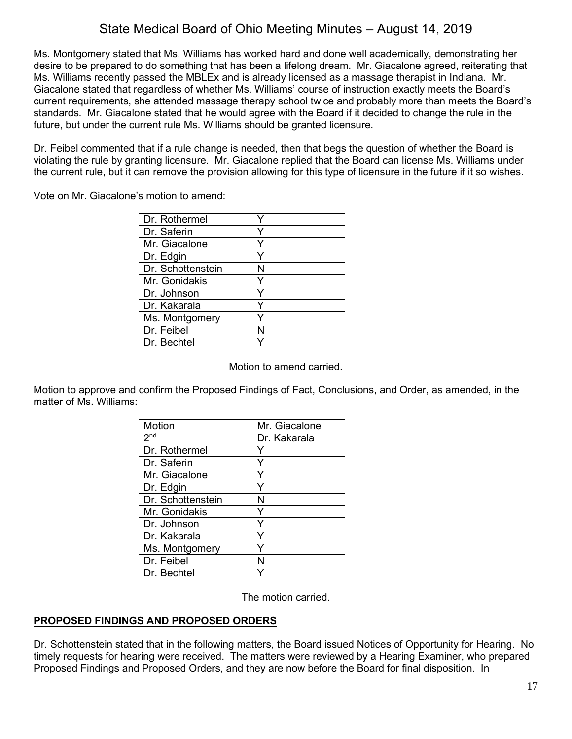Ms. Montgomery stated that Ms. Williams has worked hard and done well academically, demonstrating her desire to be prepared to do something that has been a lifelong dream. Mr. Giacalone agreed, reiterating that Ms. Williams recently passed the MBLEx and is already licensed as a massage therapist in Indiana. Mr. Giacalone stated that regardless of whether Ms. Williams' course of instruction exactly meets the Board's current requirements, she attended massage therapy school twice and probably more than meets the Board's standards. Mr. Giacalone stated that he would agree with the Board if it decided to change the rule in the future, but under the current rule Ms. Williams should be granted licensure.

Dr. Feibel commented that if a rule change is needed, then that begs the question of whether the Board is violating the rule by granting licensure. Mr. Giacalone replied that the Board can license Ms. Williams under the current rule, but it can remove the provision allowing for this type of licensure in the future if it so wishes.

Vote on Mr. Giacalone's motion to amend:

| Dr. Rothermel     |   |
|-------------------|---|
| Dr. Saferin       |   |
| Mr. Giacalone     | Y |
| Dr. Edgin         | Y |
| Dr. Schottenstein | N |
| Mr. Gonidakis     | Y |
| Dr. Johnson       |   |
| Dr. Kakarala      | Y |
| Ms. Montgomery    |   |
| Dr. Feibel        | N |
| Dr. Bechtel       |   |

Motion to amend carried.

Motion to approve and confirm the Proposed Findings of Fact, Conclusions, and Order, as amended, in the matter of Ms. Williams:

| <b>Motion</b>     | Mr. Giacalone |
|-------------------|---------------|
| 2 <sub>nd</sub>   | Dr. Kakarala  |
| Dr. Rothermel     |               |
| Dr. Saferin       | Y             |
| Mr. Giacalone     |               |
| Dr. Edgin         |               |
| Dr. Schottenstein | N             |
| Mr. Gonidakis     | Y             |
| Dr. Johnson       | Y             |
| Dr. Kakarala      | Y             |
| Ms. Montgomery    |               |
| Dr. Feibel        | N             |
| Dr. Bechtel       |               |

The motion carried.

## **PROPOSED FINDINGS AND PROPOSED ORDERS**

Dr. Schottenstein stated that in the following matters, the Board issued Notices of Opportunity for Hearing. No timely requests for hearing were received. The matters were reviewed by a Hearing Examiner, who prepared Proposed Findings and Proposed Orders, and they are now before the Board for final disposition. In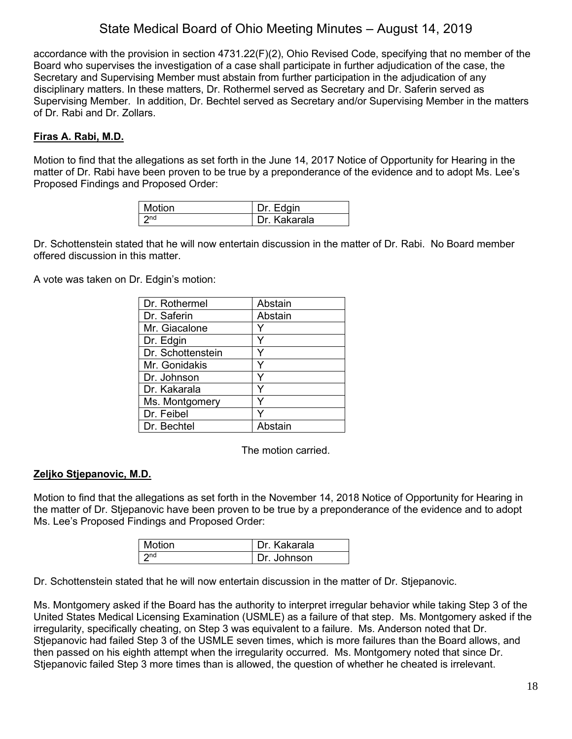accordance with the provision in section 4731.22(F)(2), Ohio Revised Code, specifying that no member of the Board who supervises the investigation of a case shall participate in further adjudication of the case, the Secretary and Supervising Member must abstain from further participation in the adjudication of any disciplinary matters. In these matters, Dr. Rothermel served as Secretary and Dr. Saferin served as Supervising Member. In addition, Dr. Bechtel served as Secretary and/or Supervising Member in the matters of Dr. Rabi and Dr. Zollars.

## **Firas A. Rabi, M.D.**

Motion to find that the allegations as set forth in the June 14, 2017 Notice of Opportunity for Hearing in the matter of Dr. Rabi have been proven to be true by a preponderance of the evidence and to adopt Ms. Lee's Proposed Findings and Proposed Order:

| Motion | Dr. Edgin    |
|--------|--------------|
|        | Dr. Kakarala |

Dr. Schottenstein stated that he will now entertain discussion in the matter of Dr. Rabi. No Board member offered discussion in this matter.

A vote was taken on Dr. Edgin's motion:

| Dr. Rothermel     | Abstain |
|-------------------|---------|
| Dr. Saferin       | Abstain |
| Mr. Giacalone     |         |
| Dr. Edgin         | Y       |
| Dr. Schottenstein |         |
| Mr. Gonidakis     | ٧       |
| Dr. Johnson       |         |
| Dr. Kakarala      |         |
| Ms. Montgomery    | Y       |
| Dr. Feibel        |         |
| Dr. Bechtel       | Abstain |

The motion carried.

## **Zeljko Stjepanovic, M.D.**

Motion to find that the allegations as set forth in the November 14, 2018 Notice of Opportunity for Hearing in the matter of Dr. Stjepanovic have been proven to be true by a preponderance of the evidence and to adopt Ms. Lee's Proposed Findings and Proposed Order:

| Motion                   | Dr. Kakarala |
|--------------------------|--------------|
| $\boldsymbol{\gamma}$ nd | Dr. Johnson  |

Dr. Schottenstein stated that he will now entertain discussion in the matter of Dr. Stjepanovic.

Ms. Montgomery asked if the Board has the authority to interpret irregular behavior while taking Step 3 of the United States Medical Licensing Examination (USMLE) as a failure of that step. Ms. Montgomery asked if the irregularity, specifically cheating, on Step 3 was equivalent to a failure. Ms. Anderson noted that Dr. Stjepanovic had failed Step 3 of the USMLE seven times, which is more failures than the Board allows, and then passed on his eighth attempt when the irregularity occurred. Ms. Montgomery noted that since Dr. Stjepanovic failed Step 3 more times than is allowed, the question of whether he cheated is irrelevant.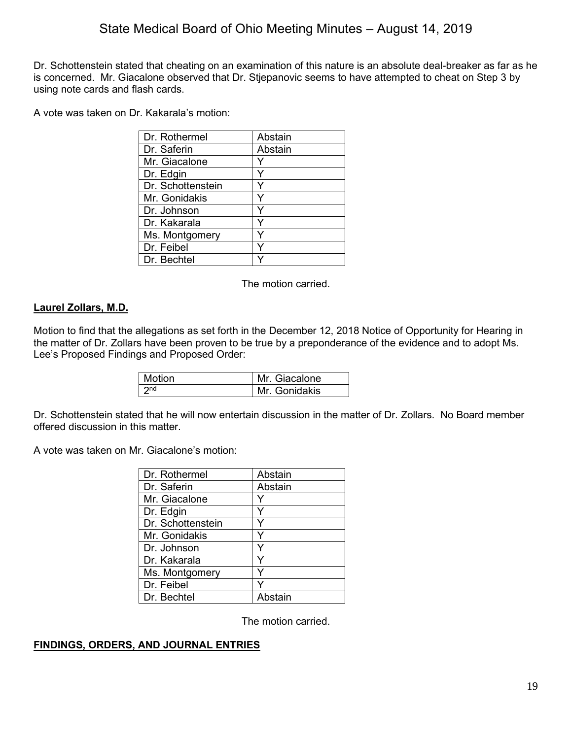Dr. Schottenstein stated that cheating on an examination of this nature is an absolute deal-breaker as far as he is concerned. Mr. Giacalone observed that Dr. Stjepanovic seems to have attempted to cheat on Step 3 by using note cards and flash cards.

A vote was taken on Dr. Kakarala's motion:

| Abstain |
|---------|
| Abstain |
|         |
|         |
|         |
|         |
|         |
|         |
|         |
|         |
|         |
|         |

The motion carried.

## **Laurel Zollars, M.D.**

Motion to find that the allegations as set forth in the December 12, 2018 Notice of Opportunity for Hearing in the matter of Dr. Zollars have been proven to be true by a preponderance of the evidence and to adopt Ms. Lee's Proposed Findings and Proposed Order:

| Motion          | Mr. Giacalone |
|-----------------|---------------|
| 2 <sub>nd</sub> | Mr. Gonidakis |

Dr. Schottenstein stated that he will now entertain discussion in the matter of Dr. Zollars. No Board member offered discussion in this matter.

A vote was taken on Mr. Giacalone's motion:

| Dr. Rothermel     | Abstain |
|-------------------|---------|
| Dr. Saferin       | Abstain |
| Mr. Giacalone     | Y       |
| Dr. Edgin         | Y       |
| Dr. Schottenstein |         |
| Mr. Gonidakis     | Y       |
| Dr. Johnson       | Υ       |
| Dr. Kakarala      | Y       |
| Ms. Montgomery    | Y       |
| Dr. Feibel        |         |
| Dr. Bechtel       | Abstain |

The motion carried.

## **FINDINGS, ORDERS, AND JOURNAL ENTRIES**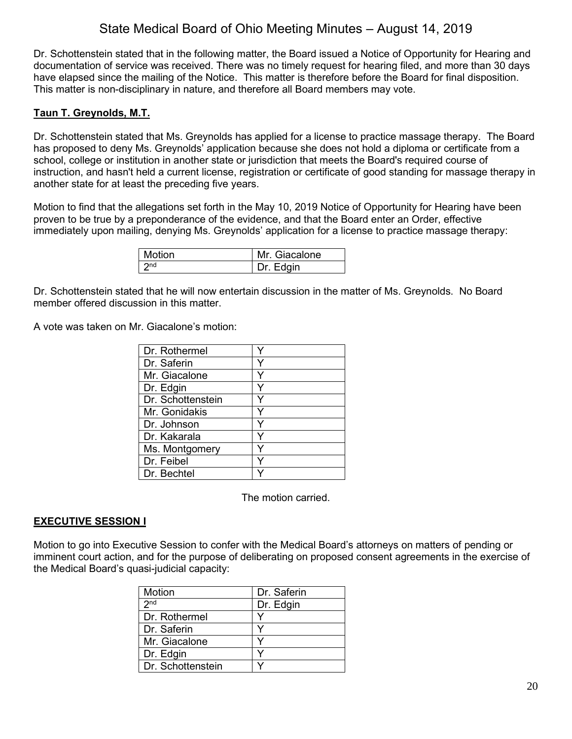Dr. Schottenstein stated that in the following matter, the Board issued a Notice of Opportunity for Hearing and documentation of service was received. There was no timely request for hearing filed, and more than 30 days have elapsed since the mailing of the Notice. This matter is therefore before the Board for final disposition. This matter is non-disciplinary in nature, and therefore all Board members may vote.

## **Taun T. Greynolds, M.T.**

Dr. Schottenstein stated that Ms. Greynolds has applied for a license to practice massage therapy. The Board has proposed to deny Ms. Greynolds' application because she does not hold a diploma or certificate from a school, college or institution in another state or jurisdiction that meets the Board's required course of instruction, and hasn't held a current license, registration or certificate of good standing for massage therapy in another state for at least the preceding five years.

Motion to find that the allegations set forth in the May 10, 2019 Notice of Opportunity for Hearing have been proven to be true by a preponderance of the evidence, and that the Board enter an Order, effective immediately upon mailing, denying Ms. Greynolds' application for a license to practice massage therapy:

| Motion | Mr. Giacalone |
|--------|---------------|
|        | Dr. Edgin     |

Dr. Schottenstein stated that he will now entertain discussion in the matter of Ms. Greynolds. No Board member offered discussion in this matter.

A vote was taken on Mr. Giacalone's motion:

| Dr. Rothermel     |   |
|-------------------|---|
| Dr. Saferin       |   |
| Mr. Giacalone     |   |
| Dr. Edgin         | v |
| Dr. Schottenstein |   |
| Mr. Gonidakis     | Y |
| Dr. Johnson       | ٧ |
| Dr. Kakarala      |   |
| Ms. Montgomery    |   |
| Dr. Feibel        |   |
| Dr. Bechtel       |   |

The motion carried.

## **EXECUTIVE SESSION I**

Motion to go into Executive Session to confer with the Medical Board's attorneys on matters of pending or imminent court action, and for the purpose of deliberating on proposed consent agreements in the exercise of the Medical Board's quasi-judicial capacity:

| Motion            | Dr. Saferin |
|-------------------|-------------|
| 2 <sub>nd</sub>   | Dr. Edgin   |
| Dr. Rothermel     |             |
| Dr. Saferin       |             |
| Mr. Giacalone     |             |
| Dr. Edgin         |             |
| Dr. Schottenstein |             |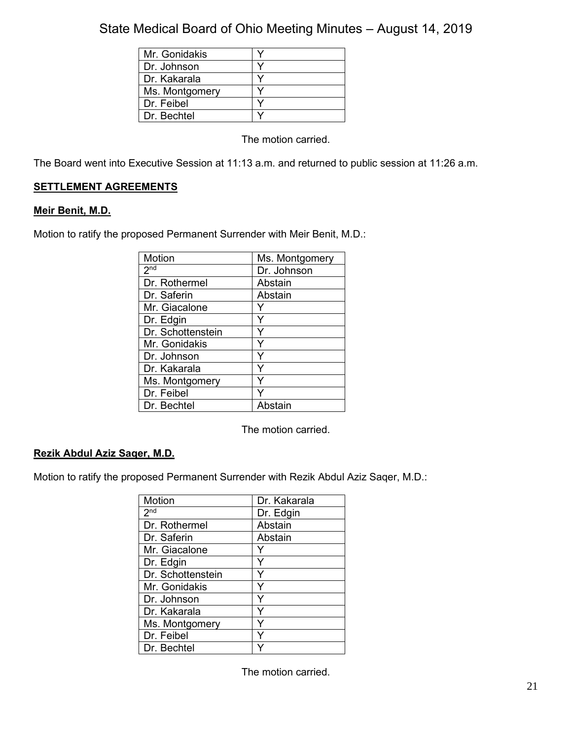| Mr. Gonidakis  |  |
|----------------|--|
| Dr. Johnson    |  |
| Dr. Kakarala   |  |
| Ms. Montgomery |  |
| Dr. Feibel     |  |
| Dr. Bechtel    |  |

The motion carried.

The Board went into Executive Session at 11:13 a.m. and returned to public session at 11:26 a.m.

## **SETTLEMENT AGREEMENTS**

## **Meir Benit, M.D.**

Motion to ratify the proposed Permanent Surrender with Meir Benit, M.D.:

| Motion            | Ms. Montgomery |
|-------------------|----------------|
| 2 <sup>nd</sup>   | Dr. Johnson    |
| Dr. Rothermel     | Abstain        |
| Dr. Saferin       | Abstain        |
| Mr. Giacalone     |                |
| Dr. Edgin         |                |
| Dr. Schottenstein | Y              |
| Mr. Gonidakis     | Y              |
| Dr. Johnson       |                |
| Dr. Kakarala      | ٧              |
| Ms. Montgomery    |                |
| Dr. Feibel        |                |
| Dr. Bechtel       | Abstain        |

The motion carried.

## **Rezik Abdul Aziz Saqer, M.D.**

Motion to ratify the proposed Permanent Surrender with Rezik Abdul Aziz Saqer, M.D.:

| Motion            | Dr. Kakarala |
|-------------------|--------------|
| 2 <sub>nd</sub>   | Dr. Edgin    |
| Dr. Rothermel     | Abstain      |
| Dr. Saferin       | Abstain      |
| Mr. Giacalone     |              |
| Dr. Edgin         | Y            |
| Dr. Schottenstein | Υ            |
| Mr. Gonidakis     | Y            |
| Dr. Johnson       | Υ            |
| Dr. Kakarala      | Υ            |
| Ms. Montgomery    | Y            |
| Dr. Feibel        |              |
| Dr. Bechtel       |              |

The motion carried.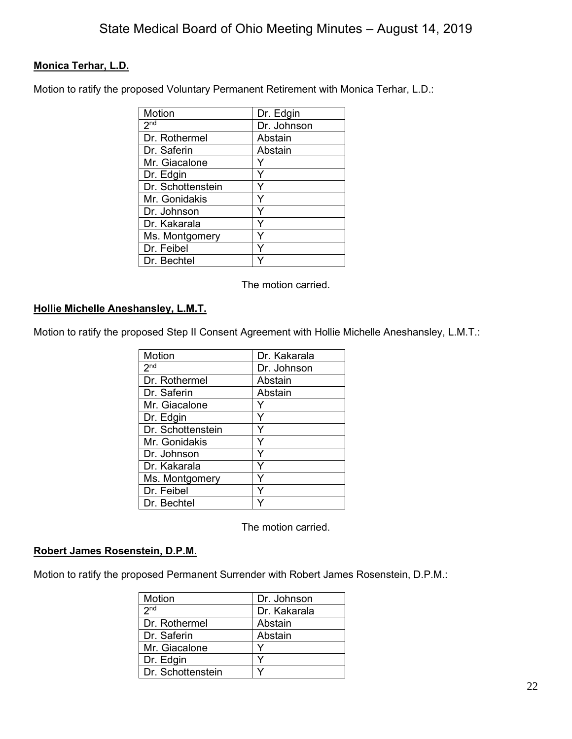## **Monica Terhar, L.D.**

Motion to ratify the proposed Voluntary Permanent Retirement with Monica Terhar, L.D.:

| Motion            | Dr. Edgin   |
|-------------------|-------------|
| 2 <sup>nd</sup>   | Dr. Johnson |
| Dr. Rothermel     | Abstain     |
| Dr. Saferin       | Abstain     |
| Mr. Giacalone     |             |
| Dr. Edgin         | Y           |
| Dr. Schottenstein |             |
| Mr. Gonidakis     | Y           |
| Dr. Johnson       | ٧           |
| Dr. Kakarala      | Υ           |
| Ms. Montgomery    |             |
| Dr. Feibel        |             |
| Dr. Bechtel       |             |

The motion carried.

### **Hollie Michelle Aneshansley, L.M.T.**

Motion to ratify the proposed Step II Consent Agreement with Hollie Michelle Aneshansley, L.M.T.:

| Motion            | Dr. Kakarala |
|-------------------|--------------|
| 2 <sub>nd</sub>   | Dr. Johnson  |
| Dr. Rothermel     | Abstain      |
| Dr. Saferin       | Abstain      |
| Mr. Giacalone     |              |
| Dr. Edgin         | Y            |
| Dr. Schottenstein |              |
| Mr. Gonidakis     |              |
| Dr. Johnson       | ٧            |
| Dr. Kakarala      |              |
| Ms. Montgomery    |              |
| Dr. Feibel        |              |
| Dr. Bechtel       |              |

The motion carried.

## **Robert James Rosenstein, D.P.M.**

Motion to ratify the proposed Permanent Surrender with Robert James Rosenstein, D.P.M.:

| Motion            | Dr. Johnson  |
|-------------------|--------------|
| 2 <sub>nd</sub>   | Dr. Kakarala |
| Dr. Rothermel     | Abstain      |
| Dr. Saferin       | Abstain      |
| Mr. Giacalone     |              |
| Dr. Edgin         |              |
| Dr. Schottenstein |              |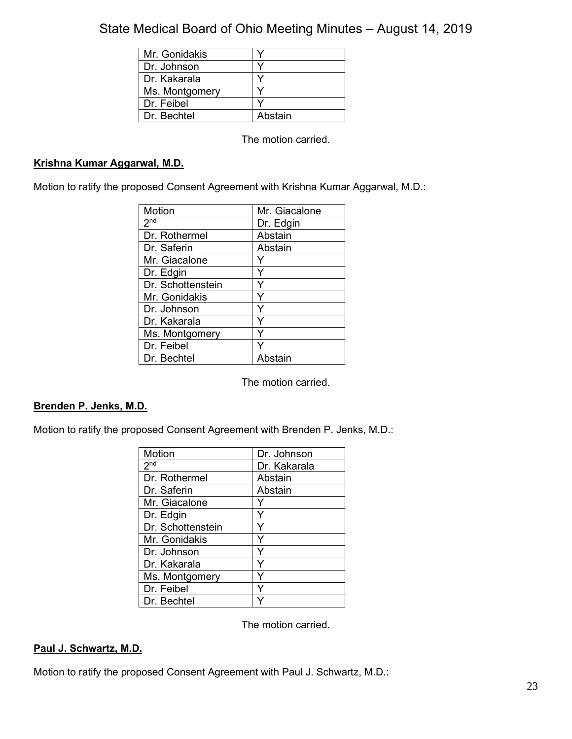| Mr. Gonidakis  |         |
|----------------|---------|
| Dr. Johnson    |         |
| Dr. Kakarala   |         |
| Ms. Montgomery |         |
| Dr. Feibel     |         |
| Dr. Bechtel    | Abstain |

The motion carried.

## **Krishna Kumar Aggarwal, M.D.**

Motion to ratify the proposed Consent Agreement with Krishna Kumar Aggarwal, M.D.:

| Motion            | Mr. Giacalone |
|-------------------|---------------|
| 2 <sub>nd</sub>   | Dr. Edgin     |
| Dr. Rothermel     | Abstain       |
| Dr. Saferin       | Abstain       |
| Mr. Giacalone     |               |
| Dr. Edgin         | Y             |
| Dr. Schottenstein | Y             |
| Mr. Gonidakis     | Y             |
| Dr. Johnson       | Y             |
| Dr. Kakarala      | Y             |
| Ms. Montgomery    |               |
| Dr. Feibel        |               |
| Dr. Bechtel       | Abstain       |

The motion carried.

## **Brenden P. Jenks, M.D.**

Motion to ratify the proposed Consent Agreement with Brenden P. Jenks, M.D.:

| Motion            | Dr. Johnson  |
|-------------------|--------------|
| 2 <sub>nd</sub>   | Dr. Kakarala |
| Dr. Rothermel     | Abstain      |
| Dr. Saferin       | Abstain      |
| Mr. Giacalone     |              |
| Dr. Edgin         |              |
| Dr. Schottenstein | Y            |
| Mr. Gonidakis     | Y            |
| Dr. Johnson       | Y            |
| Dr. Kakarala      | Y            |
| Ms. Montgomery    | Y            |
| Dr. Feibel        |              |
| Dr. Bechtel       |              |

The motion carried.

## **Paul J. Schwartz, M.D.**

Motion to ratify the proposed Consent Agreement with Paul J. Schwartz, M.D.: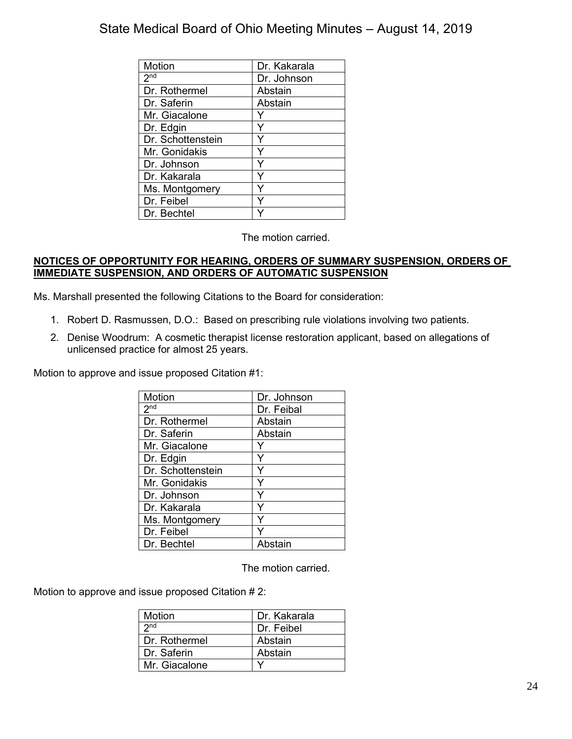| Motion            | Dr. Kakarala |
|-------------------|--------------|
|                   |              |
| 2 <sub>nd</sub>   | Dr. Johnson  |
| Dr. Rothermel     | Abstain      |
| Dr. Saferin       | Abstain      |
| Mr. Giacalone     |              |
| Dr. Edgin         |              |
| Dr. Schottenstein |              |
| Mr. Gonidakis     |              |
| Dr. Johnson       | Y            |
| Dr. Kakarala      | ⋎            |
| Ms. Montgomery    |              |
| Dr. Feibel        |              |
| Dr. Bechtel       |              |

The motion carried.

#### **NOTICES OF OPPORTUNITY FOR HEARING, ORDERS OF SUMMARY SUSPENSION, ORDERS OF IMMEDIATE SUSPENSION, AND ORDERS OF AUTOMATIC SUSPENSION**

Ms. Marshall presented the following Citations to the Board for consideration:

- 1. Robert D. Rasmussen, D.O.: Based on prescribing rule violations involving two patients.
- 2. Denise Woodrum: A cosmetic therapist license restoration applicant, based on allegations of unlicensed practice for almost 25 years.

Motion to approve and issue proposed Citation #1:

| Motion            | Dr. Johnson |
|-------------------|-------------|
| 2 <sup>nd</sup>   | Dr. Feibal  |
| Dr. Rothermel     | Abstain     |
| Dr. Saferin       | Abstain     |
| Mr. Giacalone     |             |
| Dr. Edgin         | Y           |
| Dr. Schottenstein | Y           |
| Mr. Gonidakis     | Y           |
| Dr. Johnson       | Y           |
| Dr. Kakarala      | Υ           |
| Ms. Montgomery    | Y           |
| Dr. Feibel        |             |
| Dr. Bechtel       | Abstain     |

The motion carried.

Motion to approve and issue proposed Citation # 2:

| Motion          | Dr. Kakarala |
|-----------------|--------------|
| 2 <sub>nd</sub> | Dr. Feibel   |
| Dr. Rothermel   | Abstain      |
| Dr. Saferin     | Abstain      |
| Mr. Giacalone   |              |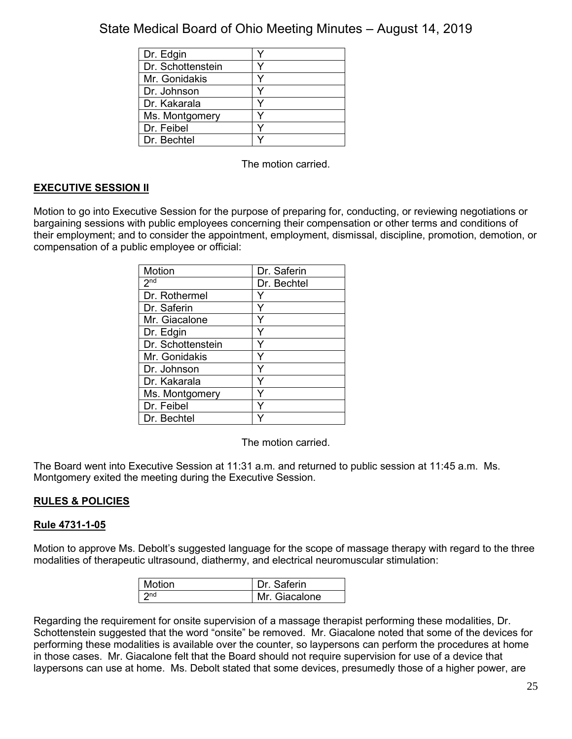| Dr. Edgin         |   |
|-------------------|---|
| Dr. Schottenstein |   |
| Mr. Gonidakis     | ✓ |
| Dr. Johnson       |   |
| Dr. Kakarala      |   |
| Ms. Montgomery    |   |
| Dr. Feibel        |   |
| Dr. Bechtel       |   |

The motion carried.

## **EXECUTIVE SESSION II**

Motion to go into Executive Session for the purpose of preparing for, conducting, or reviewing negotiations or bargaining sessions with public employees concerning their compensation or other terms and conditions of their employment; and to consider the appointment, employment, dismissal, discipline, promotion, demotion, or compensation of a public employee or official:

| Motion            | Dr. Saferin |
|-------------------|-------------|
| 2 <sub>nd</sub>   | Dr. Bechtel |
| Dr. Rothermel     | Y           |
| Dr. Saferin       | Y           |
| Mr. Giacalone     |             |
| Dr. Edgin         |             |
| Dr. Schottenstein | Y           |
| Mr. Gonidakis     | Y           |
| Dr. Johnson       | Y           |
| Dr. Kakarala      | ٧           |
| Ms. Montgomery    |             |
| Dr. Feibel        |             |
| Dr. Bechtel       |             |

The motion carried.

The Board went into Executive Session at 11:31 a.m. and returned to public session at 11:45 a.m. Ms. Montgomery exited the meeting during the Executive Session.

## **RULES & POLICIES**

## **Rule 4731-1-05**

Motion to approve Ms. Debolt's suggested language for the scope of massage therapy with regard to the three modalities of therapeutic ultrasound, diathermy, and electrical neuromuscular stimulation:

| <b>Motion</b>   | Dr. Saferin   |
|-----------------|---------------|
| 2 <sub>nd</sub> | Mr. Giacalone |

Regarding the requirement for onsite supervision of a massage therapist performing these modalities, Dr. Schottenstein suggested that the word "onsite" be removed. Mr. Giacalone noted that some of the devices for performing these modalities is available over the counter, so laypersons can perform the procedures at home in those cases. Mr. Giacalone felt that the Board should not require supervision for use of a device that laypersons can use at home. Ms. Debolt stated that some devices, presumedly those of a higher power, are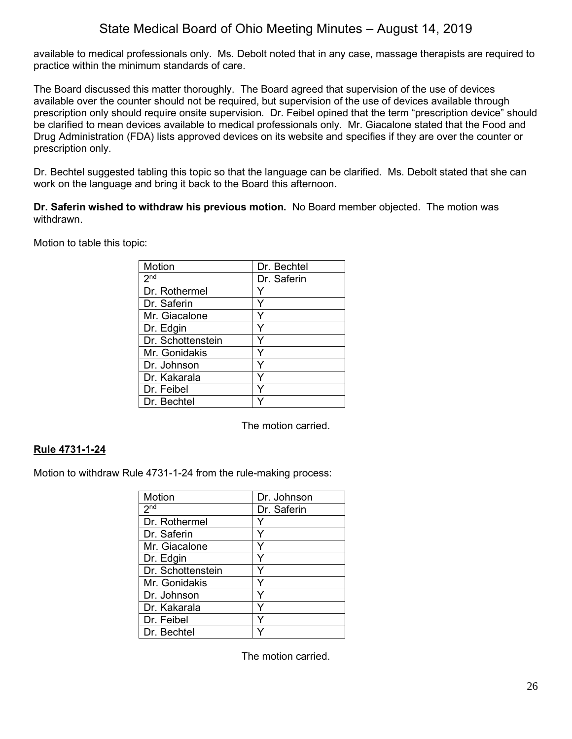available to medical professionals only. Ms. Debolt noted that in any case, massage therapists are required to practice within the minimum standards of care.

The Board discussed this matter thoroughly. The Board agreed that supervision of the use of devices available over the counter should not be required, but supervision of the use of devices available through prescription only should require onsite supervision. Dr. Feibel opined that the term "prescription device" should be clarified to mean devices available to medical professionals only. Mr. Giacalone stated that the Food and Drug Administration (FDA) lists approved devices on its website and specifies if they are over the counter or prescription only.

Dr. Bechtel suggested tabling this topic so that the language can be clarified. Ms. Debolt stated that she can work on the language and bring it back to the Board this afternoon.

**Dr. Saferin wished to withdraw his previous motion.** No Board member objected. The motion was withdrawn.

Motion to table this topic:

| Motion            | Dr. Bechtel |
|-------------------|-------------|
| 2 <sup>nd</sup>   | Dr. Saferin |
| Dr. Rothermel     |             |
| Dr. Saferin       | Y           |
| Mr. Giacalone     |             |
| Dr. Edgin         |             |
| Dr. Schottenstein |             |
| Mr. Gonidakis     | Y           |
| Dr. Johnson       |             |
| Dr. Kakarala      |             |
| Dr. Feibel        |             |
| Dr. Bechtel       |             |

The motion carried.

## **Rule 4731-1-24**

Motion to withdraw Rule 4731-1-24 from the rule-making process:

| Motion            | Dr. Johnson |
|-------------------|-------------|
| 2 <sub>nd</sub>   | Dr. Saferin |
| Dr. Rothermel     |             |
| Dr. Saferin       |             |
| Mr. Giacalone     |             |
| Dr. Edgin         | Y           |
| Dr. Schottenstein |             |
| Mr. Gonidakis     | Y           |
| Dr. Johnson       | ٧           |
| Dr. Kakarala      | ٧           |
| Dr. Feibel        | v           |
| Dr. Bechtel       |             |

The motion carried.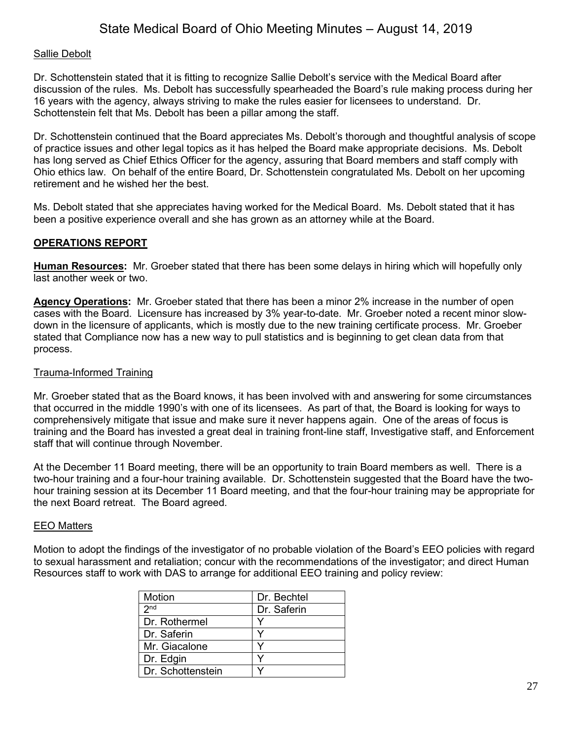## Sallie Debolt

Dr. Schottenstein stated that it is fitting to recognize Sallie Debolt's service with the Medical Board after discussion of the rules. Ms. Debolt has successfully spearheaded the Board's rule making process during her 16 years with the agency, always striving to make the rules easier for licensees to understand. Dr. Schottenstein felt that Ms. Debolt has been a pillar among the staff.

Dr. Schottenstein continued that the Board appreciates Ms. Debolt's thorough and thoughtful analysis of scope of practice issues and other legal topics as it has helped the Board make appropriate decisions. Ms. Debolt has long served as Chief Ethics Officer for the agency, assuring that Board members and staff comply with Ohio ethics law. On behalf of the entire Board, Dr. Schottenstein congratulated Ms. Debolt on her upcoming retirement and he wished her the best.

Ms. Debolt stated that she appreciates having worked for the Medical Board. Ms. Debolt stated that it has been a positive experience overall and she has grown as an attorney while at the Board.

## **OPERATIONS REPORT**

**Human Resources:** Mr. Groeber stated that there has been some delays in hiring which will hopefully only last another week or two.

**Agency Operations:** Mr. Groeber stated that there has been a minor 2% increase in the number of open cases with the Board. Licensure has increased by 3% year-to-date. Mr. Groeber noted a recent minor slowdown in the licensure of applicants, which is mostly due to the new training certificate process. Mr. Groeber stated that Compliance now has a new way to pull statistics and is beginning to get clean data from that process.

## Trauma-Informed Training

Mr. Groeber stated that as the Board knows, it has been involved with and answering for some circumstances that occurred in the middle 1990's with one of its licensees. As part of that, the Board is looking for ways to comprehensively mitigate that issue and make sure it never happens again. One of the areas of focus is training and the Board has invested a great deal in training front-line staff, Investigative staff, and Enforcement staff that will continue through November.

At the December 11 Board meeting, there will be an opportunity to train Board members as well. There is a two-hour training and a four-hour training available. Dr. Schottenstein suggested that the Board have the twohour training session at its December 11 Board meeting, and that the four-hour training may be appropriate for the next Board retreat. The Board agreed.

## EEO Matters

Motion to adopt the findings of the investigator of no probable violation of the Board's EEO policies with regard to sexual harassment and retaliation; concur with the recommendations of the investigator; and direct Human Resources staff to work with DAS to arrange for additional EEO training and policy review:

| Motion            | Dr. Bechtel |
|-------------------|-------------|
| 2 <sub>nd</sub>   | Dr. Saferin |
| Dr. Rothermel     |             |
| Dr. Saferin       |             |
| Mr. Giacalone     |             |
| Dr. Edgin         |             |
| Dr. Schottenstein |             |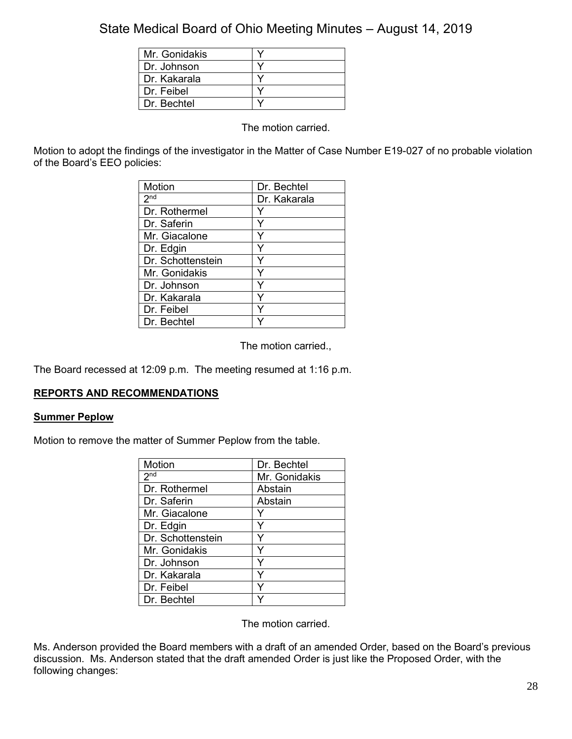| Mr. Gonidakis |  |
|---------------|--|
| Dr. Johnson   |  |
| Dr. Kakarala  |  |
| Dr. Feibel    |  |
| Dr. Bechtel   |  |

The motion carried.

Motion to adopt the findings of the investigator in the Matter of Case Number E19-027 of no probable violation of the Board's EEO policies:

| Motion            | Dr. Bechtel  |
|-------------------|--------------|
| 2 <sub>nd</sub>   | Dr. Kakarala |
| Dr. Rothermel     |              |
| Dr. Saferin       | Y            |
| Mr. Giacalone     | Y            |
| Dr. Edgin         | Y            |
| Dr. Schottenstein |              |
| Mr. Gonidakis     | Y            |
| Dr. Johnson       | Y            |
| Dr. Kakarala      | Y            |
| Dr. Feibel        | ٧            |
| Dr. Bechtel       |              |

The motion carried.,

The Board recessed at 12:09 p.m. The meeting resumed at 1:16 p.m.

## **REPORTS AND RECOMMENDATIONS**

## **Summer Peplow**

Motion to remove the matter of Summer Peplow from the table.

| Motion            | Dr. Bechtel   |
|-------------------|---------------|
| 2 <sub>nd</sub>   | Mr. Gonidakis |
| Dr. Rothermel     | Abstain       |
| Dr. Saferin       | Abstain       |
| Mr. Giacalone     |               |
| Dr. Edgin         | ٧             |
| Dr. Schottenstein | ٧             |
| Mr. Gonidakis     | v             |
| Dr. Johnson       | Y             |
| Dr. Kakarala      | Y             |
| Dr. Feibel        | v             |
| Dr. Bechtel       |               |

The motion carried.

Ms. Anderson provided the Board members with a draft of an amended Order, based on the Board's previous discussion. Ms. Anderson stated that the draft amended Order is just like the Proposed Order, with the following changes: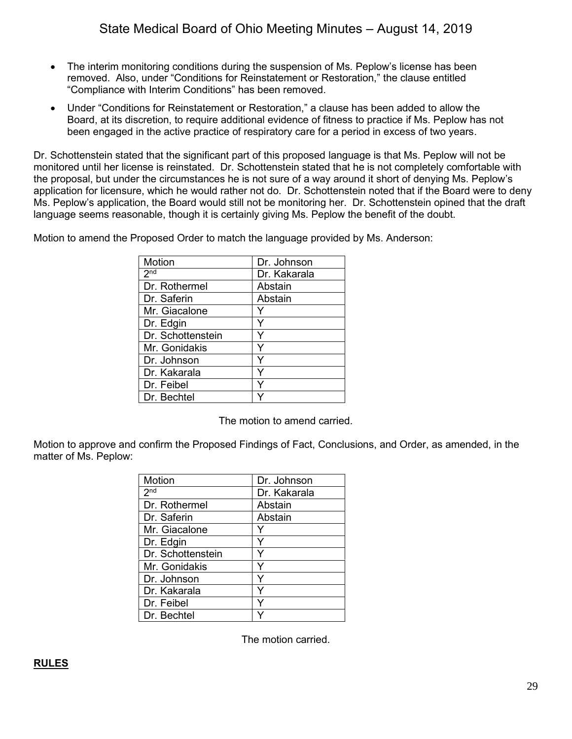- The interim monitoring conditions during the suspension of Ms. Peplow's license has been removed. Also, under "Conditions for Reinstatement or Restoration," the clause entitled "Compliance with Interim Conditions" has been removed.
- Under "Conditions for Reinstatement or Restoration," a clause has been added to allow the Board, at its discretion, to require additional evidence of fitness to practice if Ms. Peplow has not been engaged in the active practice of respiratory care for a period in excess of two years.

Dr. Schottenstein stated that the significant part of this proposed language is that Ms. Peplow will not be monitored until her license is reinstated. Dr. Schottenstein stated that he is not completely comfortable with the proposal, but under the circumstances he is not sure of a way around it short of denying Ms. Peplow's application for licensure, which he would rather not do. Dr. Schottenstein noted that if the Board were to deny Ms. Peplow's application, the Board would still not be monitoring her. Dr. Schottenstein opined that the draft language seems reasonable, though it is certainly giving Ms. Peplow the benefit of the doubt.

Motion to amend the Proposed Order to match the language provided by Ms. Anderson:

| Motion            | Dr. Johnson  |
|-------------------|--------------|
| 2 <sub>nd</sub>   | Dr. Kakarala |
| Dr. Rothermel     | Abstain      |
| Dr. Saferin       | Abstain      |
| Mr. Giacalone     |              |
| Dr. Edgin         |              |
| Dr. Schottenstein |              |
| Mr. Gonidakis     |              |
| Dr. Johnson       |              |
| Dr. Kakarala      | ٧            |
| Dr. Feibel        |              |
| Dr. Bechtel       |              |

The motion to amend carried.

Motion to approve and confirm the Proposed Findings of Fact, Conclusions, and Order, as amended, in the matter of Ms. Peplow:

| <b>Motion</b>     | Dr. Johnson  |
|-------------------|--------------|
| 2 <sup>nd</sup>   | Dr. Kakarala |
| Dr. Rothermel     | Abstain      |
| Dr. Saferin       | Abstain      |
| Mr. Giacalone     |              |
| Dr. Edgin         | ٧            |
| Dr. Schottenstein | Y            |
| Mr. Gonidakis     | Υ            |
| Dr. Johnson       | Y            |
| Dr. Kakarala      | Y            |
| Dr. Feibel        |              |
| Dr. Bechtel       |              |

The motion carried.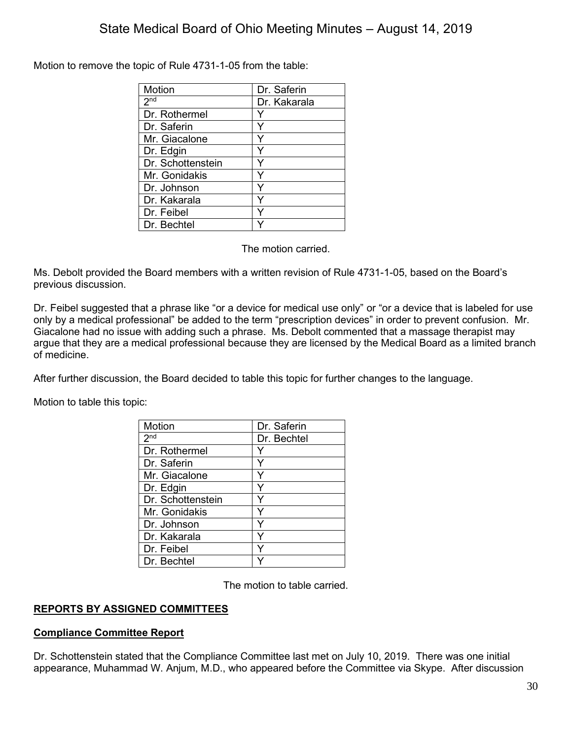Motion to remove the topic of Rule 4731-1-05 from the table:

| Motion            | Dr. Saferin  |
|-------------------|--------------|
| 2 <sup>nd</sup>   | Dr. Kakarala |
| Dr. Rothermel     |              |
| Dr. Saferin       |              |
| Mr. Giacalone     |              |
| Dr. Edgin         |              |
| Dr. Schottenstein |              |
| Mr. Gonidakis     |              |
| Dr. Johnson       |              |
| Dr. Kakarala      | Y            |
| Dr. Feibel        |              |
| Dr. Bechtel       |              |

The motion carried.

Ms. Debolt provided the Board members with a written revision of Rule 4731-1-05, based on the Board's previous discussion.

Dr. Feibel suggested that a phrase like "or a device for medical use only" or "or a device that is labeled for use only by a medical professional" be added to the term "prescription devices" in order to prevent confusion. Mr. Giacalone had no issue with adding such a phrase. Ms. Debolt commented that a massage therapist may argue that they are a medical professional because they are licensed by the Medical Board as a limited branch of medicine.

After further discussion, the Board decided to table this topic for further changes to the language.

Motion to table this topic:

| Motion            | Dr. Saferin |
|-------------------|-------------|
| 2 <sub>nd</sub>   | Dr. Bechtel |
| Dr. Rothermel     |             |
| Dr. Saferin       |             |
| Mr. Giacalone     | Y           |
| Dr. Edgin         | Y           |
| Dr. Schottenstein |             |
| Mr. Gonidakis     | Y           |
| Dr. Johnson       | Y           |
| Dr. Kakarala      | Y           |
| Dr. Feibel        | Y           |
| Dr. Bechtel       |             |

The motion to table carried.

## **REPORTS BY ASSIGNED COMMITTEES**

## **Compliance Committee Report**

Dr. Schottenstein stated that the Compliance Committee last met on July 10, 2019. There was one initial appearance, Muhammad W. Anjum, M.D., who appeared before the Committee via Skype. After discussion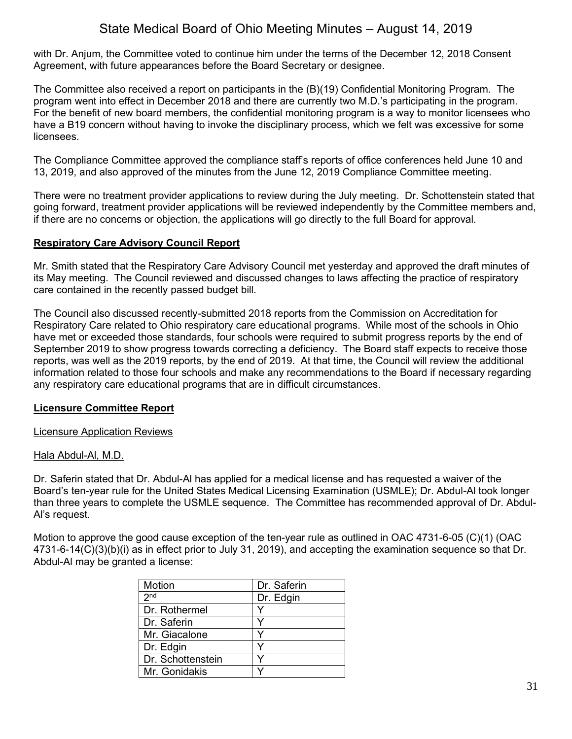with Dr. Anjum, the Committee voted to continue him under the terms of the December 12, 2018 Consent Agreement, with future appearances before the Board Secretary or designee.

The Committee also received a report on participants in the (B)(19) Confidential Monitoring Program. The program went into effect in December 2018 and there are currently two M.D.'s participating in the program. For the benefit of new board members, the confidential monitoring program is a way to monitor licensees who have a B19 concern without having to invoke the disciplinary process, which we felt was excessive for some licensees.

The Compliance Committee approved the compliance staff's reports of office conferences held June 10 and 13, 2019, and also approved of the minutes from the June 12, 2019 Compliance Committee meeting.

There were no treatment provider applications to review during the July meeting. Dr. Schottenstein stated that going forward, treatment provider applications will be reviewed independently by the Committee members and, if there are no concerns or objection, the applications will go directly to the full Board for approval.

## **Respiratory Care Advisory Council Report**

Mr. Smith stated that the Respiratory Care Advisory Council met yesterday and approved the draft minutes of its May meeting. The Council reviewed and discussed changes to laws affecting the practice of respiratory care contained in the recently passed budget bill.

The Council also discussed recently-submitted 2018 reports from the Commission on Accreditation for Respiratory Care related to Ohio respiratory care educational programs. While most of the schools in Ohio have met or exceeded those standards, four schools were required to submit progress reports by the end of September 2019 to show progress towards correcting a deficiency. The Board staff expects to receive those reports, was well as the 2019 reports, by the end of 2019. At that time, the Council will review the additional information related to those four schools and make any recommendations to the Board if necessary regarding any respiratory care educational programs that are in difficult circumstances.

## **Licensure Committee Report**

Licensure Application Reviews

## Hala Abdul-Al, M.D.

Dr. Saferin stated that Dr. Abdul-Al has applied for a medical license and has requested a waiver of the Board's ten-year rule for the United States Medical Licensing Examination (USMLE); Dr. Abdul-Al took longer than three years to complete the USMLE sequence. The Committee has recommended approval of Dr. Abdul-Al's request.

Motion to approve the good cause exception of the ten-year rule as outlined in OAC 4731-6-05 (C)(1) (OAC 4731-6-14(C)(3)(b)(i) as in effect prior to July 31, 2019), and accepting the examination sequence so that Dr. Abdul-Al may be granted a license:

| Motion            | Dr. Saferin |
|-------------------|-------------|
| 2 <sub>nd</sub>   | Dr. Edgin   |
| Dr. Rothermel     |             |
| Dr. Saferin       |             |
| Mr. Giacalone     |             |
| Dr. Edgin         |             |
| Dr. Schottenstein |             |
| Mr. Gonidakis     |             |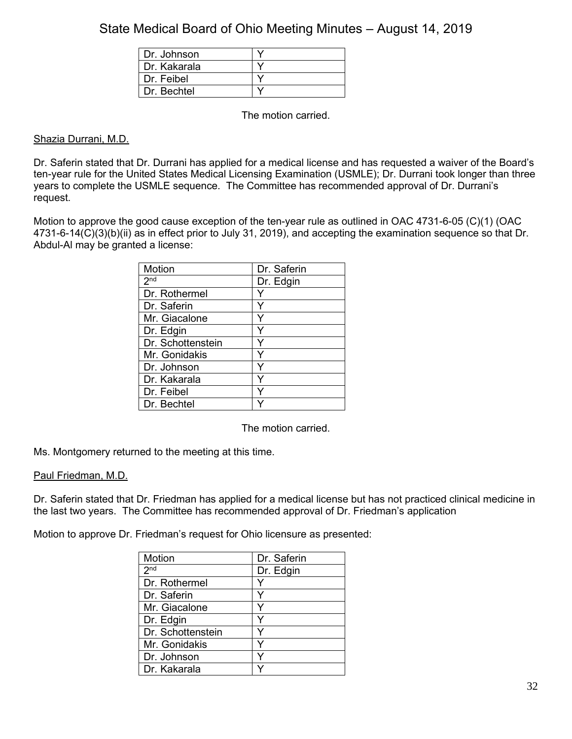| Dr. Johnson  |  |
|--------------|--|
| Dr. Kakarala |  |
| Dr. Feibel   |  |
| Dr Bechtel   |  |

The motion carried.

## Shazia Durrani, M.D.

Dr. Saferin stated that Dr. Durrani has applied for a medical license and has requested a waiver of the Board's ten-year rule for the United States Medical Licensing Examination (USMLE); Dr. Durrani took longer than three years to complete the USMLE sequence. The Committee has recommended approval of Dr. Durrani's request.

Motion to approve the good cause exception of the ten-year rule as outlined in OAC 4731-6-05 (C)(1) (OAC 4731-6-14(C)(3)(b)(ii) as in effect prior to July 31, 2019), and accepting the examination sequence so that Dr. Abdul-Al may be granted a license:

| Motion            | Dr. Saferin |
|-------------------|-------------|
| 2 <sup>nd</sup>   | Dr. Edgin   |
| Dr. Rothermel     |             |
| Dr. Saferin       |             |
| Mr. Giacalone     |             |
| Dr. Edgin         |             |
| Dr. Schottenstein |             |
| Mr. Gonidakis     | Y           |
| Dr. Johnson       | Y           |
| Dr. Kakarala      | Y           |
| Dr. Feibel        | ٧           |
| Dr. Bechtel       |             |

The motion carried.

Ms. Montgomery returned to the meeting at this time.

## Paul Friedman, M.D.

Dr. Saferin stated that Dr. Friedman has applied for a medical license but has not practiced clinical medicine in the last two years. The Committee has recommended approval of Dr. Friedman's application

Motion to approve Dr. Friedman's request for Ohio licensure as presented:

| Motion            | Dr. Saferin |
|-------------------|-------------|
| 2 <sup>nd</sup>   | Dr. Edgin   |
| Dr. Rothermel     |             |
| Dr. Saferin       | Y           |
| Mr. Giacalone     |             |
| Dr. Edgin         |             |
| Dr. Schottenstein |             |
| Mr. Gonidakis     |             |
| Dr. Johnson       |             |
| Dr. Kakarala      |             |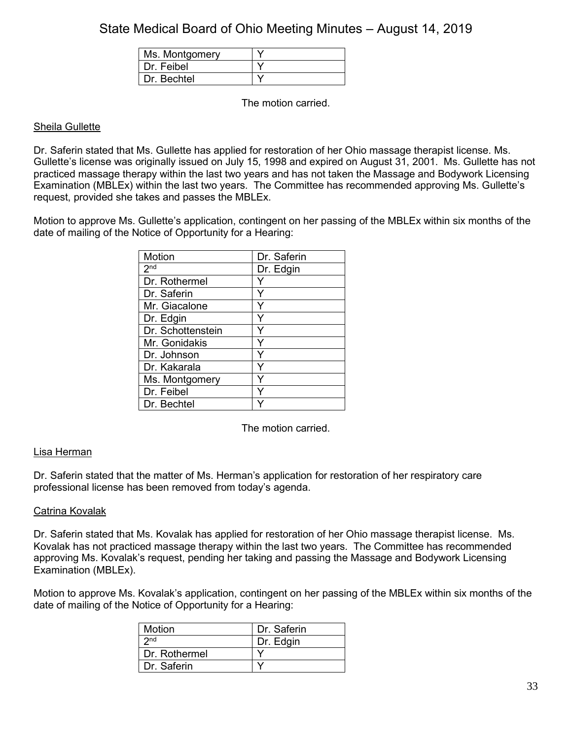| Ms. Montgomery |  |
|----------------|--|
| Dr. Feibel     |  |
| Dr Bechtel     |  |

The motion carried.

## Sheila Gullette

Dr. Saferin stated that Ms. Gullette has applied for restoration of her Ohio massage therapist license. Ms. Gullette's license was originally issued on July 15, 1998 and expired on August 31, 2001. Ms. Gullette has not practiced massage therapy within the last two years and has not taken the Massage and Bodywork Licensing Examination (MBLEx) within the last two years. The Committee has recommended approving Ms. Gullette's request, provided she takes and passes the MBLEx.

Motion to approve Ms. Gullette's application, contingent on her passing of the MBLEx within six months of the date of mailing of the Notice of Opportunity for a Hearing:

| Motion            | Dr. Saferin |
|-------------------|-------------|
| 2 <sup>nd</sup>   | Dr. Edgin   |
| Dr. Rothermel     |             |
| Dr. Saferin       | γ           |
| Mr. Giacalone     |             |
| Dr. Edgin         |             |
| Dr. Schottenstein | ٧           |
| Mr. Gonidakis     | ٧           |
| Dr. Johnson       |             |
| Dr. Kakarala      | ٧           |
| Ms. Montgomery    |             |
| Dr. Feibel        |             |
| Dr. Bechtel       |             |

The motion carried.

## Lisa Herman

Dr. Saferin stated that the matter of Ms. Herman's application for restoration of her respiratory care professional license has been removed from today's agenda.

## Catrina Kovalak

Dr. Saferin stated that Ms. Kovalak has applied for restoration of her Ohio massage therapist license. Ms. Kovalak has not practiced massage therapy within the last two years. The Committee has recommended approving Ms. Kovalak's request, pending her taking and passing the Massage and Bodywork Licensing Examination (MBLEx).

Motion to approve Ms. Kovalak's application, contingent on her passing of the MBLEx within six months of the date of mailing of the Notice of Opportunity for a Hearing:

| <b>Motion</b>   | Dr Saferin |
|-----------------|------------|
| 2 <sub>nd</sub> | Dr. Edgin  |
| Dr. Rothermel   |            |
| Dr. Saferin     |            |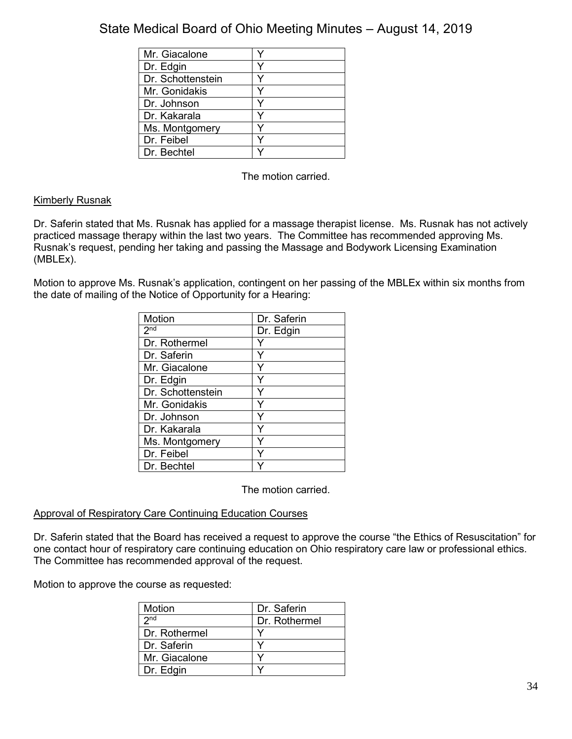| Mr. Giacalone     |  |
|-------------------|--|
| Dr. Edgin         |  |
| Dr. Schottenstein |  |
| Mr. Gonidakis     |  |
| Dr. Johnson       |  |
| Dr. Kakarala      |  |
| Ms. Montgomery    |  |
| Dr. Feibel        |  |
| Dr. Bechtel       |  |

The motion carried.

## Kimberly Rusnak

Dr. Saferin stated that Ms. Rusnak has applied for a massage therapist license. Ms. Rusnak has not actively practiced massage therapy within the last two years. The Committee has recommended approving Ms. Rusnak's request, pending her taking and passing the Massage and Bodywork Licensing Examination (MBLEx).

Motion to approve Ms. Rusnak's application, contingent on her passing of the MBLEx within six months from the date of mailing of the Notice of Opportunity for a Hearing:

| Motion            | Dr. Saferin |
|-------------------|-------------|
| 2 <sup>nd</sup>   | Dr. Edgin   |
| Dr. Rothermel     | Y           |
| Dr. Saferin       | Y           |
| Mr. Giacalone     |             |
| Dr. Edgin         |             |
| Dr. Schottenstein |             |
| Mr. Gonidakis     | Y           |
| Dr. Johnson       | Y           |
| Dr. Kakarala      |             |
| Ms. Montgomery    |             |
| Dr. Feibel        |             |
| Dr. Bechtel       |             |

The motion carried.

## Approval of Respiratory Care Continuing Education Courses

Dr. Saferin stated that the Board has received a request to approve the course "the Ethics of Resuscitation" for one contact hour of respiratory care continuing education on Ohio respiratory care law or professional ethics. The Committee has recommended approval of the request.

Motion to approve the course as requested:

| Motion          | Dr. Saferin   |
|-----------------|---------------|
| 2 <sub>nd</sub> | Dr. Rothermel |
| l Dr. Rothermel |               |
| l Dr. Saferin   |               |
| Mr. Giacalone   |               |
| Dr. Edgin       |               |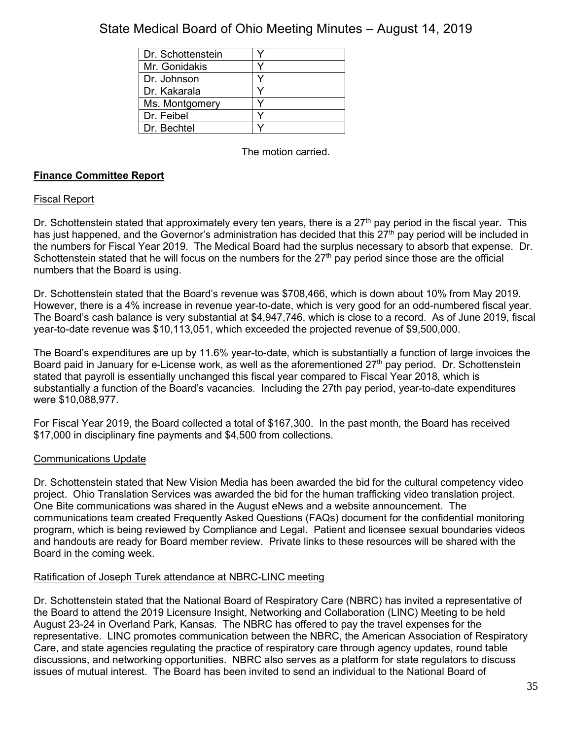| Dr. Schottenstein |  |
|-------------------|--|
| Mr. Gonidakis     |  |
| Dr. Johnson       |  |
| Dr. Kakarala      |  |
| Ms. Montgomery    |  |
| Dr. Feibel        |  |
| Dr. Bechtel       |  |

The motion carried.

## **Finance Committee Report**

## Fiscal Report

Dr. Schottenstein stated that approximately every ten years, there is a  $27<sup>th</sup>$  pay period in the fiscal year. This has just happened, and the Governor's administration has decided that this 27<sup>th</sup> pay period will be included in the numbers for Fiscal Year 2019. The Medical Board had the surplus necessary to absorb that expense. Dr. Schottenstein stated that he will focus on the numbers for the  $27<sup>th</sup>$  pay period since those are the official numbers that the Board is using.

Dr. Schottenstein stated that the Board's revenue was \$708,466, which is down about 10% from May 2019. However, there is a 4% increase in revenue year-to-date, which is very good for an odd-numbered fiscal year. The Board's cash balance is very substantial at \$4,947,746, which is close to a record. As of June 2019, fiscal year-to-date revenue was \$10,113,051, which exceeded the projected revenue of \$9,500,000.

The Board's expenditures are up by 11.6% year-to-date, which is substantially a function of large invoices the Board paid in January for e-License work, as well as the aforementioned 27<sup>th</sup> pay period. Dr. Schottenstein stated that payroll is essentially unchanged this fiscal year compared to Fiscal Year 2018, which is substantially a function of the Board's vacancies. Including the 27th pay period, year-to-date expenditures were \$10,088,977.

For Fiscal Year 2019, the Board collected a total of \$167,300. In the past month, the Board has received \$17,000 in disciplinary fine payments and \$4,500 from collections.

## Communications Update

Dr. Schottenstein stated that New Vision Media has been awarded the bid for the cultural competency video project. Ohio Translation Services was awarded the bid for the human trafficking video translation project. One Bite communications was shared in the August eNews and a website announcement. The communications team created Frequently Asked Questions (FAQs) document for the confidential monitoring program, which is being reviewed by Compliance and Legal. Patient and licensee sexual boundaries videos and handouts are ready for Board member review. Private links to these resources will be shared with the Board in the coming week.

## Ratification of Joseph Turek attendance at NBRC-LINC meeting

Dr. Schottenstein stated that the National Board of Respiratory Care (NBRC) has invited a representative of the Board to attend the 2019 Licensure Insight, Networking and Collaboration (LINC) Meeting to be held August 23-24 in Overland Park, Kansas. The NBRC has offered to pay the travel expenses for the representative. LINC promotes communication between the NBRC, the American Association of Respiratory Care, and state agencies regulating the practice of respiratory care through agency updates, round table discussions, and networking opportunities. NBRC also serves as a platform for state regulators to discuss issues of mutual interest. The Board has been invited to send an individual to the National Board of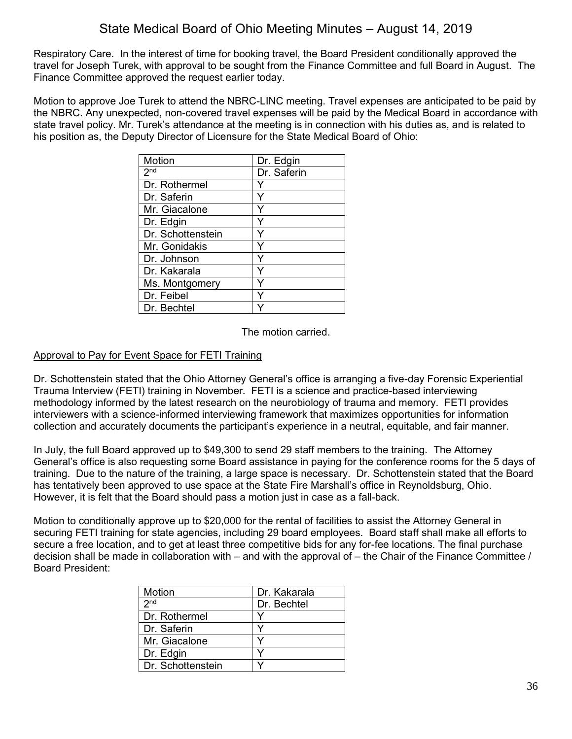Respiratory Care. In the interest of time for booking travel, the Board President conditionally approved the travel for Joseph Turek, with approval to be sought from the Finance Committee and full Board in August. The Finance Committee approved the request earlier today.

Motion to approve Joe Turek to attend the NBRC-LINC meeting. Travel expenses are anticipated to be paid by the NBRC. Any unexpected, non-covered travel expenses will be paid by the Medical Board in accordance with state travel policy. Mr. Turek's attendance at the meeting is in connection with his duties as, and is related to his position as, the Deputy Director of Licensure for the State Medical Board of Ohio:

| Motion            | Dr. Edgin   |
|-------------------|-------------|
| 2 <sub>nd</sub>   | Dr. Saferin |
| Dr. Rothermel     |             |
| Dr. Saferin       |             |
| Mr. Giacalone     |             |
| Dr. Edgin         | Y           |
| Dr. Schottenstein |             |
| Mr. Gonidakis     |             |
| Dr. Johnson       |             |
| Dr. Kakarala      |             |
| Ms. Montgomery    |             |
| Dr. Feibel        |             |
| Dr. Bechtel       |             |

The motion carried.

## Approval to Pay for Event Space for FETI Training

Dr. Schottenstein stated that the Ohio Attorney General's office is arranging a five-day Forensic Experiential Trauma Interview (FETI) training in November. FETI is a science and practice-based interviewing methodology informed by the latest research on the neurobiology of trauma and memory. FETI provides interviewers with a science-informed interviewing framework that maximizes opportunities for information collection and accurately documents the participant's experience in a neutral, equitable, and fair manner.

In July, the full Board approved up to \$49,300 to send 29 staff members to the training. The Attorney General's office is also requesting some Board assistance in paying for the conference rooms for the 5 days of training. Due to the nature of the training, a large space is necessary. Dr. Schottenstein stated that the Board has tentatively been approved to use space at the State Fire Marshall's office in Reynoldsburg, Ohio. However, it is felt that the Board should pass a motion just in case as a fall-back.

Motion to conditionally approve up to \$20,000 for the rental of facilities to assist the Attorney General in securing FETI training for state agencies, including 29 board employees. Board staff shall make all efforts to secure a free location, and to get at least three competitive bids for any for-fee locations. The final purchase decision shall be made in collaboration with – and with the approval of – the Chair of the Finance Committee / Board President:

| Motion            | Dr. Kakarala |
|-------------------|--------------|
| 2 <sub>nd</sub>   | Dr. Bechtel  |
| Dr. Rothermel     |              |
| Dr. Saferin       |              |
| Mr. Giacalone     |              |
| Dr. Edgin         |              |
| Dr. Schottenstein |              |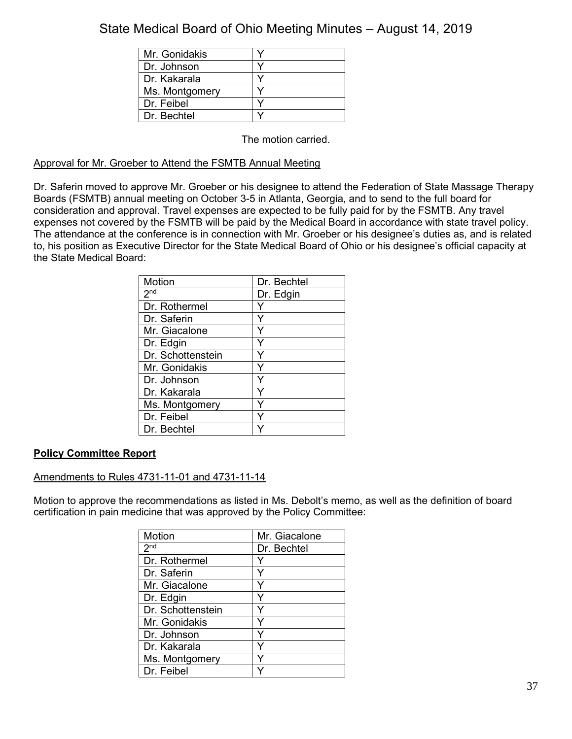| Mr. Gonidakis  |  |
|----------------|--|
| Dr. Johnson    |  |
| Dr. Kakarala   |  |
| Ms. Montgomery |  |
| Dr. Feibel     |  |
| Dr. Bechtel    |  |

The motion carried.

## Approval for Mr. Groeber to Attend the FSMTB Annual Meeting

Dr. Saferin moved to approve Mr. Groeber or his designee to attend the Federation of State Massage Therapy Boards (FSMTB) annual meeting on October 3-5 in Atlanta, Georgia, and to send to the full board for consideration and approval. Travel expenses are expected to be fully paid for by the FSMTB. Any travel expenses not covered by the FSMTB will be paid by the Medical Board in accordance with state travel policy. The attendance at the conference is in connection with Mr. Groeber or his designee's duties as, and is related to, his position as Executive Director for the State Medical Board of Ohio or his designee's official capacity at the State Medical Board:

| Motion            | Dr. Bechtel |
|-------------------|-------------|
| 2 <sub>nd</sub>   | Dr. Edgin   |
| Dr. Rothermel     |             |
| Dr. Saferin       |             |
| Mr. Giacalone     | Y           |
| Dr. Edgin         | Y           |
| Dr. Schottenstein | Y           |
| Mr. Gonidakis     | Y           |
| Dr. Johnson       |             |
| Dr. Kakarala      | Υ           |
| Ms. Montgomery    | Y           |
| Dr. Feibel        |             |
| Dr. Bechtel       |             |

## **Policy Committee Report**

## Amendments to Rules 4731-11-01 and 4731-11-14

Motion to approve the recommendations as listed in Ms. Debolt's memo, as well as the definition of board certification in pain medicine that was approved by the Policy Committee:

| Motion            | Mr. Giacalone |
|-------------------|---------------|
| 2 <sub>nd</sub>   | Dr. Bechtel   |
| Dr. Rothermel     |               |
| Dr. Saferin       | Y             |
| Mr. Giacalone     |               |
| Dr. Edgin         | ٧             |
| Dr. Schottenstein | Y             |
| Mr. Gonidakis     | Y             |
| Dr. Johnson       | Y             |
| l Dr. Kakarala    | Y             |
| Ms. Montgomery    | Y             |
| Dr. Feibel        |               |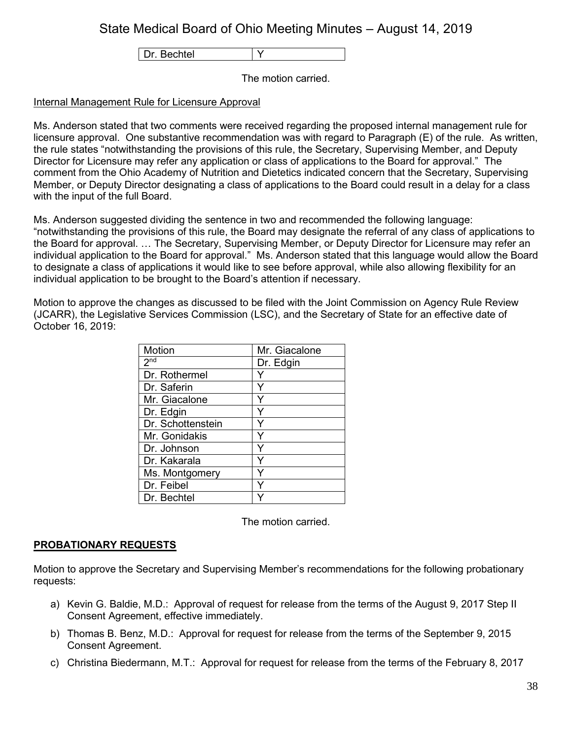Dr. Bechtel | Y

The motion carried.

## Internal Management Rule for Licensure Approval

Ms. Anderson stated that two comments were received regarding the proposed internal management rule for licensure approval. One substantive recommendation was with regard to Paragraph (E) of the rule. As written, the rule states "notwithstanding the provisions of this rule, the Secretary, Supervising Member, and Deputy Director for Licensure may refer any application or class of applications to the Board for approval." The comment from the Ohio Academy of Nutrition and Dietetics indicated concern that the Secretary, Supervising Member, or Deputy Director designating a class of applications to the Board could result in a delay for a class with the input of the full Board.

Ms. Anderson suggested dividing the sentence in two and recommended the following language: "notwithstanding the provisions of this rule, the Board may designate the referral of any class of applications to the Board for approval. … The Secretary, Supervising Member, or Deputy Director for Licensure may refer an individual application to the Board for approval." Ms. Anderson stated that this language would allow the Board to designate a class of applications it would like to see before approval, while also allowing flexibility for an individual application to be brought to the Board's attention if necessary.

Motion to approve the changes as discussed to be filed with the Joint Commission on Agency Rule Review (JCARR), the Legislative Services Commission (LSC), and the Secretary of State for an effective date of October 16, 2019:

| Motion            | Mr. Giacalone |
|-------------------|---------------|
| 2 <sup>nd</sup>   | Dr. Edgin     |
| Dr. Rothermel     |               |
| Dr. Saferin       |               |
| Mr. Giacalone     |               |
| Dr. Edgin         |               |
| Dr. Schottenstein |               |
| Mr. Gonidakis     | Y             |
| Dr. Johnson       | ٧             |
| Dr. Kakarala      |               |
| Ms. Montgomery    |               |
| Dr. Feibel        |               |
| Dr. Bechtel       |               |

The motion carried.

## **PROBATIONARY REQUESTS**

Motion to approve the Secretary and Supervising Member's recommendations for the following probationary requests:

- a) Kevin G. Baldie, M.D.: Approval of request for release from the terms of the August 9, 2017 Step II Consent Agreement, effective immediately.
- b) Thomas B. Benz, M.D.: Approval for request for release from the terms of the September 9, 2015 Consent Agreement.
- c) Christina Biedermann, M.T.: Approval for request for release from the terms of the February 8, 2017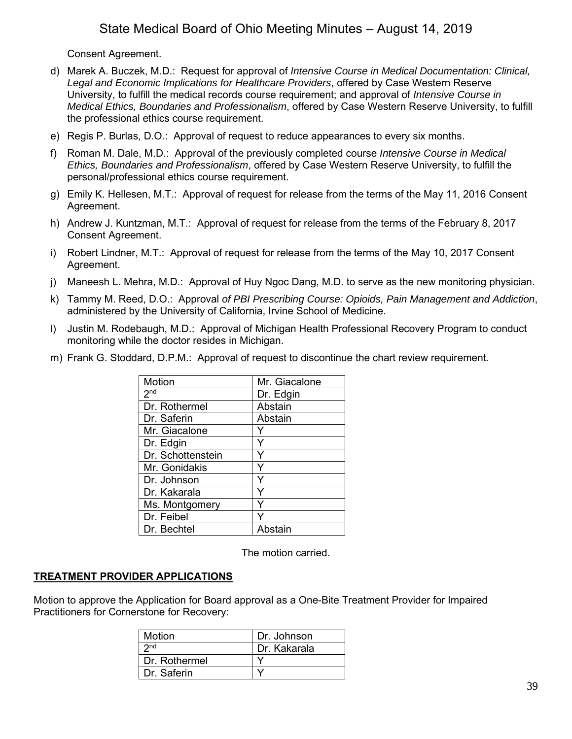Consent Agreement.

- d) Marek A. Buczek, M.D.: Request for approval of *Intensive Course in Medical Documentation: Clinical, Legal and Economic Implications for Healthcare Providers*, offered by Case Western Reserve University, to fulfill the medical records course requirement; and approval of *Intensive Course in Medical Ethics, Boundaries and Professionalism*, offered by Case Western Reserve University, to fulfill the professional ethics course requirement.
- e) Regis P. Burlas, D.O.: Approval of request to reduce appearances to every six months.
- f) Roman M. Dale, M.D.: Approval of the previously completed course *Intensive Course in Medical Ethics, Boundaries and Professionalism*, offered by Case Western Reserve University, to fulfill the personal/professional ethics course requirement.
- g) Emily K. Hellesen, M.T.: Approval of request for release from the terms of the May 11, 2016 Consent Agreement.
- h) Andrew J. Kuntzman, M.T.: Approval of request for release from the terms of the February 8, 2017 Consent Agreement.
- i) Robert Lindner, M.T.: Approval of request for release from the terms of the May 10, 2017 Consent Agreement.
- j) Maneesh L. Mehra, M.D.: Approval of Huy Ngoc Dang, M.D. to serve as the new monitoring physician.
- k) Tammy M. Reed, D.O.: Approval *of PBI Prescribing Course: Opioids, Pain Management and Addiction*, administered by the University of California, Irvine School of Medicine.
- l) Justin M. Rodebaugh, M.D.: Approval of Michigan Health Professional Recovery Program to conduct monitoring while the doctor resides in Michigan.
- m) Frank G. Stoddard, D.P.M.: Approval of request to discontinue the chart review requirement.

| Motion            | Mr. Giacalone |
|-------------------|---------------|
| 2 <sub>nd</sub>   | Dr. Edgin     |
| Dr. Rothermel     | Abstain       |
| Dr. Saferin       | Abstain       |
| Mr. Giacalone     |               |
| Dr. Edgin         | Y             |
| Dr. Schottenstein | Y             |
| Mr. Gonidakis     | Y             |
| Dr. Johnson       | Y             |
| Dr. Kakarala      | Υ             |
| Ms. Montgomery    |               |
| Dr. Feibel        |               |
| Dr. Bechtel       | Abstain       |

The motion carried.

## **TREATMENT PROVIDER APPLICATIONS**

Motion to approve the Application for Board approval as a One-Bite Treatment Provider for Impaired Practitioners for Cornerstone for Recovery:

| Motion          | Dr. Johnson  |
|-----------------|--------------|
| 2 <sub>nd</sub> | Dr. Kakarala |
| Dr. Rothermel   |              |
| Dr. Saferin     |              |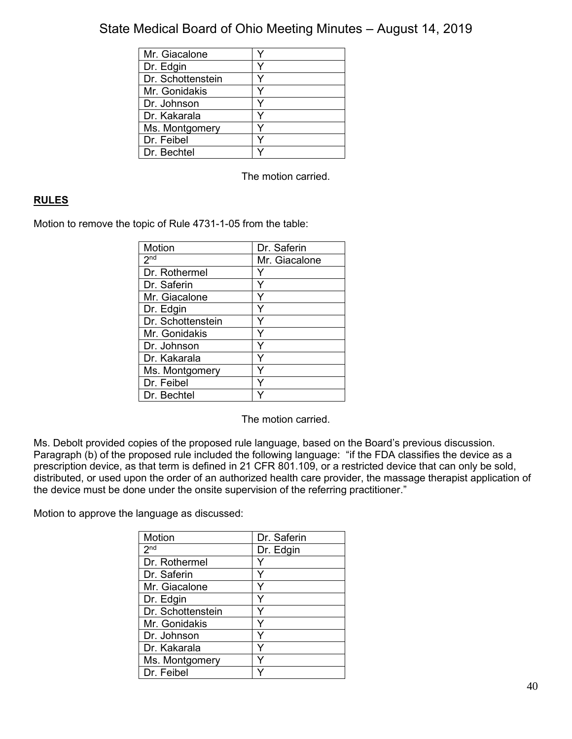| Mr. Giacalone     |  |
|-------------------|--|
| Dr. Edgin         |  |
| Dr. Schottenstein |  |
| Mr. Gonidakis     |  |
| Dr. Johnson       |  |
| Dr. Kakarala      |  |
| Ms. Montgomery    |  |
| Dr. Feibel        |  |
| Dr. Bechtel       |  |

The motion carried.

## **RULES**

Motion to remove the topic of Rule 4731-1-05 from the table:

| Motion            | Dr. Saferin   |
|-------------------|---------------|
| 2 <sup>nd</sup>   | Mr. Giacalone |
| Dr. Rothermel     |               |
| Dr. Saferin       |               |
| Mr. Giacalone     |               |
| Dr. Edgin         |               |
| Dr. Schottenstein |               |
| Mr. Gonidakis     |               |
| Dr. Johnson       | ٧             |
| Dr. Kakarala      |               |
| Ms. Montgomery    |               |
| Dr. Feibel        |               |
| Dr. Bechtel       |               |

The motion carried.

Ms. Debolt provided copies of the proposed rule language, based on the Board's previous discussion. Paragraph (b) of the proposed rule included the following language: "if the FDA classifies the device as a prescription device, as that term is defined in 21 CFR 801.109, or a restricted device that can only be sold, distributed, or used upon the order of an authorized health care provider, the massage therapist application of the device must be done under the onsite supervision of the referring practitioner."

Motion to approve the language as discussed:

| Motion            | Dr. Saferin |
|-------------------|-------------|
| 2 <sub>nd</sub>   | Dr. Edgin   |
| Dr. Rothermel     |             |
| Dr. Saferin       | Y           |
| Mr. Giacalone     |             |
| Dr. Edgin         | Y           |
| Dr. Schottenstein | Y           |
| Mr. Gonidakis     | Y           |
| Dr. Johnson       | Y           |
| Dr. Kakarala      | Y           |
| Ms. Montgomery    | Y           |
| Dr. Feibel        |             |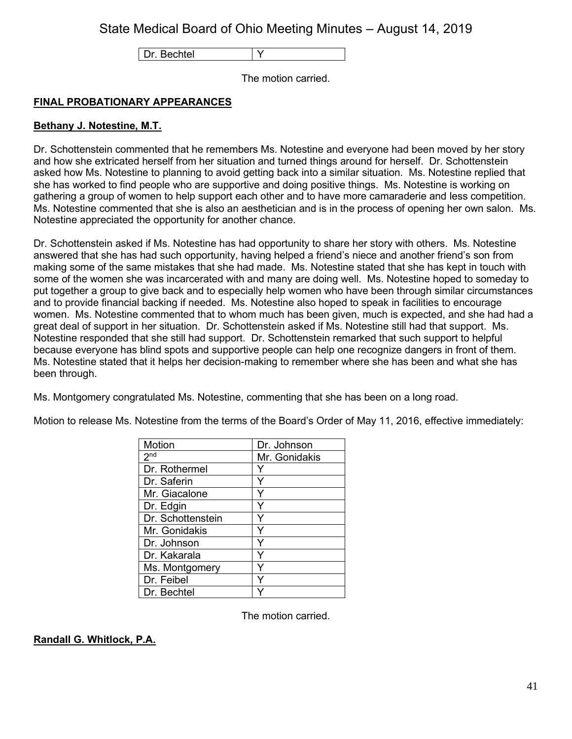Dr. Bechtel | Y

The motion carried.

## **FINAL PROBATIONARY APPEARANCES**

## **Bethany J. Notestine, M.T.**

Dr. Schottenstein commented that he remembers Ms. Notestine and everyone had been moved by her story and how she extricated herself from her situation and turned things around for herself. Dr. Schottenstein asked how Ms. Notestine to planning to avoid getting back into a similar situation. Ms. Notestine replied that she has worked to find people who are supportive and doing positive things. Ms. Notestine is working on gathering a group of women to help support each other and to have more camaraderie and less competition. Ms. Notestine commented that she is also an aesthetician and is in the process of opening her own salon. Ms. Notestine appreciated the opportunity for another chance.

Dr. Schottenstein asked if Ms. Notestine has had opportunity to share her story with others. Ms. Notestine answered that she has had such opportunity, having helped a friend's niece and another friend's son from making some of the same mistakes that she had made. Ms. Notestine stated that she has kept in touch with some of the women she was incarcerated with and many are doing well. Ms. Notestine hoped to someday to put together a group to give back and to especially help women who have been through similar circumstances and to provide financial backing if needed. Ms. Notestine also hoped to speak in facilities to encourage women. Ms. Notestine commented that to whom much has been given, much is expected, and she had had a great deal of support in her situation. Dr. Schottenstein asked if Ms. Notestine still had that support. Ms. Notestine responded that she still had support. Dr. Schottenstein remarked that such support to helpful because everyone has blind spots and supportive people can help one recognize dangers in front of them. Ms. Notestine stated that it helps her decision-making to remember where she has been and what she has been through.

Ms. Montgomery congratulated Ms. Notestine, commenting that she has been on a long road.

Motion to release Ms. Notestine from the terms of the Board's Order of May 11, 2016, effective immediately:

| Motion            | Dr. Johnson   |
|-------------------|---------------|
| 2 <sub>nd</sub>   | Mr. Gonidakis |
| Dr. Rothermel     |               |
| Dr. Saferin       |               |
| Mr. Giacalone     |               |
| Dr. Edgin         | Y             |
| Dr. Schottenstein |               |
| Mr. Gonidakis     |               |
| Dr. Johnson       |               |
| Dr. Kakarala      |               |
| Ms. Montgomery    |               |
| Dr. Feibel        |               |
| Dr. Bechtel       |               |

The motion carried.

## **Randall G. Whitlock, P.A.**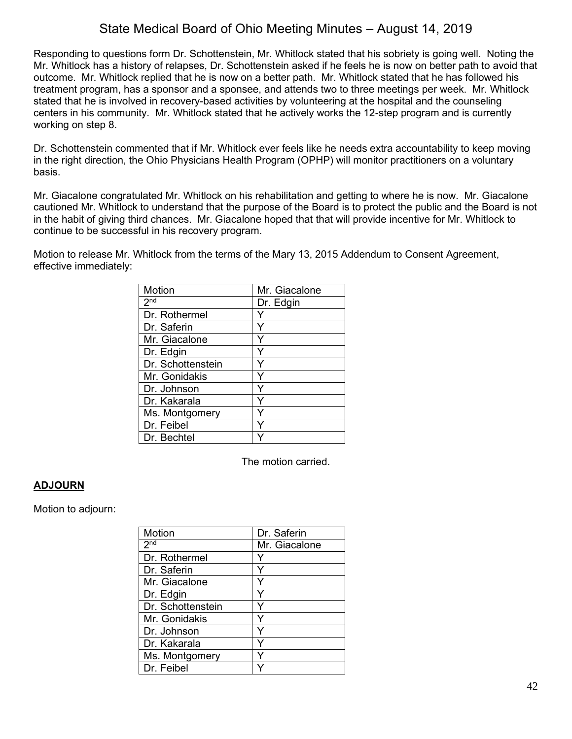Responding to questions form Dr. Schottenstein, Mr. Whitlock stated that his sobriety is going well. Noting the Mr. Whitlock has a history of relapses, Dr. Schottenstein asked if he feels he is now on better path to avoid that outcome. Mr. Whitlock replied that he is now on a better path. Mr. Whitlock stated that he has followed his treatment program, has a sponsor and a sponsee, and attends two to three meetings per week. Mr. Whitlock stated that he is involved in recovery-based activities by volunteering at the hospital and the counseling centers in his community. Mr. Whitlock stated that he actively works the 12-step program and is currently working on step 8.

Dr. Schottenstein commented that if Mr. Whitlock ever feels like he needs extra accountability to keep moving in the right direction, the Ohio Physicians Health Program (OPHP) will monitor practitioners on a voluntary basis.

Mr. Giacalone congratulated Mr. Whitlock on his rehabilitation and getting to where he is now. Mr. Giacalone cautioned Mr. Whitlock to understand that the purpose of the Board is to protect the public and the Board is not in the habit of giving third chances. Mr. Giacalone hoped that that will provide incentive for Mr. Whitlock to continue to be successful in his recovery program.

Motion to release Mr. Whitlock from the terms of the Mary 13, 2015 Addendum to Consent Agreement, effective immediately:

| Motion            | Mr. Giacalone |
|-------------------|---------------|
| 2 <sup>nd</sup>   | Dr. Edgin     |
| Dr. Rothermel     |               |
| Dr. Saferin       | Υ             |
| Mr. Giacalone     | Y             |
| Dr. Edgin         |               |
| Dr. Schottenstein |               |
| Mr. Gonidakis     | Y             |
| Dr. Johnson       | Y             |
| Dr. Kakarala      | Υ             |
| Ms. Montgomery    |               |
| Dr. Feibel        |               |
| Dr. Bechtel       |               |

The motion carried.

## **ADJOURN**

Motion to adjourn:

| Motion            | Dr. Saferin   |
|-------------------|---------------|
| 2 <sub>nd</sub>   | Mr. Giacalone |
| Dr. Rothermel     |               |
| Dr. Saferin       |               |
| Mr. Giacalone     |               |
| Dr. Edgin         |               |
| Dr. Schottenstein |               |
| Mr. Gonidakis     |               |
| Dr. Johnson       |               |
| Dr. Kakarala      |               |
| Ms. Montgomery    |               |
| Dr. Feibel        |               |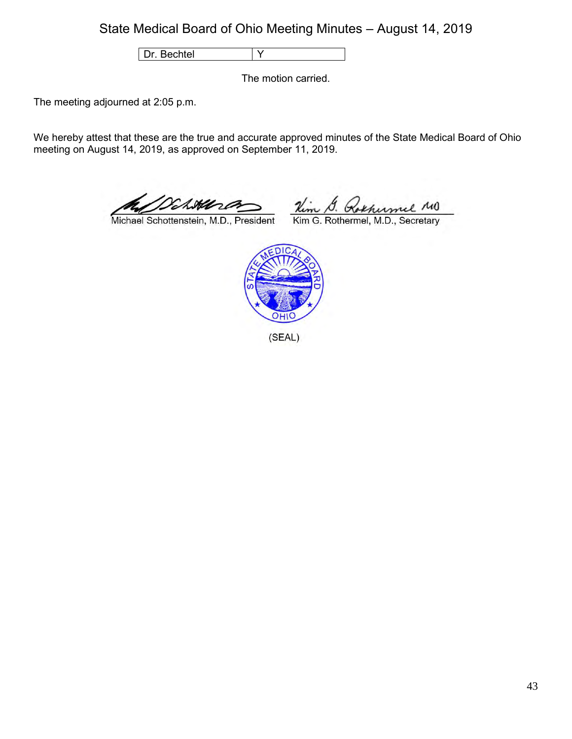Dr. Bechtel Y

The motion carried.

The meeting adjourned at 2:05 p.m.

We hereby attest that these are the true and accurate approved minutes of the State Medical Board of Ohio meeting on August 14, 2019, as approved on September 11, 2019.

Attora

Michael Schottenstein, M.D., President

Kim S. Rothumel MO<br>Kim G. Rothermel, M.D., Secretary



(SEAL)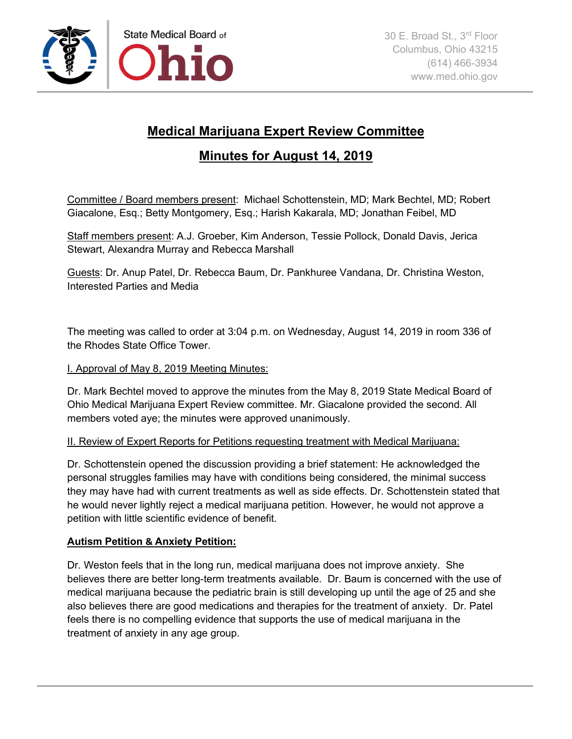

# **Medical Marijuana Expert Review Committee**

# **Minutes for August 14, 2019**

Committee / Board members present: Michael Schottenstein, MD; Mark Bechtel, MD; Robert Giacalone, Esq.; Betty Montgomery, Esq.; Harish Kakarala, MD; Jonathan Feibel, MD

Staff members present: A.J. Groeber, Kim Anderson, Tessie Pollock, Donald Davis, Jerica Stewart, Alexandra Murray and Rebecca Marshall

Guests: Dr. Anup Patel, Dr. Rebecca Baum, Dr. Pankhuree Vandana, Dr. Christina Weston, Interested Parties and Media

The meeting was called to order at 3:04 p.m. on Wednesday, August 14, 2019 in room 336 of the Rhodes State Office Tower.

# I. Approval of May 8, 2019 Meeting Minutes:

Dr. Mark Bechtel moved to approve the minutes from the May 8, 2019 State Medical Board of Ohio Medical Marijuana Expert Review committee. Mr. Giacalone provided the second. All members voted aye; the minutes were approved unanimously.

## II. Review of Expert Reports for Petitions requesting treatment with Medical Marijuana:

Dr. Schottenstein opened the discussion providing a brief statement: He acknowledged the personal struggles families may have with conditions being considered, the minimal success they may have had with current treatments as well as side effects. Dr. Schottenstein stated that he would never lightly reject a medical marijuana petition. However, he would not approve a petition with little scientific evidence of benefit.

# **Autism Petition & Anxiety Petition:**

Dr. Weston feels that in the long run, medical marijuana does not improve anxiety. She believes there are better long-term treatments available. Dr. Baum is concerned with the use of medical marijuana because the pediatric brain is still developing up until the age of 25 and she also believes there are good medications and therapies for the treatment of anxiety. Dr. Patel feels there is no compelling evidence that supports the use of medical marijuana in the treatment of anxiety in any age group.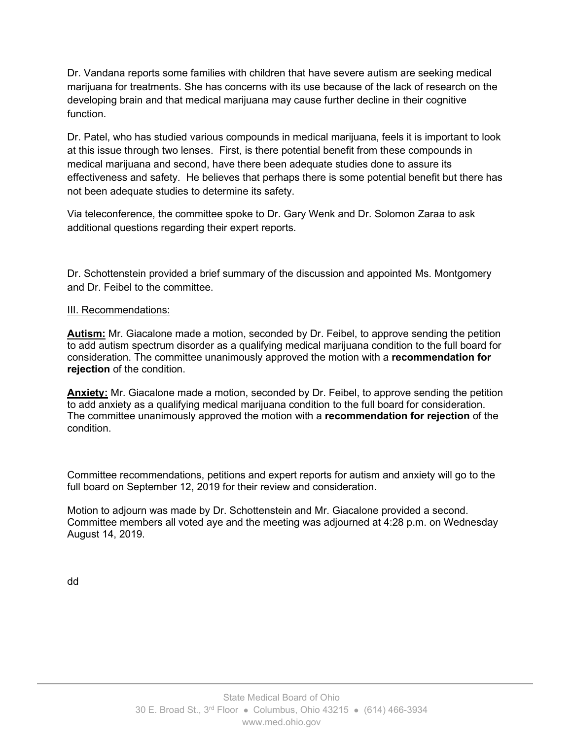Dr. Vandana reports some families with children that have severe autism are seeking medical marijuana for treatments. She has concerns with its use because of the lack of research on the developing brain and that medical marijuana may cause further decline in their cognitive function.

Dr. Patel, who has studied various compounds in medical marijuana, feels it is important to look at this issue through two lenses. First, is there potential benefit from these compounds in medical marijuana and second, have there been adequate studies done to assure its effectiveness and safety. He believes that perhaps there is some potential benefit but there has not been adequate studies to determine its safety.

Via teleconference, the committee spoke to Dr. Gary Wenk and Dr. Solomon Zaraa to ask additional questions regarding their expert reports.

Dr. Schottenstein provided a brief summary of the discussion and appointed Ms. Montgomery and Dr. Feibel to the committee.

## III. Recommendations:

**Autism:** Mr. Giacalone made a motion, seconded by Dr. Feibel, to approve sending the petition to add autism spectrum disorder as a qualifying medical marijuana condition to the full board for consideration. The committee unanimously approved the motion with a **recommendation for rejection** of the condition.

**Anxiety:** Mr. Giacalone made a motion, seconded by Dr. Feibel, to approve sending the petition to add anxiety as a qualifying medical marijuana condition to the full board for consideration. The committee unanimously approved the motion with a **recommendation for rejection** of the condition.

Committee recommendations, petitions and expert reports for autism and anxiety will go to the full board on September 12, 2019 for their review and consideration.

Motion to adjourn was made by Dr. Schottenstein and Mr. Giacalone provided a second. Committee members all voted aye and the meeting was adjourned at 4:28 p.m. on Wednesday August 14, 2019.

dd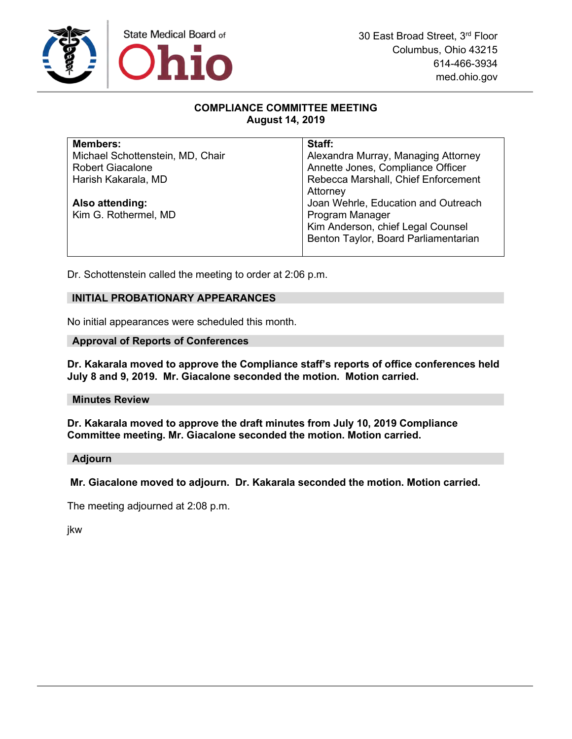

## **COMPLIANCE COMMITTEE MEETING August 14, 2019**

| <b>Members:</b>                  | Staff:                               |
|----------------------------------|--------------------------------------|
| Michael Schottenstein, MD, Chair | Alexandra Murray, Managing Attorney  |
| <b>Robert Giacalone</b>          | Annette Jones, Compliance Officer    |
| Harish Kakarala, MD              | Rebecca Marshall, Chief Enforcement  |
|                                  | Attorney                             |
| Also attending:                  | Joan Wehrle, Education and Outreach  |
| Kim G. Rothermel, MD             | Program Manager                      |
|                                  | Kim Anderson, chief Legal Counsel    |
|                                  | Benton Taylor, Board Parliamentarian |
|                                  |                                      |

Dr. Schottenstein called the meeting to order at 2:06 p.m.

### **INITIAL PROBATIONARY APPEARANCES**

No initial appearances were scheduled this month.

#### **Approval of Reports of Conferences**

**Dr. Kakarala moved to approve the Compliance staff's reports of office conferences held July 8 and 9, 2019. Mr. Giacalone seconded the motion. Motion carried.**

#### **Minutes Review**

**Dr. Kakarala moved to approve the draft minutes from July 10, 2019 Compliance Committee meeting. Mr. Giacalone seconded the motion. Motion carried.**

## **Adjourn**

**Mr. Giacalone moved to adjourn. Dr. Kakarala seconded the motion. Motion carried.** 

The meeting adjourned at 2:08 p.m.

jkw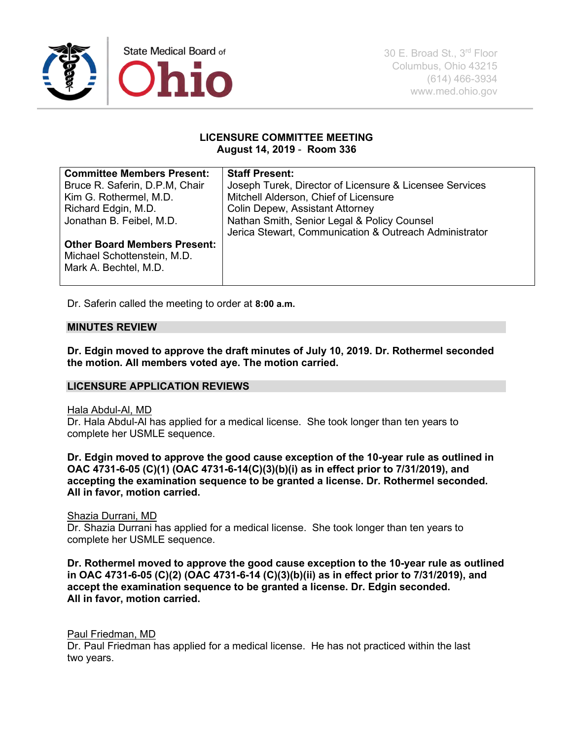

### **LICENSURE COMMITTEE MEETING August 14, 2019** - **Room 336**

| <b>Committee Members Present:</b>   | <b>Staff Present:</b>                                   |
|-------------------------------------|---------------------------------------------------------|
| Bruce R. Saferin, D.P.M, Chair      | Joseph Turek, Director of Licensure & Licensee Services |
| Kim G. Rothermel, M.D.              | Mitchell Alderson, Chief of Licensure                   |
| Richard Edgin, M.D.                 | <b>Colin Depew, Assistant Attorney</b>                  |
| Jonathan B. Feibel, M.D.            | Nathan Smith, Senior Legal & Policy Counsel             |
|                                     | Jerica Stewart, Communication & Outreach Administrator  |
| <b>Other Board Members Present:</b> |                                                         |
| Michael Schottenstein, M.D.         |                                                         |
| Mark A. Bechtel, M.D.               |                                                         |
|                                     |                                                         |

Dr. Saferin called the meeting to order at **8:00 a.m.** 

### **MINUTES REVIEW**

**Dr. Edgin moved to approve the draft minutes of July 10, 2019. Dr. Rothermel seconded the motion. All members voted aye. The motion carried.**

#### **LICENSURE APPLICATION REVIEWS**

#### Hala Abdul-Al, MD

Dr. Hala Abdul-Al has applied for a medical license. She took longer than ten years to complete her USMLE sequence.

**Dr. Edgin moved to approve the good cause exception of the 10-year rule as outlined in OAC 4731-6-05 (C)(1) (OAC 4731-6-14(C)(3)(b)(i) as in effect prior to 7/31/2019), and accepting the examination sequence to be granted a license. Dr. Rothermel seconded. All in favor, motion carried.**

#### Shazia Durrani, MD

Dr. Shazia Durrani has applied for a medical license. She took longer than ten years to complete her USMLE sequence.

**Dr. Rothermel moved to approve the good cause exception to the 10-year rule as outlined in OAC 4731-6-05 (C)(2) (OAC 4731-6-14 (C)(3)(b)(ii) as in effect prior to 7/31/2019), and accept the examination sequence to be granted a license. Dr. Edgin seconded. All in favor, motion carried.**

### Paul Friedman, MD

Dr. Paul Friedman has applied for a medical license. He has not practiced within the last two years.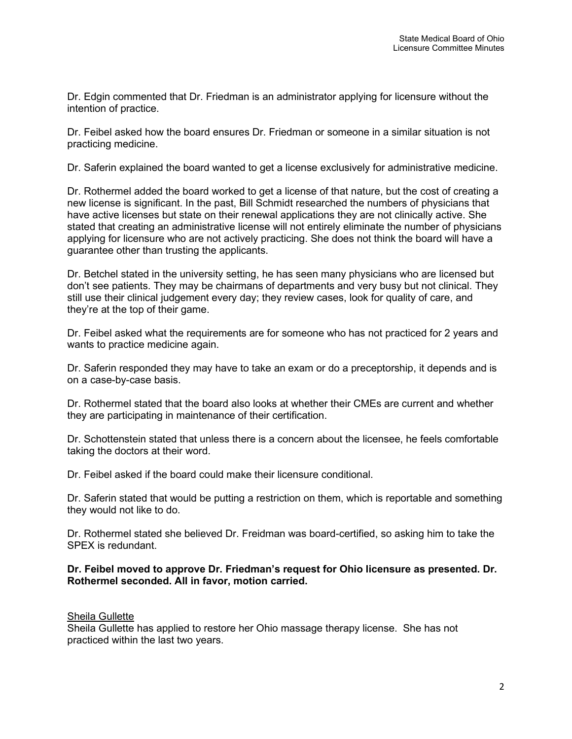Dr. Edgin commented that Dr. Friedman is an administrator applying for licensure without the intention of practice.

Dr. Feibel asked how the board ensures Dr. Friedman or someone in a similar situation is not practicing medicine.

Dr. Saferin explained the board wanted to get a license exclusively for administrative medicine.

Dr. Rothermel added the board worked to get a license of that nature, but the cost of creating a new license is significant. In the past, Bill Schmidt researched the numbers of physicians that have active licenses but state on their renewal applications they are not clinically active. She stated that creating an administrative license will not entirely eliminate the number of physicians applying for licensure who are not actively practicing. She does not think the board will have a guarantee other than trusting the applicants.

Dr. Betchel stated in the university setting, he has seen many physicians who are licensed but don't see patients. They may be chairmans of departments and very busy but not clinical. They still use their clinical judgement every day; they review cases, look for quality of care, and they're at the top of their game.

Dr. Feibel asked what the requirements are for someone who has not practiced for 2 years and wants to practice medicine again.

Dr. Saferin responded they may have to take an exam or do a preceptorship, it depends and is on a case-by-case basis.

Dr. Rothermel stated that the board also looks at whether their CMEs are current and whether they are participating in maintenance of their certification.

Dr. Schottenstein stated that unless there is a concern about the licensee, he feels comfortable taking the doctors at their word.

Dr. Feibel asked if the board could make their licensure conditional.

Dr. Saferin stated that would be putting a restriction on them, which is reportable and something they would not like to do.

Dr. Rothermel stated she believed Dr. Freidman was board-certified, so asking him to take the SPEX is redundant.

### **Dr. Feibel moved to approve Dr. Friedman's request for Ohio licensure as presented. Dr. Rothermel seconded. All in favor, motion carried.**

## Sheila Gullette

Sheila Gullette has applied to restore her Ohio massage therapy license. She has not practiced within the last two years.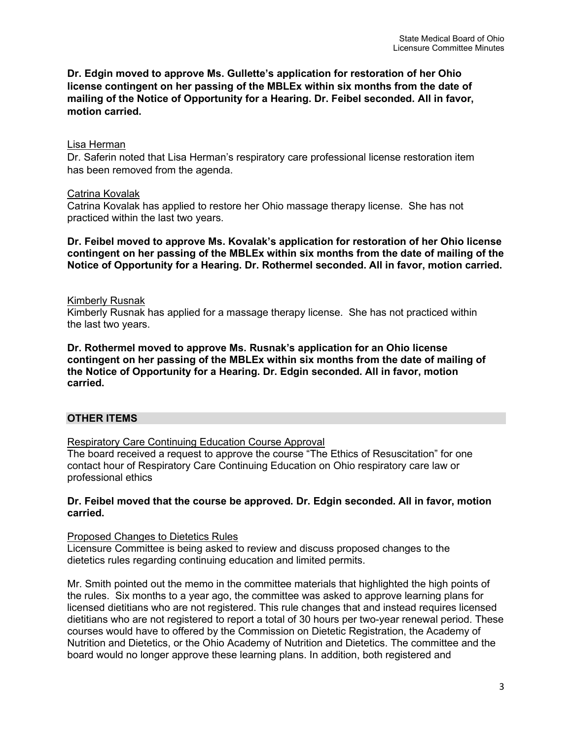**Dr. Edgin moved to approve Ms. Gullette's application for restoration of her Ohio license contingent on her passing of the MBLEx within six months from the date of mailing of the Notice of Opportunity for a Hearing. Dr. Feibel seconded. All in favor, motion carried.** 

#### Lisa Herman

Dr. Saferin noted that Lisa Herman's respiratory care professional license restoration item has been removed from the agenda.

### Catrina Kovalak

Catrina Kovalak has applied to restore her Ohio massage therapy license. She has not practiced within the last two years.

**Dr. Feibel moved to approve Ms. Kovalak's application for restoration of her Ohio license contingent on her passing of the MBLEx within six months from the date of mailing of the Notice of Opportunity for a Hearing. Dr. Rothermel seconded. All in favor, motion carried.** 

### Kimberly Rusnak

Kimberly Rusnak has applied for a massage therapy license. She has not practiced within the last two years.

**Dr. Rothermel moved to approve Ms. Rusnak's application for an Ohio license contingent on her passing of the MBLEx within six months from the date of mailing of the Notice of Opportunity for a Hearing. Dr. Edgin seconded. All in favor, motion carried.**

## **OTHER ITEMS**

Respiratory Care Continuing Education Course Approval

The board received a request to approve the course "The Ethics of Resuscitation" for one contact hour of Respiratory Care Continuing Education on Ohio respiratory care law or professional ethics

### **Dr. Feibel moved that the course be approved. Dr. Edgin seconded. All in favor, motion carried.**

Proposed Changes to Dietetics Rules

Licensure Committee is being asked to review and discuss proposed changes to the dietetics rules regarding continuing education and limited permits.

Mr. Smith pointed out the memo in the committee materials that highlighted the high points of the rules. Six months to a year ago, the committee was asked to approve learning plans for licensed dietitians who are not registered. This rule changes that and instead requires licensed dietitians who are not registered to report a total of 30 hours per two-year renewal period. These courses would have to offered by the Commission on Dietetic Registration, the Academy of Nutrition and Dietetics, or the Ohio Academy of Nutrition and Dietetics. The committee and the board would no longer approve these learning plans. In addition, both registered and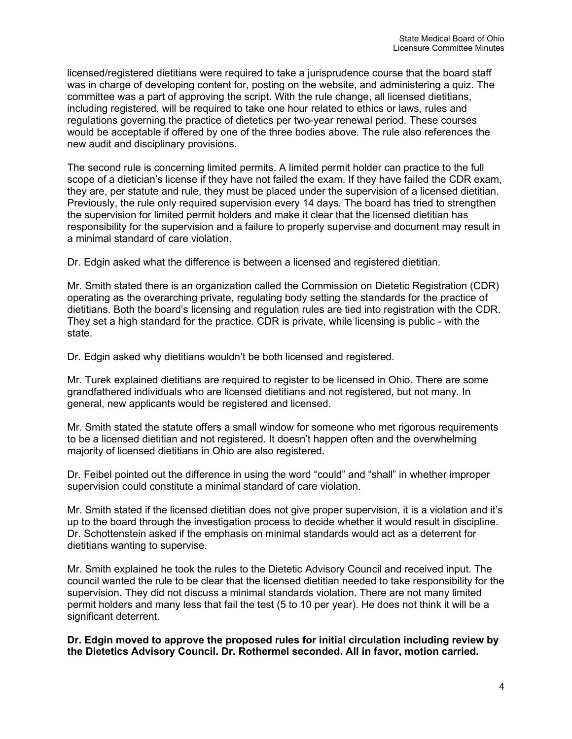licensed/registered dietitians were required to take a jurisprudence course that the board staff was in charge of developing content for, posting on the website, and administering a quiz. The committee was a part of approving the script. With the rule change, all licensed dietitians, including registered, will be required to take one hour related to ethics or laws, rules and regulations governing the practice of dietetics per two-year renewal period. These courses would be acceptable if offered by one of the three bodies above. The rule also references the new audit and disciplinary provisions.

The second rule is concerning limited permits. A limited permit holder can practice to the full scope of a dietician's license if they have not failed the exam. If they have failed the CDR exam, they are, per statute and rule, they must be placed under the supervision of a licensed dietitian. Previously, the rule only required supervision every 14 days. The board has tried to strengthen the supervision for limited permit holders and make it clear that the licensed dietitian has responsibility for the supervision and a failure to properly supervise and document may result in a minimal standard of care violation.

Dr. Edgin asked what the difference is between a licensed and registered dietitian.

Mr. Smith stated there is an organization called the Commission on Dietetic Registration (CDR) operating as the overarching private, regulating body setting the standards for the practice of dietitians. Both the board's licensing and regulation rules are tied into registration with the CDR. They set a high standard for the practice. CDR is private, while licensing is public - with the state.

Dr. Edgin asked why dietitians wouldn't be both licensed and registered.

Mr. Turek explained dietitians are required to register to be licensed in Ohio. There are some grandfathered individuals who are licensed dietitians and not registered, but not many. In general, new applicants would be registered and licensed.

Mr. Smith stated the statute offers a small window for someone who met rigorous requirements to be a licensed dietitian and not registered. It doesn't happen often and the overwhelming majority of licensed dietitians in Ohio are also registered.

Dr. Feibel pointed out the difference in using the word "could" and "shall" in whether improper supervision could constitute a minimal standard of care violation.

Mr. Smith stated if the licensed dietitian does not give proper supervision, it is a violation and it's up to the board through the investigation process to decide whether it would result in discipline. Dr. Schottenstein asked if the emphasis on minimal standards would act as a deterrent for dietitians wanting to supervise.

Mr. Smith explained he took the rules to the Dietetic Advisory Council and received input. The council wanted the rule to be clear that the licensed dietitian needed to take responsibility for the supervision. They did not discuss a minimal standards violation. There are not many limited permit holders and many less that fail the test (5 to 10 per year). He does not think it will be a significant deterrent.

**Dr. Edgin moved to approve the proposed rules for initial circulation including review by the Dietetics Advisory Council. Dr. Rothermel seconded. All in favor, motion carried.**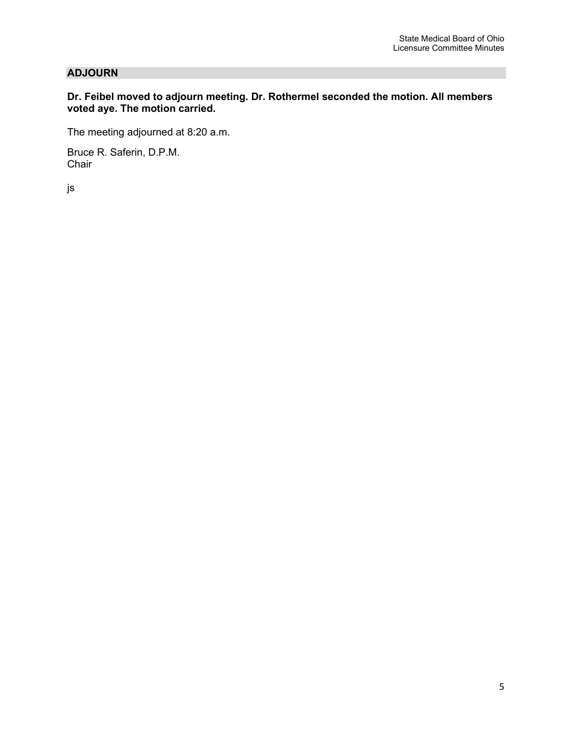## **ADJOURN**

### **Dr. Feibel moved to adjourn meeting. Dr. Rothermel seconded the motion. All members voted aye. The motion carried.**

The meeting adjourned at 8:20 a.m.

Bruce R. Saferin, D.P.M. Chair

js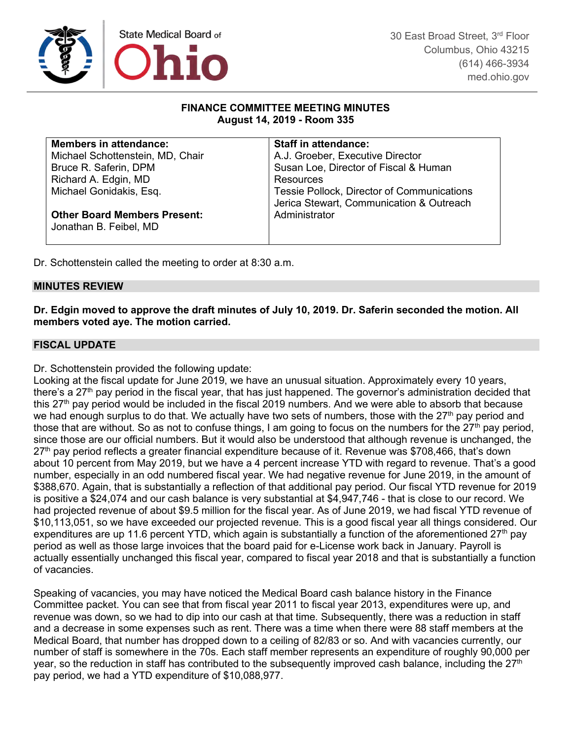

### **FINANCE COMMITTEE MEETING MINUTES August 14, 2019 - Room 335**

| <b>Members in attendance:</b>       | <b>Staff in attendance:</b>                       |
|-------------------------------------|---------------------------------------------------|
| Michael Schottenstein, MD, Chair    | A.J. Groeber, Executive Director                  |
| Bruce R. Saferin, DPM               | Susan Loe, Director of Fiscal & Human             |
| Richard A. Edgin, MD                | Resources                                         |
| Michael Gonidakis, Esq.             | <b>Tessie Pollock, Director of Communications</b> |
|                                     | Jerica Stewart, Communication & Outreach          |
| <b>Other Board Members Present:</b> | Administrator                                     |
| Jonathan B. Feibel, MD              |                                                   |
|                                     |                                                   |

Dr. Schottenstein called the meeting to order at 8:30 a.m.

### **MINUTES REVIEW**

**Dr. Edgin moved to approve the draft minutes of July 10, 2019. Dr. Saferin seconded the motion. All members voted aye. The motion carried.**

### **FISCAL UPDATE**

Dr. Schottenstein provided the following update:

Looking at the fiscal update for June 2019, we have an unusual situation. Approximately every 10 years, there's a 27<sup>th</sup> pay period in the fiscal year, that has just happened. The governor's administration decided that this 27<sup>th</sup> pay period would be included in the fiscal 2019 numbers. And we were able to absorb that because we had enough surplus to do that. We actually have two sets of numbers, those with the 27<sup>th</sup> pay period and those that are without. So as not to confuse things, I am going to focus on the numbers for the  $27<sup>th</sup>$  pay period, since those are our official numbers. But it would also be understood that although revenue is unchanged, the 27<sup>th</sup> pay period reflects a greater financial expenditure because of it. Revenue was \$708,466, that's down about 10 percent from May 2019, but we have a 4 percent increase YTD with regard to revenue. That's a good number, especially in an odd numbered fiscal year. We had negative revenue for June 2019, in the amount of \$388,670. Again, that is substantially a reflection of that additional pay period. Our fiscal YTD revenue for 2019 is positive a \$24,074 and our cash balance is very substantial at \$4,947,746 - that is close to our record. We had projected revenue of about \$9.5 million for the fiscal year. As of June 2019, we had fiscal YTD revenue of \$10,113,051, so we have exceeded our projected revenue. This is a good fiscal year all things considered. Our expenditures are up 11.6 percent YTD, which again is substantially a function of the aforementioned 27<sup>th</sup> pay period as well as those large invoices that the board paid for e-License work back in January. Payroll is actually essentially unchanged this fiscal year, compared to fiscal year 2018 and that is substantially a function of vacancies.

Speaking of vacancies, you may have noticed the Medical Board cash balance history in the Finance Committee packet. You can see that from fiscal year 2011 to fiscal year 2013, expenditures were up, and revenue was down, so we had to dip into our cash at that time. Subsequently, there was a reduction in staff and a decrease in some expenses such as rent. There was a time when there were 88 staff members at the Medical Board, that number has dropped down to a ceiling of 82/83 or so. And with vacancies currently, our number of staff is somewhere in the 70s. Each staff member represents an expenditure of roughly 90,000 per year, so the reduction in staff has contributed to the subsequently improved cash balance, including the  $27<sup>th</sup>$ pay period, we had a YTD expenditure of \$10,088,977.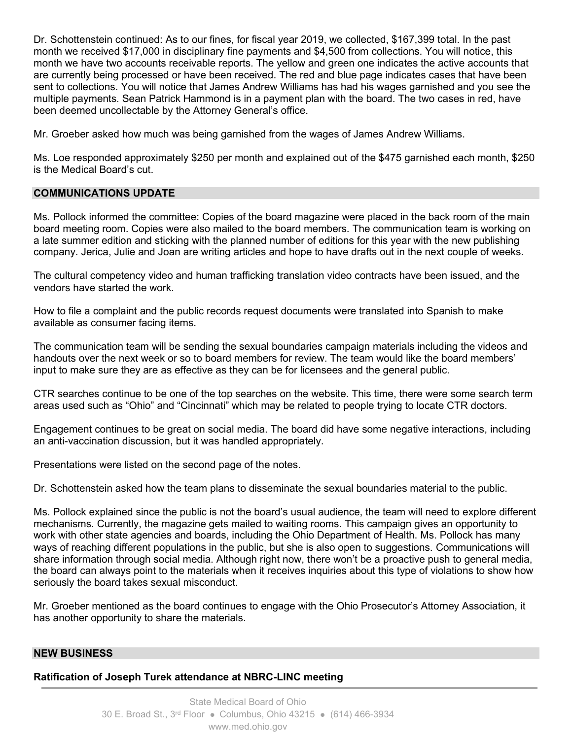Dr. Schottenstein continued: As to our fines, for fiscal year 2019, we collected, \$167,399 total. In the past month we received \$17,000 in disciplinary fine payments and \$4,500 from collections. You will notice, this month we have two accounts receivable reports. The yellow and green one indicates the active accounts that are currently being processed or have been received. The red and blue page indicates cases that have been sent to collections. You will notice that James Andrew Williams has had his wages garnished and you see the multiple payments. Sean Patrick Hammond is in a payment plan with the board. The two cases in red, have been deemed uncollectable by the Attorney General's office.

Mr. Groeber asked how much was being garnished from the wages of James Andrew Williams.

Ms. Loe responded approximately \$250 per month and explained out of the \$475 garnished each month, \$250 is the Medical Board's cut.

### **COMMUNICATIONS UPDATE**

Ms. Pollock informed the committee: Copies of the board magazine were placed in the back room of the main board meeting room. Copies were also mailed to the board members. The communication team is working on a late summer edition and sticking with the planned number of editions for this year with the new publishing company. Jerica, Julie and Joan are writing articles and hope to have drafts out in the next couple of weeks.

The cultural competency video and human trafficking translation video contracts have been issued, and the vendors have started the work.

How to file a complaint and the public records request documents were translated into Spanish to make available as consumer facing items.

The communication team will be sending the sexual boundaries campaign materials including the videos and handouts over the next week or so to board members for review. The team would like the board members' input to make sure they are as effective as they can be for licensees and the general public.

CTR searches continue to be one of the top searches on the website. This time, there were some search term areas used such as "Ohio" and "Cincinnati" which may be related to people trying to locate CTR doctors.

Engagement continues to be great on social media. The board did have some negative interactions, including an anti-vaccination discussion, but it was handled appropriately.

Presentations were listed on the second page of the notes.

Dr. Schottenstein asked how the team plans to disseminate the sexual boundaries material to the public.

Ms. Pollock explained since the public is not the board's usual audience, the team will need to explore different mechanisms. Currently, the magazine gets mailed to waiting rooms. This campaign gives an opportunity to work with other state agencies and boards, including the Ohio Department of Health. Ms. Pollock has many ways of reaching different populations in the public, but she is also open to suggestions. Communications will share information through social media. Although right now, there won't be a proactive push to general media, the board can always point to the materials when it receives inquiries about this type of violations to show how seriously the board takes sexual misconduct.

Mr. Groeber mentioned as the board continues to engage with the Ohio Prosecutor's Attorney Association, it has another opportunity to share the materials.

#### **NEW BUSINESS**

**Ratification of Joseph Turek attendance at NBRC-LINC meeting**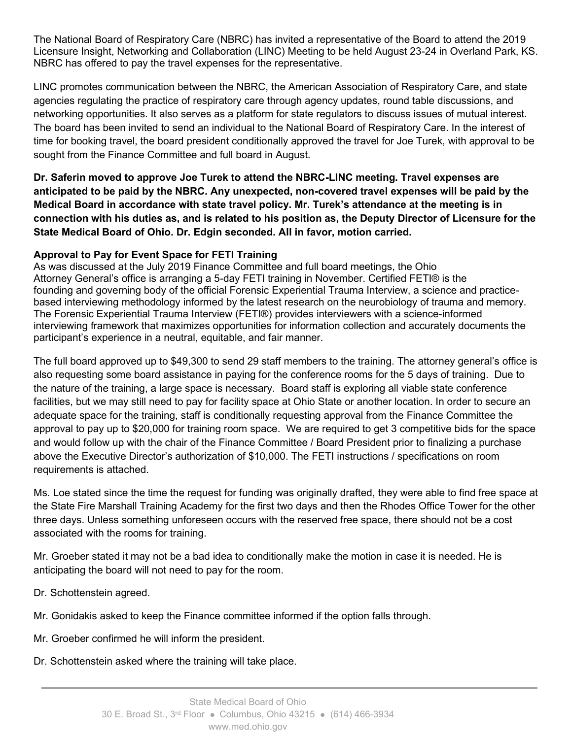The National Board of Respiratory Care (NBRC) has invited a representative of the Board to attend the 2019 Licensure Insight, Networking and Collaboration (LINC) Meeting to be held August 23-24 in Overland Park, KS. NBRC has offered to pay the travel expenses for the representative.

LINC promotes communication between the NBRC, the American Association of Respiratory Care, and state agencies regulating the practice of respiratory care through agency updates, round table discussions, and networking opportunities. It also serves as a platform for state regulators to discuss issues of mutual interest. The board has been invited to send an individual to the National Board of Respiratory Care. In the interest of time for booking travel, the board president conditionally approved the travel for Joe Turek, with approval to be sought from the Finance Committee and full board in August.

**Dr. Saferin moved to approve Joe Turek to attend the NBRC-LINC meeting. Travel expenses are anticipated to be paid by the NBRC. Any unexpected, non-covered travel expenses will be paid by the Medical Board in accordance with state travel policy. Mr. Turek's attendance at the meeting is in connection with his duties as, and is related to his position as, the Deputy Director of Licensure for the State Medical Board of Ohio. Dr. Edgin seconded. All in favor, motion carried.**

## **Approval to Pay for Event Space for FETI Training**

As was discussed at the July 2019 Finance Committee and full board meetings, the Ohio Attorney General's office is arranging a 5-day FETI training in November. Certified FETI® is the founding and governing body of the official Forensic Experiential Trauma Interview, a science and practicebased interviewing methodology informed by the latest research on the neurobiology of trauma and memory. The Forensic Experiential Trauma Interview (FETI®) provides interviewers with a science-informed interviewing framework that maximizes opportunities for information collection and accurately documents the participant's experience in a neutral, equitable, and fair manner.

The full board approved up to \$49,300 to send 29 staff members to the training. The attorney general's office is also requesting some board assistance in paying for the conference rooms for the 5 days of training. Due to the nature of the training, a large space is necessary. Board staff is exploring all viable state conference facilities, but we may still need to pay for facility space at Ohio State or another location. In order to secure an adequate space for the training, staff is conditionally requesting approval from the Finance Committee the approval to pay up to \$20,000 for training room space. We are required to get 3 competitive bids for the space and would follow up with the chair of the Finance Committee / Board President prior to finalizing a purchase above the Executive Director's authorization of \$10,000. The FETI instructions / specifications on room requirements is attached.

Ms. Loe stated since the time the request for funding was originally drafted, they were able to find free space at the State Fire Marshall Training Academy for the first two days and then the Rhodes Office Tower for the other three days. Unless something unforeseen occurs with the reserved free space, there should not be a cost associated with the rooms for training.

Mr. Groeber stated it may not be a bad idea to conditionally make the motion in case it is needed. He is anticipating the board will not need to pay for the room.

- Dr. Schottenstein agreed.
- Mr. Gonidakis asked to keep the Finance committee informed if the option falls through.
- Mr. Groeber confirmed he will inform the president.
- Dr. Schottenstein asked where the training will take place.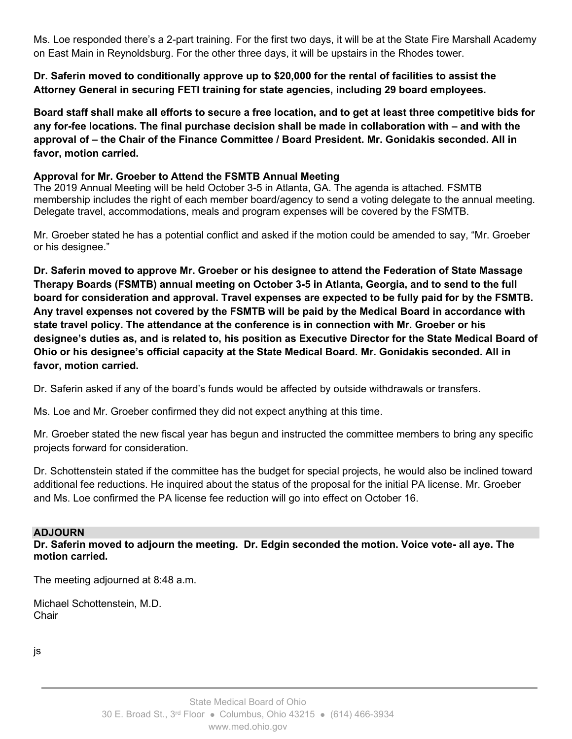Ms. Loe responded there's a 2-part training. For the first two days, it will be at the State Fire Marshall Academy on East Main in Reynoldsburg. For the other three days, it will be upstairs in the Rhodes tower.

**Dr. Saferin moved to conditionally approve up to \$20,000 for the rental of facilities to assist the Attorney General in securing FETI training for state agencies, including 29 board employees.**

**Board staff shall make all efforts to secure a free location, and to get at least three competitive bids for any for-fee locations. The final purchase decision shall be made in collaboration with – and with the approval of – the Chair of the Finance Committee / Board President. Mr. Gonidakis seconded. All in favor, motion carried.** 

## **Approval for Mr. Groeber to Attend the FSMTB Annual Meeting**

The 2019 Annual Meeting will be held October 3-5 in Atlanta, GA. The agenda is attached. FSMTB membership includes the right of each member board/agency to send a voting delegate to the annual meeting. Delegate travel, accommodations, meals and program expenses will be covered by the FSMTB.

Mr. Groeber stated he has a potential conflict and asked if the motion could be amended to say, "Mr. Groeber or his designee."

**Dr. Saferin moved to approve Mr. Groeber or his designee to attend the Federation of State Massage Therapy Boards (FSMTB) annual meeting on October 3-5 in Atlanta, Georgia, and to send to the full board for consideration and approval. Travel expenses are expected to be fully paid for by the FSMTB. Any travel expenses not covered by the FSMTB will be paid by the Medical Board in accordance with state travel policy. The attendance at the conference is in connection with Mr. Groeber or his designee's duties as, and is related to, his position as Executive Director for the State Medical Board of Ohio or his designee's official capacity at the State Medical Board. Mr. Gonidakis seconded. All in favor, motion carried.** 

Dr. Saferin asked if any of the board's funds would be affected by outside withdrawals or transfers.

Ms. Loe and Mr. Groeber confirmed they did not expect anything at this time.

Mr. Groeber stated the new fiscal year has begun and instructed the committee members to bring any specific projects forward for consideration.

Dr. Schottenstein stated if the committee has the budget for special projects, he would also be inclined toward additional fee reductions. He inquired about the status of the proposal for the initial PA license. Mr. Groeber and Ms. Loe confirmed the PA license fee reduction will go into effect on October 16.

## **ADJOURN**

**Dr. Saferin moved to adjourn the meeting. Dr. Edgin seconded the motion. Voice vote- all aye. The motion carried.**

The meeting adjourned at 8:48 a.m.

Michael Schottenstein, M.D. **Chair** 

js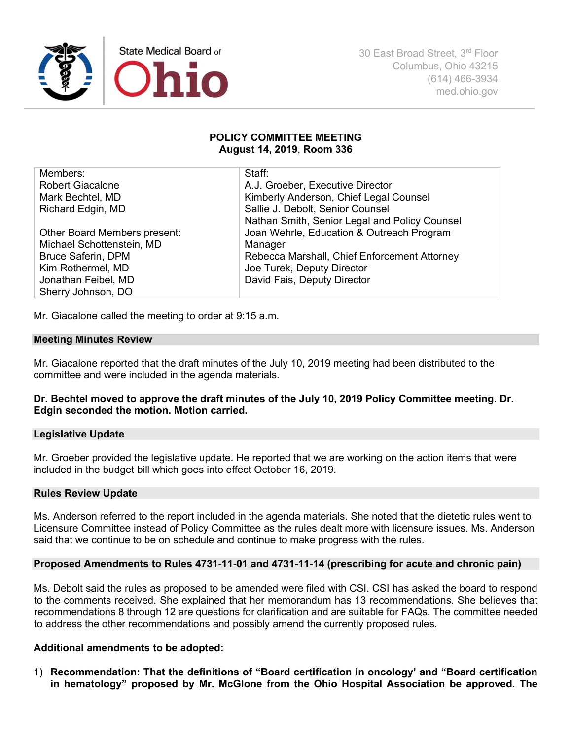

#### **POLICY COMMITTEE MEETING August 14, 2019**, **Room 336**

| Members:                     | Staff:                                        |
|------------------------------|-----------------------------------------------|
| <b>Robert Giacalone</b>      | A.J. Groeber, Executive Director              |
| Mark Bechtel, MD             | Kimberly Anderson, Chief Legal Counsel        |
| Richard Edgin, MD            | Sallie J. Debolt, Senior Counsel              |
|                              | Nathan Smith, Senior Legal and Policy Counsel |
| Other Board Members present: | Joan Wehrle, Education & Outreach Program     |
| Michael Schottenstein, MD    | Manager                                       |
| <b>Bruce Saferin, DPM</b>    | Rebecca Marshall, Chief Enforcement Attorney  |
| Kim Rothermel, MD            | Joe Turek, Deputy Director                    |
| Jonathan Feibel, MD          | David Fais, Deputy Director                   |
| Sherry Johnson, DO           |                                               |

Mr. Giacalone called the meeting to order at 9:15 a.m.

#### **Meeting Minutes Review**

Mr. Giacalone reported that the draft minutes of the July 10, 2019 meeting had been distributed to the committee and were included in the agenda materials.

### **Dr. Bechtel moved to approve the draft minutes of the July 10, 2019 Policy Committee meeting. Dr. Edgin seconded the motion. Motion carried.**

#### **Legislative Update**

Mr. Groeber provided the legislative update. He reported that we are working on the action items that were included in the budget bill which goes into effect October 16, 2019.

#### **Rules Review Update**

Ms. Anderson referred to the report included in the agenda materials. She noted that the dietetic rules went to Licensure Committee instead of Policy Committee as the rules dealt more with licensure issues. Ms. Anderson said that we continue to be on schedule and continue to make progress with the rules.

#### **Proposed Amendments to Rules 4731-11-01 and 4731-11-14 (prescribing for acute and chronic pain)**

Ms. Debolt said the rules as proposed to be amended were filed with CSI. CSI has asked the board to respond to the comments received. She explained that her memorandum has 13 recommendations. She believes that recommendations 8 through 12 are questions for clarification and are suitable for FAQs. The committee needed to address the other recommendations and possibly amend the currently proposed rules.

#### **Additional amendments to be adopted:**

1) **Recommendation: That the definitions of "Board certification in oncology' and "Board certification in hematology" proposed by Mr. McGlone from the Ohio Hospital Association be approved. The**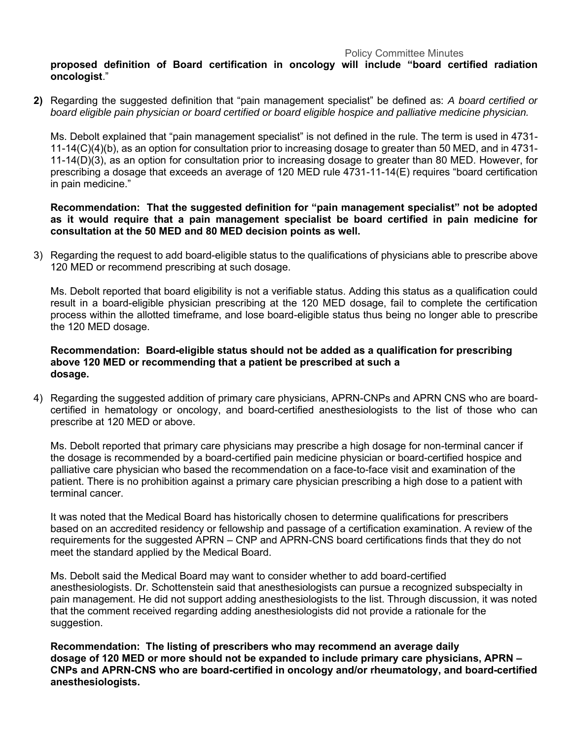#### Policy Committee Minutes

### **proposed definition of Board certification in oncology will include "board certified radiation oncologist**."

**2)** Regarding the suggested definition that "pain management specialist" be defined as: *A board certified or board eligible pain physician or board certified or board eligible hospice and palliative medicine physician.*

Ms. Debolt explained that "pain management specialist" is not defined in the rule. The term is used in 4731- 11-14(C)(4)(b), as an option for consultation prior to increasing dosage to greater than 50 MED, and in 4731- 11-14(D)(3), as an option for consultation prior to increasing dosage to greater than 80 MED. However, for prescribing a dosage that exceeds an average of 120 MED rule 4731-11-14(E) requires "board certification in pain medicine."

### **Recommendation: That the suggested definition for "pain management specialist" not be adopted as it would require that a pain management specialist be board certified in pain medicine for consultation at the 50 MED and 80 MED decision points as well.**

3) Regarding the request to add board-eligible status to the qualifications of physicians able to prescribe above 120 MED or recommend prescribing at such dosage.

Ms. Debolt reported that board eligibility is not a verifiable status. Adding this status as a qualification could result in a board-eligible physician prescribing at the 120 MED dosage, fail to complete the certification process within the allotted timeframe, and lose board-eligible status thus being no longer able to prescribe the 120 MED dosage.

## **Recommendation: Board-eligible status should not be added as a qualification for prescribing above 120 MED or recommending that a patient be prescribed at such a dosage.**

4) Regarding the suggested addition of primary care physicians, APRN-CNPs and APRN CNS who are boardcertified in hematology or oncology, and board-certified anesthesiologists to the list of those who can prescribe at 120 MED or above.

Ms. Debolt reported that primary care physicians may prescribe a high dosage for non-terminal cancer if the dosage is recommended by a board-certified pain medicine physician or board-certified hospice and palliative care physician who based the recommendation on a face-to-face visit and examination of the patient. There is no prohibition against a primary care physician prescribing a high dose to a patient with terminal cancer.

It was noted that the Medical Board has historically chosen to determine qualifications for prescribers based on an accredited residency or fellowship and passage of a certification examination. A review of the requirements for the suggested APRN – CNP and APRN-CNS board certifications finds that they do not meet the standard applied by the Medical Board.

Ms. Debolt said the Medical Board may want to consider whether to add board-certified anesthesiologists. Dr. Schottenstein said that anesthesiologists can pursue a recognized subspecialty in pain management. He did not support adding anesthesiologists to the list. Through discussion, it was noted that the comment received regarding adding anesthesiologists did not provide a rationale for the suggestion.

**Recommendation: The listing of prescribers who may recommend an average daily dosage of 120 MED or more should not be expanded to include primary care physicians, APRN – CNPs and APRN-CNS who are board-certified in oncology and/or rheumatology, and board-certified anesthesiologists.**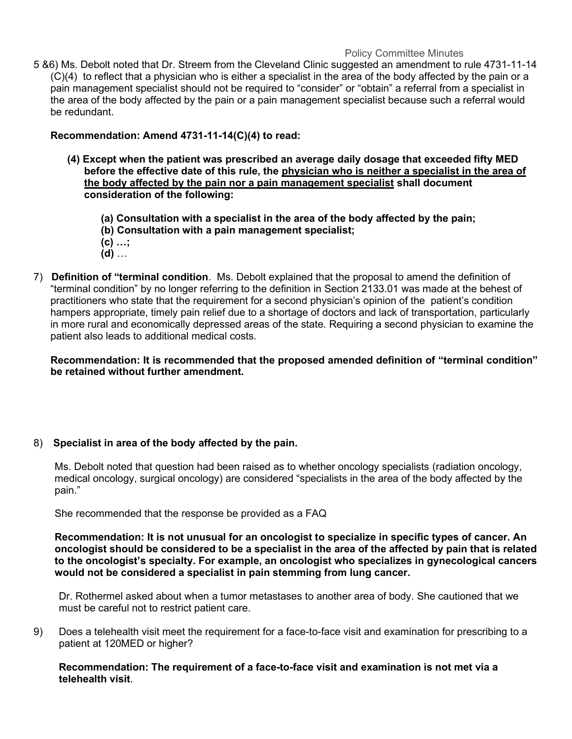#### Policy Committee Minutes

5 &6) Ms. Debolt noted that Dr. Streem from the Cleveland Clinic suggested an amendment to rule 4731-11-14 (C)(4) to reflect that a physician who is either a specialist in the area of the body affected by the pain or a pain management specialist should not be required to "consider" or "obtain" a referral from a specialist in the area of the body affected by the pain or a pain management specialist because such a referral would be redundant.

## **Recommendation: Amend 4731-11-14(C)(4) to read:**

- **(4) Except when the patient was prescribed an average daily dosage that exceeded fifty MED before the effective date of this rule, the physician who is neither a specialist in the area of the body affected by the pain nor a pain management specialist shall document consideration of the following:**
	- **(a) Consultation with a specialist in the area of the body affected by the pain;**
	- **(b) Consultation with a pain management specialist;**
	- **(c) …;**
	- **(d)** …
- 7) **Definition of "terminal condition**. Ms. Debolt explained that the proposal to amend the definition of "terminal condition" by no longer referring to the definition in Section 2133.01 was made at the behest of practitioners who state that the requirement for a second physician's opinion of the patient's condition hampers appropriate, timely pain relief due to a shortage of doctors and lack of transportation, particularly in more rural and economically depressed areas of the state. Requiring a second physician to examine the patient also leads to additional medical costs.

**Recommendation: It is recommended that the proposed amended definition of "terminal condition" be retained without further amendment.**

## 8) **Specialist in area of the body affected by the pain.**

Ms. Debolt noted that question had been raised as to whether oncology specialists (radiation oncology, medical oncology, surgical oncology) are considered "specialists in the area of the body affected by the pain."

She recommended that the response be provided as a FAQ

**Recommendation: It is not unusual for an oncologist to specialize in specific types of cancer. An oncologist should be considered to be a specialist in the area of the affected by pain that is related to the oncologist's specialty. For example, an oncologist who specializes in gynecological cancers would not be considered a specialist in pain stemming from lung cancer.**

Dr. Rothermel asked about when a tumor metastases to another area of body. She cautioned that we must be careful not to restrict patient care.

9) Does a telehealth visit meet the requirement for a face-to-face visit and examination for prescribing to a patient at 120MED or higher?

#### **Recommendation: The requirement of a face-to-face visit and examination is not met via a telehealth visit**.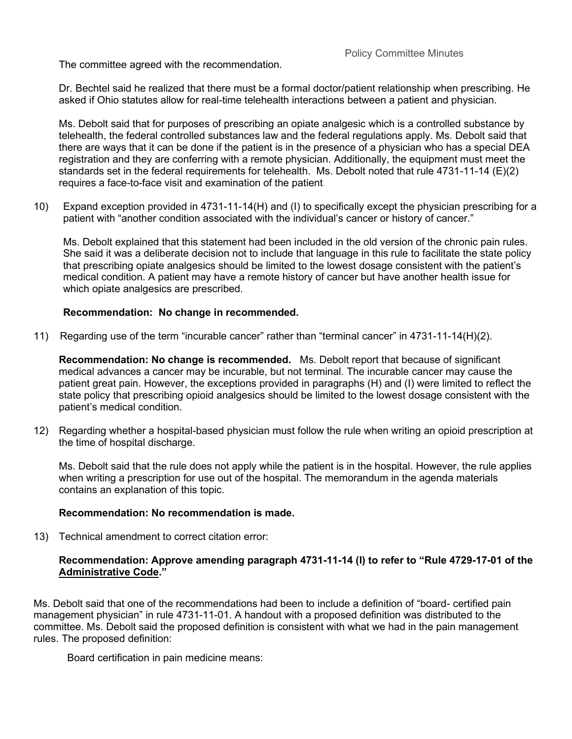The committee agreed with the recommendation.

Dr. Bechtel said he realized that there must be a formal doctor/patient relationship when prescribing. He asked if Ohio statutes allow for real-time telehealth interactions between a patient and physician.

Ms. Debolt said that for purposes of prescribing an opiate analgesic which is a controlled substance by telehealth, the federal controlled substances law and the federal regulations apply. Ms. Debolt said that there are ways that it can be done if the patient is in the presence of a physician who has a special DEA registration and they are conferring with a remote physician. Additionally, the equipment must meet the standards set in the federal requirements for telehealth. Ms. Debolt noted that rule 4731-11-14 (E)(2) requires a face-to-face visit and examination of the patient.

10)Expand exception provided in 4731-11-14(H) and (I) to specifically except the physician prescribing for a patient with "another condition associated with the individual's cancer or history of cancer."

Ms. Debolt explained that this statement had been included in the old version of the chronic pain rules. She said it was a deliberate decision not to include that language in this rule to facilitate the state policy that prescribing opiate analgesics should be limited to the lowest dosage consistent with the patient's medical condition. A patient may have a remote history of cancer but have another health issue for which opiate analgesics are prescribed.

## **Recommendation: No change in recommended.**

11) Regarding use of the term "incurable cancer" rather than "terminal cancer" in 4731-11-14(H)(2).

**Recommendation: No change is recommended.** Ms. Debolt report that because of significant medical advances a cancer may be incurable, but not terminal. The incurable cancer may cause the patient great pain. However, the exceptions provided in paragraphs (H) and (I) were limited to reflect the state policy that prescribing opioid analgesics should be limited to the lowest dosage consistent with the patient's medical condition.

12) Regarding whether a hospital-based physician must follow the rule when writing an opioid prescription at the time of hospital discharge.

Ms. Debolt said that the rule does not apply while the patient is in the hospital. However, the rule applies when writing a prescription for use out of the hospital. The memorandum in the agenda materials contains an explanation of this topic.

#### **Recommendation: No recommendation is made.**

13) Technical amendment to correct citation error:

### **Recommendation: Approve amending paragraph 4731-11-14 (I) to refer to "Rule 4729-17-01 of the Administrative Code."**

Ms. Debolt said that one of the recommendations had been to include a definition of "board- certified pain management physician" in rule 4731-11-01. A handout with a proposed definition was distributed to the committee. Ms. Debolt said the proposed definition is consistent with what we had in the pain management rules. The proposed definition:

Board certification in pain medicine means: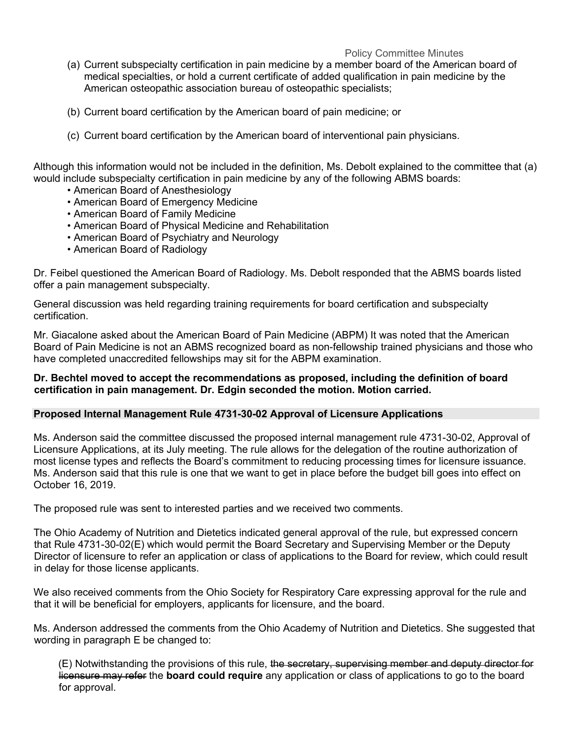### Policy Committee Minutes

- (a) Current subspecialty certification in pain medicine by a member board of the American board of medical specialties, or hold a current certificate of added qualification in pain medicine by the American osteopathic association bureau of osteopathic specialists;
- (b) Current board certification by the American board of pain medicine; or
- (c) Current board certification by the American board of interventional pain physicians.

Although this information would not be included in the definition, Ms. Debolt explained to the committee that (a) would include subspecialty certification in pain medicine by any of the following ABMS boards:

- American Board of Anesthesiology
- American Board of Emergency Medicine
- American Board of Family Medicine
- American Board of Physical Medicine and Rehabilitation
- American Board of Psychiatry and Neurology
- American Board of Radiology

Dr. Feibel questioned the American Board of Radiology. Ms. Debolt responded that the ABMS boards listed offer a pain management subspecialty.

General discussion was held regarding training requirements for board certification and subspecialty certification.

Mr. Giacalone asked about the American Board of Pain Medicine (ABPM) It was noted that the American Board of Pain Medicine is not an ABMS recognized board as non-fellowship trained physicians and those who have completed unaccredited fellowships may sit for the ABPM examination.

### **Dr. Bechtel moved to accept the recommendations as proposed, including the definition of board certification in pain management. Dr. Edgin seconded the motion. Motion carried.**

#### **Proposed Internal Management Rule 4731-30-02 Approval of Licensure Applications**

Ms. Anderson said the committee discussed the proposed internal management rule 4731-30-02, Approval of Licensure Applications, at its July meeting. The rule allows for the delegation of the routine authorization of most license types and reflects the Board's commitment to reducing processing times for licensure issuance. Ms. Anderson said that this rule is one that we want to get in place before the budget bill goes into effect on October 16, 2019.

The proposed rule was sent to interested parties and we received two comments.

The Ohio Academy of Nutrition and Dietetics indicated general approval of the rule, but expressed concern that Rule 4731-30-02(E) which would permit the Board Secretary and Supervising Member or the Deputy Director of licensure to refer an application or class of applications to the Board for review, which could result in delay for those license applicants.

We also received comments from the Ohio Society for Respiratory Care expressing approval for the rule and that it will be beneficial for employers, applicants for licensure, and the board.

Ms. Anderson addressed the comments from the Ohio Academy of Nutrition and Dietetics. She suggested that wording in paragraph E be changed to:

(E) Notwithstanding the provisions of this rule, the secretary, supervising member and deputy director for licensure may refer the **board could require** any application or class of applications to go to the board for approval.